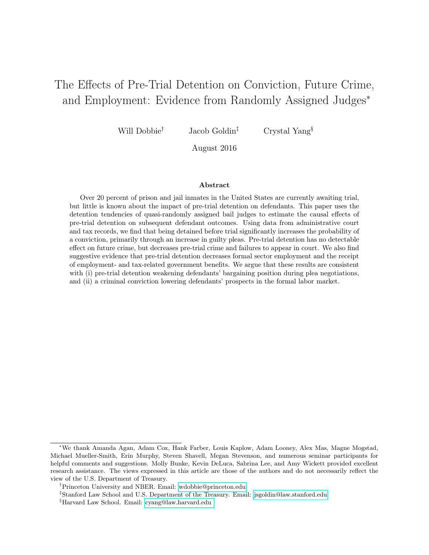# The Effects of Pre-Trial Detention on Conviction, Future Crime, and Employment: Evidence from Randomly Assigned Judges<sup>∗</sup>

Will Dobbie<sup>†</sup> Jacob Goldin<sup>‡</sup> Crystal Yang<sup>§</sup>

August 2016

#### Abstract

Over 20 percent of prison and jail inmates in the United States are currently awaiting trial, but little is known about the impact of pre-trial detention on defendants. This paper uses the detention tendencies of quasi-randomly assigned bail judges to estimate the causal effects of pre-trial detention on subsequent defendant outcomes. Using data from administrative court and tax records, we find that being detained before trial significantly increases the probability of a conviction, primarily through an increase in guilty pleas. Pre-trial detention has no detectable effect on future crime, but decreases pre-trial crime and failures to appear in court. We also find suggestive evidence that pre-trial detention decreases formal sector employment and the receipt of employment- and tax-related government benefits. We argue that these results are consistent with (i) pre-trial detention weakening defendants' bargaining position during plea negotiations, and (ii) a criminal conviction lowering defendants' prospects in the formal labor market.

<sup>∗</sup>We thank Amanda Agan, Adam Cox, Hank Farber, Louis Kaplow, Adam Looney, Alex Mas, Magne Mogstad, Michael Mueller-Smith, Erin Murphy, Steven Shavell, Megan Stevenson, and numerous seminar participants for helpful comments and suggestions. Molly Bunke, Kevin DeLuca, Sabrina Lee, and Amy Wickett provided excellent research assistance. The views expressed in this article are those of the authors and do not necessarily reflect the view of the U.S. Department of Treasury.

<sup>†</sup>Princeton University and NBER. Email: [wdobbie@princeton.edu](mailto:wdobbie@princeton.edu)

<sup>‡</sup>Stanford Law School and U.S. Department of the Treasury. Email: [jsgoldin@law.stanford.edu](mailto:jsgoldin@law.stanford.edu)

<sup>§</sup>Harvard Law School. Email: [cyang@law.harvard.edu](mailto:cyang@law.harvard.edu )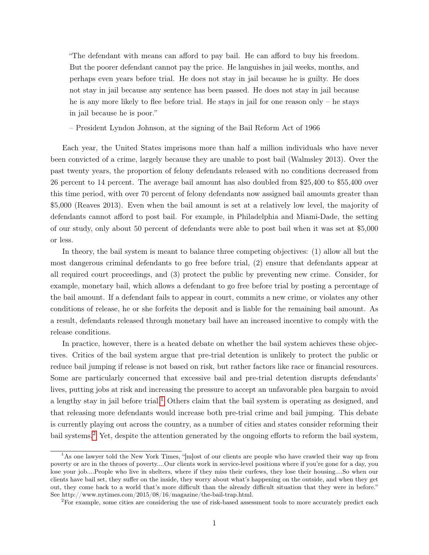"The defendant with means can afford to pay bail. He can afford to buy his freedom. But the poorer defendant cannot pay the price. He languishes in jail weeks, months, and perhaps even years before trial. He does not stay in jail because he is guilty. He does not stay in jail because any sentence has been passed. He does not stay in jail because he is any more likely to flee before trial. He stays in jail for one reason only – he stays in jail because he is poor."

– President Lyndon Johnson, at the signing of the Bail Reform Act of 1966

Each year, the United States imprisons more than half a million individuals who have never been convicted of a crime, largely because they are unable to post bail (Walmsley 2013). Over the past twenty years, the proportion of felony defendants released with no conditions decreased from 26 percent to 14 percent. The average bail amount has also doubled from \$25,400 to \$55,400 over this time period, with over 70 percent of felony defendants now assigned bail amounts greater than \$5,000 (Reaves 2013). Even when the bail amount is set at a relatively low level, the majority of defendants cannot afford to post bail. For example, in Philadelphia and Miami-Dade, the setting of our study, only about 50 percent of defendants were able to post bail when it was set at \$5,000 or less.

In theory, the bail system is meant to balance three competing objectives: (1) allow all but the most dangerous criminal defendants to go free before trial, (2) ensure that defendants appear at all required court proceedings, and (3) protect the public by preventing new crime. Consider, for example, monetary bail, which allows a defendant to go free before trial by posting a percentage of the bail amount. If a defendant fails to appear in court, commits a new crime, or violates any other conditions of release, he or she forfeits the deposit and is liable for the remaining bail amount. As a result, defendants released through monetary bail have an increased incentive to comply with the release conditions.

In practice, however, there is a heated debate on whether the bail system achieves these objectives. Critics of the bail system argue that pre-trial detention is unlikely to protect the public or reduce bail jumping if release is not based on risk, but rather factors like race or financial resources. Some are particularly concerned that excessive bail and pre-trial detention disrupts defendants' lives, putting jobs at risk and increasing the pressure to accept an unfavorable plea bargain to avoid a lengthy stay in jail before trial.<sup>[1](#page-1-0)</sup> Others claim that the bail system is operating as designed, and that releasing more defendants would increase both pre-trial crime and bail jumping. This debate is currently playing out across the country, as a number of cities and states consider reforming their bail systems.[2](#page-1-1) Yet, despite the attention generated by the ongoing efforts to reform the bail system,

<span id="page-1-0"></span><sup>&</sup>lt;sup>1</sup>As one lawyer told the New York Times, "[m]ost of our clients are people who have crawled their way up from poverty or are in the throes of poverty....Our clients work in service-level positions where if you're gone for a day, you lose your job....People who live in shelters, where if they miss their curfews, they lose their housing....So when our clients have bail set, they suffer on the inside, they worry about what's happening on the outside, and when they get out, they come back to a world that's more difficult than the already difficult situation that they were in before." See http://www.nytimes.com/2015/08/16/magazine/the-bail-trap.html.

<span id="page-1-1"></span><sup>&</sup>lt;sup>2</sup>For example, some cities are considering the use of risk-based assessment tools to more accurately predict each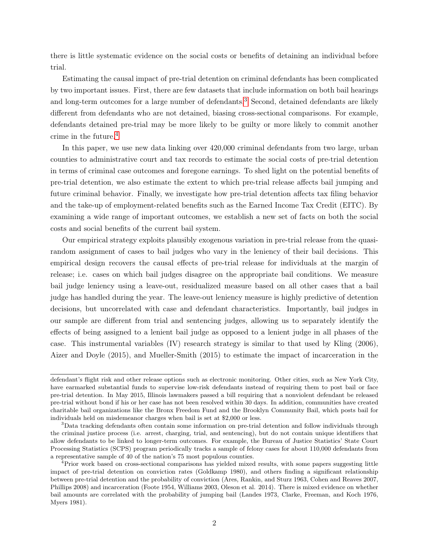there is little systematic evidence on the social costs or benefits of detaining an individual before trial.

Estimating the causal impact of pre-trial detention on criminal defendants has been complicated by two important issues. First, there are few datasets that include information on both bail hearings and long-term outcomes for a large number of defendants.<sup>[3](#page-2-0)</sup> Second, detained defendants are likely different from defendants who are not detained, biasing cross-sectional comparisons. For example, defendants detained pre-trial may be more likely to be guilty or more likely to commit another crime in the future.[4](#page-2-1)

In this paper, we use new data linking over 420,000 criminal defendants from two large, urban counties to administrative court and tax records to estimate the social costs of pre-trial detention in terms of criminal case outcomes and foregone earnings. To shed light on the potential benefits of pre-trial detention, we also estimate the extent to which pre-trial release affects bail jumping and future criminal behavior. Finally, we investigate how pre-trial detention affects tax filing behavior and the take-up of employment-related benefits such as the Earned Income Tax Credit (EITC). By examining a wide range of important outcomes, we establish a new set of facts on both the social costs and social benefits of the current bail system.

Our empirical strategy exploits plausibly exogenous variation in pre-trial release from the quasirandom assignment of cases to bail judges who vary in the leniency of their bail decisions. This empirical design recovers the causal effects of pre-trial release for individuals at the margin of release; i.e. cases on which bail judges disagree on the appropriate bail conditions. We measure bail judge leniency using a leave-out, residualized measure based on all other cases that a bail judge has handled during the year. The leave-out leniency measure is highly predictive of detention decisions, but uncorrelated with case and defendant characteristics. Importantly, bail judges in our sample are different from trial and sentencing judges, allowing us to separately identify the effects of being assigned to a lenient bail judge as opposed to a lenient judge in all phases of the case. This instrumental variables (IV) research strategy is similar to that used by Kling (2006), Aizer and Doyle (2015), and Mueller-Smith (2015) to estimate the impact of incarceration in the

defendant's flight risk and other release options such as electronic monitoring. Other cities, such as New York City, have earmarked substantial funds to supervise low-risk defendants instead of requiring them to post bail or face pre-trial detention. In May 2015, Illinois lawmakers passed a bill requiring that a nonviolent defendant be released pre-trial without bond if his or her case has not been resolved within 30 days. In addition, communities have created charitable bail organizations like the Bronx Freedom Fund and the Brooklyn Community Bail, which posts bail for individuals held on misdemeanor charges when bail is set at \$2,000 or less.

<span id="page-2-0"></span><sup>&</sup>lt;sup>3</sup>Data tracking defendants often contain some information on pre-trial detention and follow individuals through the criminal justice process (i.e. arrest, charging, trial, and sentencing), but do not contain unique identifiers that allow defendants to be linked to longer-term outcomes. For example, the Bureau of Justice Statistics' State Court Processing Statistics (SCPS) program periodically tracks a sample of felony cases for about 110,000 defendants from a representative sample of 40 of the nation's 75 most populous counties.

<span id="page-2-1"></span><sup>4</sup>Prior work based on cross-sectional comparisons has yielded mixed results, with some papers suggesting little impact of pre-trial detention on conviction rates (Goldkamp 1980), and others finding a significant relationship between pre-trial detention and the probability of conviction (Ares, Rankin, and Sturz 1963, Cohen and Reaves 2007, Phillips 2008) and incarceration (Foote 1954, Williams 2003, Oleson et al. 2014). There is mixed evidence on whether bail amounts are correlated with the probability of jumping bail (Landes 1973, Clarke, Freeman, and Koch 1976, Myers 1981).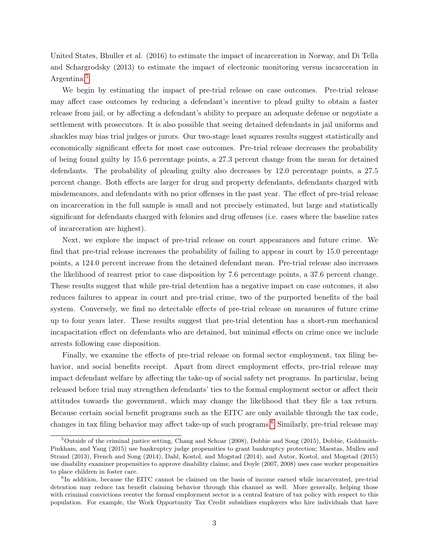United States, Bhuller et al. (2016) to estimate the impact of incarceration in Norway, and Di Tella and Schargrodsky (2013) to estimate the impact of electronic monitoring versus incarceration in Argentina.[5](#page-3-0)

We begin by estimating the impact of pre-trial release on case outcomes. Pre-trial release may affect case outcomes by reducing a defendant's incentive to plead guilty to obtain a faster release from jail, or by affecting a defendant's ability to prepare an adequate defense or negotiate a settlement with prosecutors. It is also possible that seeing detained defendants in jail uniforms and shackles may bias trial judges or jurors. Our two-stage least squares results suggest statistically and economically significant effects for most case outcomes. Pre-trial release decreases the probability of being found guilty by 15.6 percentage points, a 27.3 percent change from the mean for detained defendants. The probability of pleading guilty also decreases by 12.0 percentage points, a 27.5 percent change. Both effects are larger for drug and property defendants, defendants charged with misdemeanors, and defendants with no prior offenses in the past year. The effect of pre-trial release on incarceration in the full sample is small and not precisely estimated, but large and statistically significant for defendants charged with felonies and drug offenses (i.e. cases where the baseline rates of incarceration are highest).

Next, we explore the impact of pre-trial release on court appearances and future crime. We find that pre-trial release increases the probability of failing to appear in court by 15.0 percentage points, a 124.0 percent increase from the detained defendant mean. Pre-trial release also increases the likelihood of rearrest prior to case disposition by 7.6 percentage points, a 37.6 percent change. These results suggest that while pre-trial detention has a negative impact on case outcomes, it also reduces failures to appear in court and pre-trial crime, two of the purported benefits of the bail system. Conversely, we find no detectable effects of pre-trial release on measures of future crime up to four years later. These results suggest that pre-trial detention has a short-run mechanical incapacitation effect on defendants who are detained, but minimal effects on crime once we include arrests following case disposition.

Finally, we examine the effects of pre-trial release on formal sector employment, tax filing behavior, and social benefits receipt. Apart from direct employment effects, pre-trial release may impact defendant welfare by affecting the take-up of social safety net programs. In particular, being released before trial may strengthen defendants' ties to the formal employment sector or affect their attitudes towards the government, which may change the likelihood that they file a tax return. Because certain social benefit programs such as the EITC are only available through the tax code, changes in tax filing behavior may affect take-up of such programs.<sup>[6](#page-3-1)</sup> Similarly, pre-trial release may

<span id="page-3-0"></span><sup>5</sup>Outside of the criminal justice setting, Chang and Schoar (2008), Dobbie and Song (2015), Dobbie, Goldsmith-Pinkham, and Yang (2015) use bankruptcy judge propensities to grant bankruptcy protection; Maestas, Mullen and Strand (2013), French and Song (2014), Dahl, Kostol, and Mogstad (2014), and Autor, Kostol, and Mogstad (2015) use disability examiner propensities to approve disability claims; and Doyle (2007, 2008) uses case worker propensities to place children in foster care.

<span id="page-3-1"></span><sup>&</sup>lt;sup>6</sup>In addition, because the EITC cannot be claimed on the basis of income earned while incarcerated, pre-trial detention may reduce tax benefit claiming behavior through this channel as well. More generally, helping those with criminal convictions reenter the formal employment sector is a central feature of tax policy with respect to this population. For example, the Work Opportunity Tax Credit subsidizes employers who hire individuals that have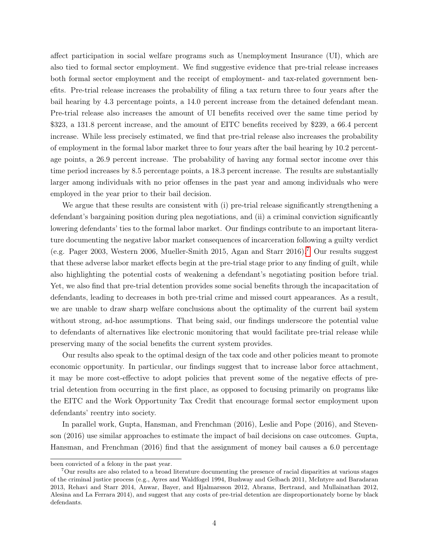affect participation in social welfare programs such as Unemployment Insurance (UI), which are also tied to formal sector employment. We find suggestive evidence that pre-trial release increases both formal sector employment and the receipt of employment- and tax-related government benefits. Pre-trial release increases the probability of filing a tax return three to four years after the bail hearing by 4.3 percentage points, a 14.0 percent increase from the detained defendant mean. Pre-trial release also increases the amount of UI benefits received over the same time period by \$323, a 131.8 percent increase, and the amount of EITC benefits received by \$239, a 66.4 percent increase. While less precisely estimated, we find that pre-trial release also increases the probability of employment in the formal labor market three to four years after the bail hearing by 10.2 percentage points, a 26.9 percent increase. The probability of having any formal sector income over this time period increases by 8.5 percentage points, a 18.3 percent increase. The results are substantially larger among individuals with no prior offenses in the past year and among individuals who were employed in the year prior to their bail decision.

We argue that these results are consistent with (i) pre-trial release significantly strengthening a defendant's bargaining position during plea negotiations, and (ii) a criminal conviction significantly lowering defendants' ties to the formal labor market. Our findings contribute to an important literature documenting the negative labor market consequences of incarceration following a guilty verdict (e.g. Pager 2003, Western 2006, Mueller-Smith 2015, Agan and Starr 2016).[7](#page-4-0) Our results suggest that these adverse labor market effects begin at the pre-trial stage prior to any finding of guilt, while also highlighting the potential costs of weakening a defendant's negotiating position before trial. Yet, we also find that pre-trial detention provides some social benefits through the incapacitation of defendants, leading to decreases in both pre-trial crime and missed court appearances. As a result, we are unable to draw sharp welfare conclusions about the optimality of the current bail system without strong, ad-hoc assumptions. That being said, our findings underscore the potential value to defendants of alternatives like electronic monitoring that would facilitate pre-trial release while preserving many of the social benefits the current system provides.

Our results also speak to the optimal design of the tax code and other policies meant to promote economic opportunity. In particular, our findings suggest that to increase labor force attachment, it may be more cost-effective to adopt policies that prevent some of the negative effects of pretrial detention from occurring in the first place, as opposed to focusing primarily on programs like the EITC and the Work Opportunity Tax Credit that encourage formal sector employment upon defendants' reentry into society.

In parallel work, Gupta, Hansman, and Frenchman (2016), Leslie and Pope (2016), and Stevenson (2016) use similar approaches to estimate the impact of bail decisions on case outcomes. Gupta, Hansman, and Frenchman (2016) find that the assignment of money bail causes a 6.0 percentage

been convicted of a felony in the past year.

<span id="page-4-0"></span><sup>7</sup>Our results are also related to a broad literature documenting the presence of racial disparities at various stages of the criminal justice process (e.g., Ayres and Waldfogel 1994, Bushway and Gelbach 2011, McIntyre and Baradaran 2013, Rehavi and Starr 2014, Anwar, Bayer, and Hjalmarsson 2012, Abrams, Bertrand, and Mullainathan 2012, Alesina and La Ferrara 2014), and suggest that any costs of pre-trial detention are disproportionately borne by black defendants.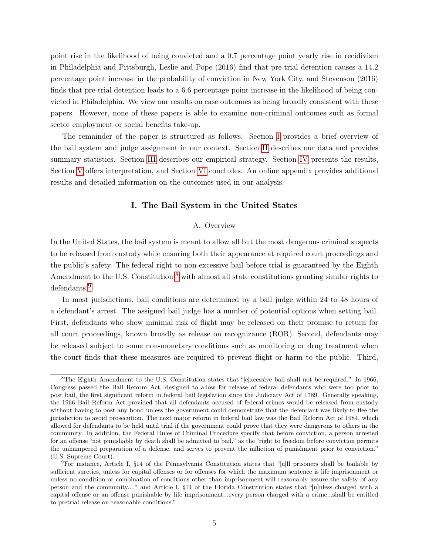point rise in the likelihood of being convicted and a 0.7 percentage point yearly rise in recidivism in Philadelphia and Pittsburgh, Leslie and Pope (2016) find that pre-trial detention causes a 14.2 percentage point increase in the probability of conviction in New York City, and Stevenson (2016) finds that pre-trial detention leads to a 6.6 percentage point increase in the likelihood of being convicted in Philadelphia. We view our results on case outcomes as being broadly consistent with these papers. However, none of these papers is able to examine non-criminal outcomes such as formal sector employment or social benefits take-up.

<span id="page-5-0"></span>The remainder of the paper is structured as follows. Section [I](#page-5-0) provides a brief overview of the bail system and judge assignment in our context. Section [II](#page-10-0) describes our data and provides summary statistics. Section [III](#page-13-0) describes our empirical strategy. Section [IV](#page-18-0) presents the results, Section [V](#page-25-0) offers interpretation, and Section [VI](#page-26-0) concludes. An online appendix provides additional results and detailed information on the outcomes used in our analysis.

## I. The Bail System in the United States

# A. Overview

In the United States, the bail system is meant to allow all but the most dangerous criminal suspects to be released from custody while ensuring both their appearance at required court proceedings and the public's safety. The federal right to non-excessive bail before trial is guaranteed by the Eighth Amendment to the U.S. Constitution, $8$  with almost all state constitutions granting similar rights to defendants.[9](#page-5-2)

In most jurisdictions, bail conditions are determined by a bail judge within 24 to 48 hours of a defendant's arrest. The assigned bail judge has a number of potential options when setting bail. First, defendants who show minimal risk of flight may be released on their promise to return for all court proceedings, known broadly as release on recognizance (ROR). Second, defendants may be released subject to some non-monetary conditions such as monitoring or drug treatment when the court finds that these measures are required to prevent flight or harm to the public. Third,

<span id="page-5-1"></span><sup>8</sup>The Eighth Amendment to the U.S. Constitution states that "[e]xcessive bail shall not be required." In 1966, Congress passed the Bail Reform Act, designed to allow for release of federal defendants who were too poor to post bail, the first significant reform in federal bail legislation since the Judiciary Act of 1789. Generally speaking, the 1966 Bail Reform Act provided that all defendants accused of federal crimes would be released from custody without having to post any bond unless the government could demonstrate that the defendant was likely to flee the jurisdiction to avoid prosecution. The next major reform in federal bail law was the Bail Reform Act of 1984, which allowed for defendants to be held until trial if the government could prove that they were dangerous to others in the community. In addition, the Federal Rules of Criminal Procedure specify that before conviction, a person arrested for an offense "not punishable by death shall be admitted to bail," as the "right to freedom before conviction permits the unhampered preparation of a defense, and serves to prevent the infliction of punishment prior to conviction." (U.S. Supreme Court).

<span id="page-5-2"></span><sup>9</sup>For instance, Article I, §14 of the Pennsylvania Constitution states that "[a]ll prisoners shall be bailable by sufficient sureties, unless for capital offenses or for offenses for which the maximum sentence is life imprisonment or unless no condition or combination of conditions other than imprisonment will reasonably assure the safety of any person and the community...," and Article I, §14 of the Florida Constitution states that "[u]nless charged with a capital offense or an offense punishable by life imprisonment...every person charged with a crime...shall be entitled to pretrial release on reasonable conditions."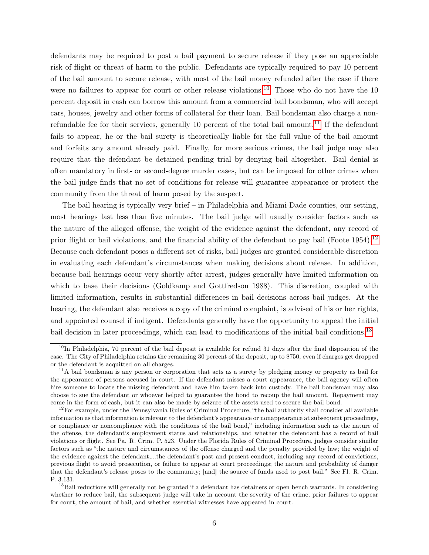defendants may be required to post a bail payment to secure release if they pose an appreciable risk of flight or threat of harm to the public. Defendants are typically required to pay 10 percent of the bail amount to secure release, with most of the bail money refunded after the case if there were no failures to appear for court or other release violations.<sup>[10](#page-6-0)</sup> Those who do not have the 10 percent deposit in cash can borrow this amount from a commercial bail bondsman, who will accept cars, houses, jewelry and other forms of collateral for their loan. Bail bondsman also charge a non-refundable fee for their services, generally 10 percent of the total bail amount.<sup>[11](#page-6-1)</sup> If the defendant fails to appear, he or the bail surety is theoretically liable for the full value of the bail amount and forfeits any amount already paid. Finally, for more serious crimes, the bail judge may also require that the defendant be detained pending trial by denying bail altogether. Bail denial is often mandatory in first- or second-degree murder cases, but can be imposed for other crimes when the bail judge finds that no set of conditions for release will guarantee appearance or protect the community from the threat of harm posed by the suspect.

The bail hearing is typically very brief – in Philadelphia and Miami-Dade counties, our setting, most hearings last less than five minutes. The bail judge will usually consider factors such as the nature of the alleged offense, the weight of the evidence against the defendant, any record of prior flight or bail violations, and the financial ability of the defendant to pay bail (Foote 1954).[12](#page-6-2) Because each defendant poses a different set of risks, bail judges are granted considerable discretion in evaluating each defendant's circumstances when making decisions about release. In addition, because bail hearings occur very shortly after arrest, judges generally have limited information on which to base their decisions (Goldkamp and Gottfredson 1988). This discretion, coupled with limited information, results in substantial differences in bail decisions across bail judges. At the hearing, the defendant also receives a copy of the criminal complaint, is advised of his or her rights, and appointed counsel if indigent. Defendants generally have the opportunity to appeal the initial bail decision in later proceedings, which can lead to modifications of the initial bail conditions.<sup>[13](#page-6-3)</sup>

<span id="page-6-0"></span> $10$ In Philadelphia, 70 percent of the bail deposit is available for refund 31 days after the final disposition of the case. The City of Philadelphia retains the remaining 30 percent of the deposit, up to \$750, even if charges get dropped or the defendant is acquitted on all charges.

<span id="page-6-1"></span><sup>&</sup>lt;sup>11</sup>A bail bondsman is any person or corporation that acts as a surety by pledging money or property as bail for the appearance of persons accused in court. If the defendant misses a court appearance, the bail agency will often hire someone to locate the missing defendant and have him taken back into custody. The bail bondsman may also choose to sue the defendant or whoever helped to guarantee the bond to recoup the bail amount. Repayment may come in the form of cash, but it can also be made by seizure of the assets used to secure the bail bond.

<span id="page-6-2"></span> $12$ For example, under the Pennsylvania Rules of Criminal Procedure, "the bail authority shall consider all available information as that information is relevant to the defendant's appearance or nonappearance at subsequent proceedings, or compliance or noncompliance with the conditions of the bail bond," including information such as the nature of the offense, the defendant's employment status and relationships, and whether the defendant has a record of bail violations or flight. See Pa. R. Crim. P. 523. Under the Florida Rules of Criminal Procedure, judges consider similar factors such as "the nature and circumstances of the offense charged and the penalty provided by law; the weight of the evidence against the defendant;...the defendant's past and present conduct, including any record of convictions, previous flight to avoid prosecution, or failure to appear at court proceedings; the nature and probability of danger that the defendant's release poses to the community; [and] the source of funds used to post bail." See Fl. R. Crim. P. 3.131.

<span id="page-6-3"></span><sup>&</sup>lt;sup>13</sup>Bail reductions will generally not be granted if a defendant has detainers or open bench warrants. In considering whether to reduce bail, the subsequent judge will take in account the severity of the crime, prior failures to appear for court, the amount of bail, and whether essential witnesses have appeared in court.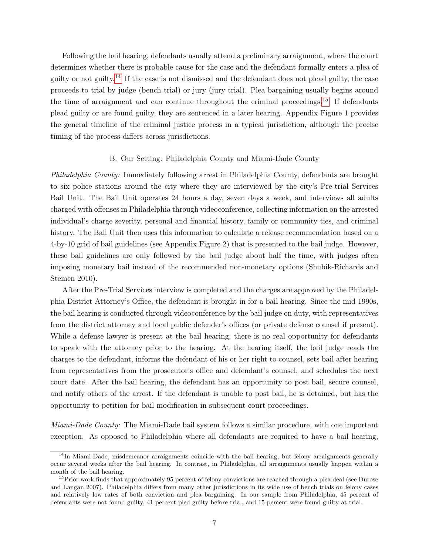Following the bail hearing, defendants usually attend a preliminary arraignment, where the court determines whether there is probable cause for the case and the defendant formally enters a plea of guilty or not guilty.<sup>[14](#page-7-0)</sup> If the case is not dismissed and the defendant does not plead guilty, the case proceeds to trial by judge (bench trial) or jury (jury trial). Plea bargaining usually begins around the time of arraignment and can continue throughout the criminal proceedings.<sup>[15](#page-7-1)</sup> If defendants plead guilty or are found guilty, they are sentenced in a later hearing. Appendix Figure 1 provides the general timeline of the criminal justice process in a typical jurisdiction, although the precise timing of the process differs across jurisdictions.

# B. Our Setting: Philadelphia County and Miami-Dade County

Philadelphia County: Immediately following arrest in Philadelphia County, defendants are brought to six police stations around the city where they are interviewed by the city's Pre-trial Services Bail Unit. The Bail Unit operates 24 hours a day, seven days a week, and interviews all adults charged with offenses in Philadelphia through videoconference, collecting information on the arrested individual's charge severity, personal and financial history, family or community ties, and criminal history. The Bail Unit then uses this information to calculate a release recommendation based on a 4-by-10 grid of bail guidelines (see Appendix Figure 2) that is presented to the bail judge. However, these bail guidelines are only followed by the bail judge about half the time, with judges often imposing monetary bail instead of the recommended non-monetary options (Shubik-Richards and Stemen 2010).

After the Pre-Trial Services interview is completed and the charges are approved by the Philadelphia District Attorney's Office, the defendant is brought in for a bail hearing. Since the mid 1990s, the bail hearing is conducted through videoconference by the bail judge on duty, with representatives from the district attorney and local public defender's offices (or private defense counsel if present). While a defense lawyer is present at the bail hearing, there is no real opportunity for defendants to speak with the attorney prior to the hearing. At the hearing itself, the bail judge reads the charges to the defendant, informs the defendant of his or her right to counsel, sets bail after hearing from representatives from the prosecutor's office and defendant's counsel, and schedules the next court date. After the bail hearing, the defendant has an opportunity to post bail, secure counsel, and notify others of the arrest. If the defendant is unable to post bail, he is detained, but has the opportunity to petition for bail modification in subsequent court proceedings.

*Miami-Dade County:* The Miami-Dade bail system follows a similar procedure, with one important exception. As opposed to Philadelphia where all defendants are required to have a bail hearing,

<span id="page-7-0"></span> $14$ In Miami-Dade, misdemeanor arraignments coincide with the bail hearing, but felony arraignments generally occur several weeks after the bail hearing. In contrast, in Philadelphia, all arraignments usually happen within a month of the bail hearing.

<span id="page-7-1"></span> $15$ Prior work finds that approximately 95 percent of felony convictions are reached through a plea deal (see Durose and Langan 2007). Philadelphia differs from many other jurisdictions in its wide use of bench trials on felony cases and relatively low rates of both conviction and plea bargaining. In our sample from Philadelphia, 45 percent of defendants were not found guilty, 41 percent pled guilty before trial, and 15 percent were found guilty at trial.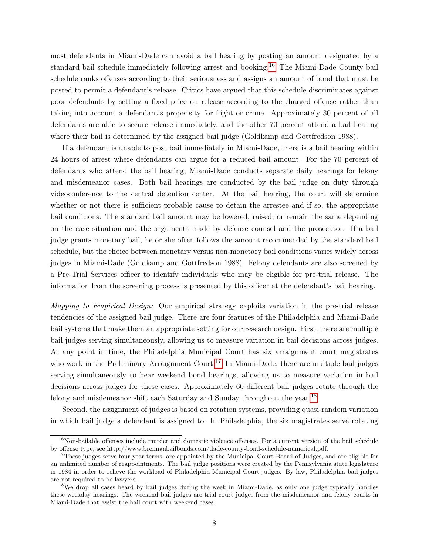most defendants in Miami-Dade can avoid a bail hearing by posting an amount designated by a standard bail schedule immediately following arrest and booking.<sup>[16](#page-8-0)</sup> The Miami-Dade County bail schedule ranks offenses according to their seriousness and assigns an amount of bond that must be posted to permit a defendant's release. Critics have argued that this schedule discriminates against poor defendants by setting a fixed price on release according to the charged offense rather than taking into account a defendant's propensity for flight or crime. Approximately 30 percent of all defendants are able to secure release immediately, and the other 70 percent attend a bail hearing where their bail is determined by the assigned bail judge (Goldkamp and Gottfredson 1988).

If a defendant is unable to post bail immediately in Miami-Dade, there is a bail hearing within 24 hours of arrest where defendants can argue for a reduced bail amount. For the 70 percent of defendants who attend the bail hearing, Miami-Dade conducts separate daily hearings for felony and misdemeanor cases. Both bail hearings are conducted by the bail judge on duty through videoconference to the central detention center. At the bail hearing, the court will determine whether or not there is sufficient probable cause to detain the arrestee and if so, the appropriate bail conditions. The standard bail amount may be lowered, raised, or remain the same depending on the case situation and the arguments made by defense counsel and the prosecutor. If a bail judge grants monetary bail, he or she often follows the amount recommended by the standard bail schedule, but the choice between monetary versus non-monetary bail conditions varies widely across judges in Miami-Dade (Goldkamp and Gottfredson 1988). Felony defendants are also screened by a Pre-Trial Services officer to identify individuals who may be eligible for pre-trial release. The information from the screening process is presented by this officer at the defendant's bail hearing.

Mapping to Empirical Design: Our empirical strategy exploits variation in the pre-trial release tendencies of the assigned bail judge. There are four features of the Philadelphia and Miami-Dade bail systems that make them an appropriate setting for our research design. First, there are multiple bail judges serving simultaneously, allowing us to measure variation in bail decisions across judges. At any point in time, the Philadelphia Municipal Court has six arraignment court magistrates who work in the Preliminary Arraignment Court.<sup>[17](#page-8-1)</sup> In Miami-Dade, there are multiple bail judges serving simultaneously to hear weekend bond hearings, allowing us to measure variation in bail decisions across judges for these cases. Approximately 60 different bail judges rotate through the felony and misdemeanor shift each Saturday and Sunday throughout the year.[18](#page-8-2)

Second, the assignment of judges is based on rotation systems, providing quasi-random variation in which bail judge a defendant is assigned to. In Philadelphia, the six magistrates serve rotating

<span id="page-8-0"></span> $16$ Non-bailable offenses include murder and domestic violence offenses. For a current version of the bail schedule by offense type, see http://www.brennanbailbonds.com/dade-county-bond-schedule-numerical.pdf.

<span id="page-8-1"></span><sup>&</sup>lt;sup>17</sup>These judges serve four-year terms, are appointed by the Municipal Court Board of Judges, and are eligible for an unlimited number of reappointments. The bail judge positions were created by the Pennsylvania state legislature in 1984 in order to relieve the workload of Philadelphia Municipal Court judges. By law, Philadelphia bail judges are not required to be lawyers.

<span id="page-8-2"></span><sup>&</sup>lt;sup>18</sup>We drop all cases heard by bail judges during the week in Miami-Dade, as only one judge typically handles these weekday hearings. The weekend bail judges are trial court judges from the misdemeanor and felony courts in Miami-Dade that assist the bail court with weekend cases.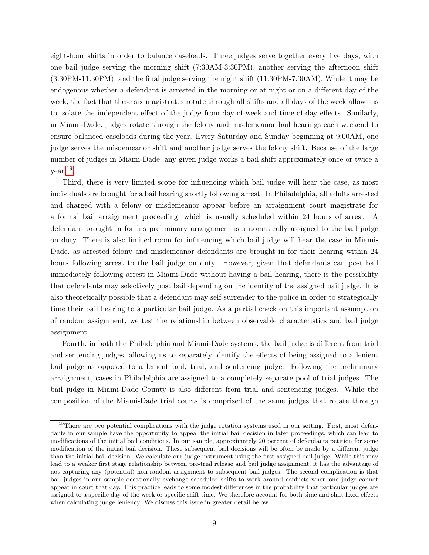eight-hour shifts in order to balance caseloads. Three judges serve together every five days, with one bail judge serving the morning shift (7:30AM-3:30PM), another serving the afternoon shift (3:30PM-11:30PM), and the final judge serving the night shift (11:30PM-7:30AM). While it may be endogenous whether a defendant is arrested in the morning or at night or on a different day of the week, the fact that these six magistrates rotate through all shifts and all days of the week allows us to isolate the independent effect of the judge from day-of-week and time-of-day effects. Similarly, in Miami-Dade, judges rotate through the felony and misdemeanor bail hearings each weekend to ensure balanced caseloads during the year. Every Saturday and Sunday beginning at 9:00AM, one judge serves the misdemeanor shift and another judge serves the felony shift. Because of the large number of judges in Miami-Dade, any given judge works a bail shift approximately once or twice a year.[19](#page-9-0)

Third, there is very limited scope for influencing which bail judge will hear the case, as most individuals are brought for a bail hearing shortly following arrest. In Philadelphia, all adults arrested and charged with a felony or misdemeanor appear before an arraignment court magistrate for a formal bail arraignment proceeding, which is usually scheduled within 24 hours of arrest. A defendant brought in for his preliminary arraignment is automatically assigned to the bail judge on duty. There is also limited room for influencing which bail judge will hear the case in Miami-Dade, as arrested felony and misdemeanor defendants are brought in for their hearing within 24 hours following arrest to the bail judge on duty. However, given that defendants can post bail immediately following arrest in Miami-Dade without having a bail hearing, there is the possibility that defendants may selectively post bail depending on the identity of the assigned bail judge. It is also theoretically possible that a defendant may self-surrender to the police in order to strategically time their bail hearing to a particular bail judge. As a partial check on this important assumption of random assignment, we test the relationship between observable characteristics and bail judge assignment.

Fourth, in both the Philadelphia and Miami-Dade systems, the bail judge is different from trial and sentencing judges, allowing us to separately identify the effects of being assigned to a lenient bail judge as opposed to a lenient bail, trial, and sentencing judge. Following the preliminary arraignment, cases in Philadelphia are assigned to a completely separate pool of trial judges. The bail judge in Miami-Dade County is also different from trial and sentencing judges. While the composition of the Miami-Dade trial courts is comprised of the same judges that rotate through

<span id="page-9-0"></span> $19$ There are two potential complications with the judge rotation systems used in our setting. First, most defendants in our sample have the opportunity to appeal the initial bail decision in later proceedings, which can lead to modifications of the initial bail conditions. In our sample, approximately 20 percent of defendants petition for some modification of the initial bail decision. These subsequent bail decisions will be often be made by a different judge than the initial bail decision. We calculate our judge instrument using the first assigned bail judge. While this may lead to a weaker first stage relationship between pre-trial release and bail judge assignment, it has the advantage of not capturing any (potential) non-random assignment to subsequent bail judges. The second complication is that bail judges in our sample occasionally exchange scheduled shifts to work around conflicts when one judge cannot appear in court that day. This practice leads to some modest differences in the probability that particular judges are assigned to a specific day-of-the-week or specific shift time. We therefore account for both time and shift fixed effects when calculating judge leniency. We discuss this issue in greater detail below.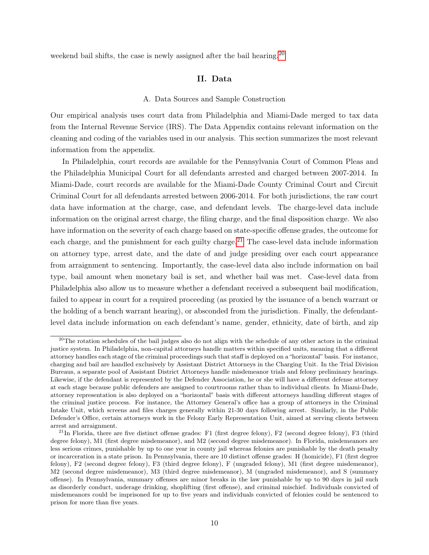<span id="page-10-0"></span>weekend bail shifts, the case is newly assigned after the bail hearing.<sup>[20](#page-10-1)</sup>

# II. Data

#### A. Data Sources and Sample Construction

Our empirical analysis uses court data from Philadelphia and Miami-Dade merged to tax data from the Internal Revenue Service (IRS). The Data Appendix contains relevant information on the cleaning and coding of the variables used in our analysis. This section summarizes the most relevant information from the appendix.

In Philadelphia, court records are available for the Pennsylvania Court of Common Pleas and the Philadelphia Municipal Court for all defendants arrested and charged between 2007-2014. In Miami-Dade, court records are available for the Miami-Dade County Criminal Court and Circuit Criminal Court for all defendants arrested between 2006-2014. For both jurisdictions, the raw court data have information at the charge, case, and defendant levels. The charge-level data include information on the original arrest charge, the filing charge, and the final disposition charge. We also have information on the severity of each charge based on state-specific offense grades, the outcome for each charge, and the punishment for each guilty charge.<sup>[21](#page-10-2)</sup> The case-level data include information on attorney type, arrest date, and the date of and judge presiding over each court appearance from arraignment to sentencing. Importantly, the case-level data also include information on bail type, bail amount when monetary bail is set, and whether bail was met. Case-level data from Philadelphia also allow us to measure whether a defendant received a subsequent bail modification, failed to appear in court for a required proceeding (as proxied by the issuance of a bench warrant or the holding of a bench warrant hearing), or absconded from the jurisdiction. Finally, the defendantlevel data include information on each defendant's name, gender, ethnicity, date of birth, and zip

<span id="page-10-1"></span> $^{20}$ The rotation schedules of the bail judges also do not align with the schedule of any other actors in the criminal justice system. In Philadelphia, non-capital attorneys handle matters within specified units, meaning that a different attorney handles each stage of the criminal proceedings such that staff is deployed on a "horizontal" basis. For instance, charging and bail are handled exclusively by Assistant District Attorneys in the Charging Unit. In the Trial Division Bureaus, a separate pool of Assistant District Attorneys handle misdemeanor trials and felony preliminary hearings. Likewise, if the defendant is represented by the Defender Association, he or she will have a different defense attorney at each stage because public defenders are assigned to courtrooms rather than to individual clients. In Miami-Dade, attorney representation is also deployed on a "horizontal" basis with different attorneys handling different stages of the criminal justice process. For instance, the Attorney General's office has a group of attorneys in the Criminal Intake Unit, which screens and files charges generally within 21-30 days following arrest. Similarly, in the Public Defender's Office, certain attorneys work in the Felony Early Representation Unit, aimed at serving clients between arrest and arraignment.

<span id="page-10-2"></span> $^{21}$ In Florida, there are five distinct offense grades: F1 (first degree felony), F2 (second degree felony), F3 (third degree felony), M1 (first degree misdemeanor), and M2 (second degree misdemeanor). In Florida, misdemeanors are less serious crimes, punishable by up to one year in county jail whereas felonies are punishable by the death penalty or incarceration in a state prison. In Pennsylvania, there are 10 distinct offense grades: H (homicide), F1 (first degree felony), F2 (second degree felony), F3 (third degree felony), F (ungraded felony), M1 (first degree misdemeanor), M2 (second degree misdemeanor), M3 (third degree misdemeanor), M (ungraded misdemeanor), and S (summary offense). In Pennsylvania, summary offenses are minor breaks in the law punishable by up to 90 days in jail such as disorderly conduct, underage drinking, shoplifting (first offense), and criminal mischief. Individuals convicted of misdemeanors could be imprisoned for up to five years and individuals convicted of felonies could be sentenced to prison for more than five years.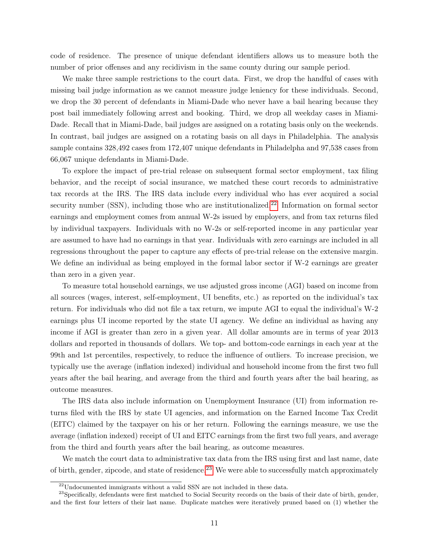code of residence. The presence of unique defendant identifiers allows us to measure both the number of prior offenses and any recidivism in the same county during our sample period.

We make three sample restrictions to the court data. First, we drop the handful of cases with missing bail judge information as we cannot measure judge leniency for these individuals. Second, we drop the 30 percent of defendants in Miami-Dade who never have a bail hearing because they post bail immediately following arrest and booking. Third, we drop all weekday cases in Miami-Dade. Recall that in Miami-Dade, bail judges are assigned on a rotating basis only on the weekends. In contrast, bail judges are assigned on a rotating basis on all days in Philadelphia. The analysis sample contains 328,492 cases from 172,407 unique defendants in Philadelpha and 97,538 cases from 66,067 unique defendants in Miami-Dade.

To explore the impact of pre-trial release on subsequent formal sector employment, tax filing behavior, and the receipt of social insurance, we matched these court records to administrative tax records at the IRS. The IRS data include every individual who has ever acquired a social security number  $(SSN)$ , including those who are institutionalized.<sup>[22](#page-11-0)</sup> Information on formal sector earnings and employment comes from annual W-2s issued by employers, and from tax returns filed by individual taxpayers. Individuals with no W-2s or self-reported income in any particular year are assumed to have had no earnings in that year. Individuals with zero earnings are included in all regressions throughout the paper to capture any effects of pre-trial release on the extensive margin. We define an individual as being employed in the formal labor sector if W-2 earnings are greater than zero in a given year.

To measure total household earnings, we use adjusted gross income (AGI) based on income from all sources (wages, interest, self-employment, UI benefits, etc.) as reported on the individual's tax return. For individuals who did not file a tax return, we impute AGI to equal the individual's W-2 earnings plus UI income reported by the state UI agency. We define an individual as having any income if AGI is greater than zero in a given year. All dollar amounts are in terms of year 2013 dollars and reported in thousands of dollars. We top- and bottom-code earnings in each year at the 99th and 1st percentiles, respectively, to reduce the influence of outliers. To increase precision, we typically use the average (inflation indexed) individual and household income from the first two full years after the bail hearing, and average from the third and fourth years after the bail hearing, as outcome measures.

The IRS data also include information on Unemployment Insurance (UI) from information returns filed with the IRS by state UI agencies, and information on the Earned Income Tax Credit (EITC) claimed by the taxpayer on his or her return. Following the earnings measure, we use the average (inflation indexed) receipt of UI and EITC earnings from the first two full years, and average from the third and fourth years after the bail hearing, as outcome measures.

We match the court data to administrative tax data from the IRS using first and last name, date of birth, gender, zipcode, and state of residence.<sup>[23](#page-11-1)</sup> We were able to successfully match approximately

<span id="page-11-1"></span><span id="page-11-0"></span> $^{22}$ Undocumented immigrants without a valid SSN are not included in these data.

<sup>&</sup>lt;sup>23</sup>Specifically, defendants were first matched to Social Security records on the basis of their date of birth, gender, and the first four letters of their last name. Duplicate matches were iteratively pruned based on (1) whether the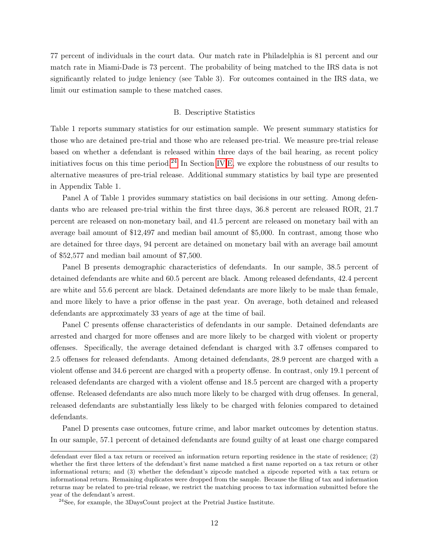77 percent of individuals in the court data. Our match rate in Philadelphia is 81 percent and our match rate in Miami-Dade is 73 percent. The probability of being matched to the IRS data is not significantly related to judge leniency (see Table 3). For outcomes contained in the IRS data, we limit our estimation sample to these matched cases.

#### B. Descriptive Statistics

Table 1 reports summary statistics for our estimation sample. We present summary statistics for those who are detained pre-trial and those who are released pre-trial. We measure pre-trial release based on whether a defendant is released within three days of the bail hearing, as recent policy initiatives focus on this time period.<sup>[24](#page-12-0)</sup> In Section [IV.](#page-18-0)[E,](#page-25-1) we explore the robustness of our results to alternative measures of pre-trial release. Additional summary statistics by bail type are presented in Appendix Table 1.

Panel A of Table 1 provides summary statistics on bail decisions in our setting. Among defendants who are released pre-trial within the first three days, 36.8 percent are released ROR, 21.7 percent are released on non-monetary bail, and 41.5 percent are released on monetary bail with an average bail amount of \$12,497 and median bail amount of \$5,000. In contrast, among those who are detained for three days, 94 percent are detained on monetary bail with an average bail amount of \$52,577 and median bail amount of \$7,500.

Panel B presents demographic characteristics of defendants. In our sample, 38.5 percent of detained defendants are white and 60.5 percent are black. Among released defendants, 42.4 percent are white and 55.6 percent are black. Detained defendants are more likely to be male than female, and more likely to have a prior offense in the past year. On average, both detained and released defendants are approximately 33 years of age at the time of bail.

Panel C presents offense characteristics of defendants in our sample. Detained defendants are arrested and charged for more offenses and are more likely to be charged with violent or property offenses. Specifically, the average detained defendant is charged with 3.7 offenses compared to 2.5 offenses for released defendants. Among detained defendants, 28.9 percent are charged with a violent offense and 34.6 percent are charged with a property offense. In contrast, only 19.1 percent of released defendants are charged with a violent offense and 18.5 percent are charged with a property offense. Released defendants are also much more likely to be charged with drug offenses. In general, released defendants are substantially less likely to be charged with felonies compared to detained defendants.

Panel D presents case outcomes, future crime, and labor market outcomes by detention status. In our sample, 57.1 percent of detained defendants are found guilty of at least one charge compared

defendant ever filed a tax return or received an information return reporting residence in the state of residence; (2) whether the first three letters of the defendant's first name matched a first name reported on a tax return or other informational return; and (3) whether the defendant's zipcode matched a zipcode reported with a tax return or informational return. Remaining duplicates were dropped from the sample. Because the filing of tax and information returns may be related to pre-trial release, we restrict the matching process to tax information submitted before the year of the defendant's arrest.

<span id="page-12-0"></span><sup>24</sup>See, for example, the 3DaysCount project at the Pretrial Justice Institute.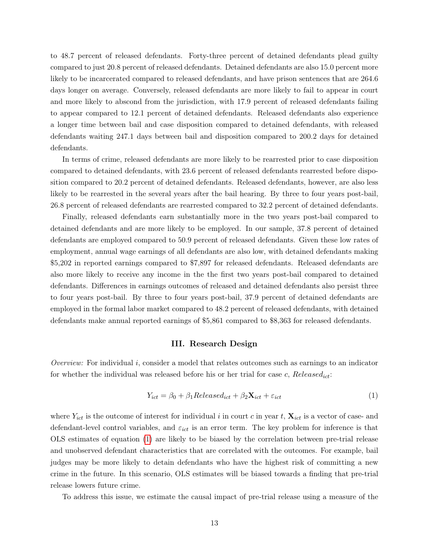to 48.7 percent of released defendants. Forty-three percent of detained defendants plead guilty compared to just 20.8 percent of released defendants. Detained defendants are also 15.0 percent more likely to be incarcerated compared to released defendants, and have prison sentences that are 264.6 days longer on average. Conversely, released defendants are more likely to fail to appear in court and more likely to abscond from the jurisdiction, with 17.9 percent of released defendants failing to appear compared to 12.1 percent of detained defendants. Released defendants also experience a longer time between bail and case disposition compared to detained defendants, with released defendants waiting 247.1 days between bail and disposition compared to 200.2 days for detained defendants.

In terms of crime, released defendants are more likely to be rearrested prior to case disposition compared to detained defendants, with 23.6 percent of released defendants rearrested before disposition compared to 20.2 percent of detained defendants. Released defendants, however, are also less likely to be rearrested in the several years after the bail hearing. By three to four years post-bail, 26.8 percent of released defendants are rearrested compared to 32.2 percent of detained defendants.

Finally, released defendants earn substantially more in the two years post-bail compared to detained defendants and are more likely to be employed. In our sample, 37.8 percent of detained defendants are employed compared to 50.9 percent of released defendants. Given these low rates of employment, annual wage earnings of all defendants are also low, with detained defendants making \$5,202 in reported earnings compared to \$7,897 for released defendants. Released defendants are also more likely to receive any income in the the first two years post-bail compared to detained defendants. Differences in earnings outcomes of released and detained defendants also persist three to four years post-bail. By three to four years post-bail, 37.9 percent of detained defendants are employed in the formal labor market compared to 48.2 percent of released defendants, with detained defendants make annual reported earnings of \$5,861 compared to \$8,363 for released defendants.

## III. Research Design

<span id="page-13-0"></span>Overview: For individual i, consider a model that relates outcomes such as earnings to an indicator for whether the individual was released before his or her trial for case  $c$ , Released<sub>ict</sub>:

<span id="page-13-1"></span>
$$
Y_{ict} = \beta_0 + \beta_1 Release d_{ict} + \beta_2 \mathbf{X}_{ict} + \varepsilon_{ict}
$$
\n(1)

where  $Y_{ict}$  is the outcome of interest for individual i in court c in year t,  $\mathbf{X}_{ict}$  is a vector of case- and defendant-level control variables, and  $\varepsilon_{ict}$  is an error term. The key problem for inference is that OLS estimates of equation [\(1\)](#page-13-1) are likely to be biased by the correlation between pre-trial release and unobserved defendant characteristics that are correlated with the outcomes. For example, bail judges may be more likely to detain defendants who have the highest risk of committing a new crime in the future. In this scenario, OLS estimates will be biased towards a finding that pre-trial release lowers future crime.

To address this issue, we estimate the causal impact of pre-trial release using a measure of the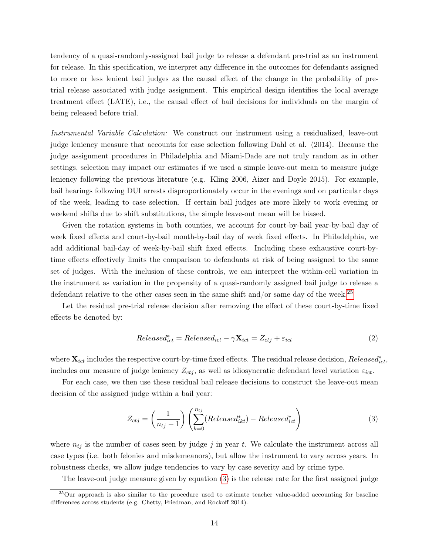tendency of a quasi-randomly-assigned bail judge to release a defendant pre-trial as an instrument for release. In this specification, we interpret any difference in the outcomes for defendants assigned to more or less lenient bail judges as the causal effect of the change in the probability of pretrial release associated with judge assignment. This empirical design identifies the local average treatment effect (LATE), i.e., the causal effect of bail decisions for individuals on the margin of being released before trial.

Instrumental Variable Calculation: We construct our instrument using a residualized, leave-out judge leniency measure that accounts for case selection following Dahl et al. (2014). Because the judge assignment procedures in Philadelphia and Miami-Dade are not truly random as in other settings, selection may impact our estimates if we used a simple leave-out mean to measure judge leniency following the previous literature (e.g. Kling 2006, Aizer and Doyle 2015). For example, bail hearings following DUI arrests disproportionately occur in the evenings and on particular days of the week, leading to case selection. If certain bail judges are more likely to work evening or weekend shifts due to shift substitutions, the simple leave-out mean will be biased.

Given the rotation systems in both counties, we account for court-by-bail year-by-bail day of week fixed effects and court-by-bail month-by-bail day of week fixed effects. In Philadelphia, we add additional bail-day of week-by-bail shift fixed effects. Including these exhaustive court-bytime effects effectively limits the comparison to defendants at risk of being assigned to the same set of judges. With the inclusion of these controls, we can interpret the within-cell variation in the instrument as variation in the propensity of a quasi-randomly assigned bail judge to release a defendant relative to the other cases seen in the same shift and/or same day of the week.<sup>[25](#page-14-0)</sup>

Let the residual pre-trial release decision after removing the effect of these court-by-time fixed effects be denoted by:

$$
Released_{ict}^* = Released_{ict} - \gamma \mathbf{X}_{ict} = Z_{ctj} + \varepsilon_{ict}
$$
\n(2)

where  $\mathbf{X}_{ict}$  includes the respective court-by-time fixed effects. The residual release decision,  $Released_{ict}^*$ , includes our measure of judge leniency  $Z_{ctj}$ , as well as idiosyncratic defendant level variation  $\varepsilon_{ict}$ .

For each case, we then use these residual bail release decisions to construct the leave-out mean decision of the assigned judge within a bail year:

<span id="page-14-1"></span>
$$
Z_{ctj} = \left(\frac{1}{n_{tj} - 1}\right) \left(\sum_{k=0}^{n_{tj}} (Released_{ikt}^*) - Released_{ict}^*\right)
$$
 (3)

where  $n_{tj}$  is the number of cases seen by judge j in year t. We calculate the instrument across all case types (i.e. both felonies and misdemeanors), but allow the instrument to vary across years. In robustness checks, we allow judge tendencies to vary by case severity and by crime type.

<span id="page-14-0"></span>The leave-out judge measure given by equation [\(3\)](#page-14-1) is the release rate for the first assigned judge

<sup>25</sup>Our approach is also similar to the procedure used to estimate teacher value-added accounting for baseline differences across students (e.g. Chetty, Friedman, and Rockoff 2014).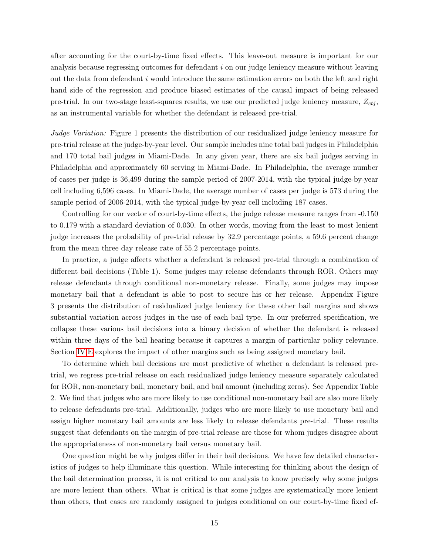after accounting for the court-by-time fixed effects. This leave-out measure is important for our analysis because regressing outcomes for defendant i on our judge leniency measure without leaving out the data from defendant  $i$  would introduce the same estimation errors on both the left and right hand side of the regression and produce biased estimates of the causal impact of being released pre-trial. In our two-stage least-squares results, we use our predicted judge leniency measure,  $Z_{cti}$ , as an instrumental variable for whether the defendant is released pre-trial.

Judge Variation: Figure 1 presents the distribution of our residualized judge leniency measure for pre-trial release at the judge-by-year level. Our sample includes nine total bail judges in Philadelphia and 170 total bail judges in Miami-Dade. In any given year, there are six bail judges serving in Philadelphia and approximately 60 serving in Miami-Dade. In Philadelphia, the average number of cases per judge is 36,499 during the sample period of 2007-2014, with the typical judge-by-year cell including 6,596 cases. In Miami-Dade, the average number of cases per judge is 573 during the sample period of 2006-2014, with the typical judge-by-year cell including 187 cases.

Controlling for our vector of court-by-time effects, the judge release measure ranges from -0.150 to 0.179 with a standard deviation of 0.030. In other words, moving from the least to most lenient judge increases the probability of pre-trial release by 32.9 percentage points, a 59.6 percent change from the mean three day release rate of 55.2 percentage points.

In practice, a judge affects whether a defendant is released pre-trial through a combination of different bail decisions (Table 1). Some judges may release defendants through ROR. Others may release defendants through conditional non-monetary release. Finally, some judges may impose monetary bail that a defendant is able to post to secure his or her release. Appendix Figure 3 presents the distribution of residualized judge leniency for these other bail margins and shows substantial variation across judges in the use of each bail type. In our preferred specification, we collapse these various bail decisions into a binary decision of whether the defendant is released within three days of the bail hearing because it captures a margin of particular policy relevance. Section [IV.](#page-18-0)[E](#page-25-1) explores the impact of other margins such as being assigned monetary bail.

To determine which bail decisions are most predictive of whether a defendant is released pretrial, we regress pre-trial release on each residualized judge leniency measure separately calculated for ROR, non-monetary bail, monetary bail, and bail amount (including zeros). See Appendix Table 2. We find that judges who are more likely to use conditional non-monetary bail are also more likely to release defendants pre-trial. Additionally, judges who are more likely to use monetary bail and assign higher monetary bail amounts are less likely to release defendants pre-trial. These results suggest that defendants on the margin of pre-trial release are those for whom judges disagree about the appropriateness of non-monetary bail versus monetary bail.

One question might be why judges differ in their bail decisions. We have few detailed characteristics of judges to help illuminate this question. While interesting for thinking about the design of the bail determination process, it is not critical to our analysis to know precisely why some judges are more lenient than others. What is critical is that some judges are systematically more lenient than others, that cases are randomly assigned to judges conditional on our court-by-time fixed ef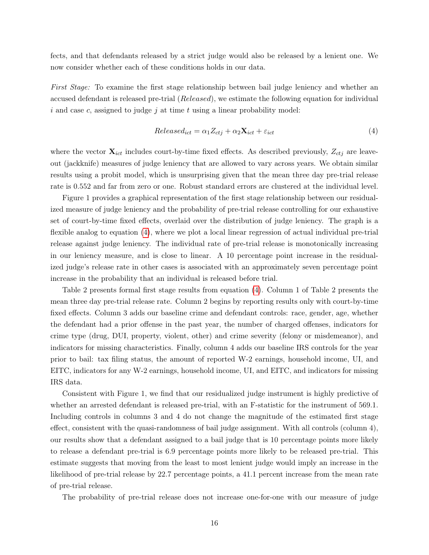fects, and that defendants released by a strict judge would also be released by a lenient one. We now consider whether each of these conditions holds in our data.

First Stage: To examine the first stage relationship between bail judge leniency and whether an accused defendant is released pre-trial (Released), we estimate the following equation for individual i and case c, assigned to judge j at time t using a linear probability model:

<span id="page-16-0"></span>
$$
Released_{ict} = \alpha_1 Z_{ctj} + \alpha_2 \mathbf{X}_{ict} + \varepsilon_{ict}
$$
\n
$$
\tag{4}
$$

where the vector  $\mathbf{X}_{ict}$  includes court-by-time fixed effects. As described previously,  $Z_{ctj}$  are leaveout (jackknife) measures of judge leniency that are allowed to vary across years. We obtain similar results using a probit model, which is unsurprising given that the mean three day pre-trial release rate is 0.552 and far from zero or one. Robust standard errors are clustered at the individual level.

Figure 1 provides a graphical representation of the first stage relationship between our residualized measure of judge leniency and the probability of pre-trial release controlling for our exhaustive set of court-by-time fixed effects, overlaid over the distribution of judge leniency. The graph is a flexible analog to equation [\(4\)](#page-16-0), where we plot a local linear regression of actual individual pre-trial release against judge leniency. The individual rate of pre-trial release is monotonically increasing in our leniency measure, and is close to linear. A 10 percentage point increase in the residualized judge's release rate in other cases is associated with an approximately seven percentage point increase in the probability that an individual is released before trial.

Table 2 presents formal first stage results from equation [\(4\)](#page-16-0). Column 1 of Table 2 presents the mean three day pre-trial release rate. Column 2 begins by reporting results only with court-by-time fixed effects. Column 3 adds our baseline crime and defendant controls: race, gender, age, whether the defendant had a prior offense in the past year, the number of charged offenses, indicators for crime type (drug, DUI, property, violent, other) and crime severity (felony or misdemeanor), and indicators for missing characteristics. Finally, column 4 adds our baseline IRS controls for the year prior to bail: tax filing status, the amount of reported W-2 earnings, household income, UI, and EITC, indicators for any W-2 earnings, household income, UI, and EITC, and indicators for missing IRS data.

Consistent with Figure 1, we find that our residualized judge instrument is highly predictive of whether an arrested defendant is released pre-trial, with an F-statistic for the instrument of 569.1. Including controls in columns 3 and 4 do not change the magnitude of the estimated first stage effect, consistent with the quasi-randomness of bail judge assignment. With all controls (column 4), our results show that a defendant assigned to a bail judge that is 10 percentage points more likely to release a defendant pre-trial is 6.9 percentage points more likely to be released pre-trial. This estimate suggests that moving from the least to most lenient judge would imply an increase in the likelihood of pre-trial release by 22.7 percentage points, a 41.1 percent increase from the mean rate of pre-trial release.

The probability of pre-trial release does not increase one-for-one with our measure of judge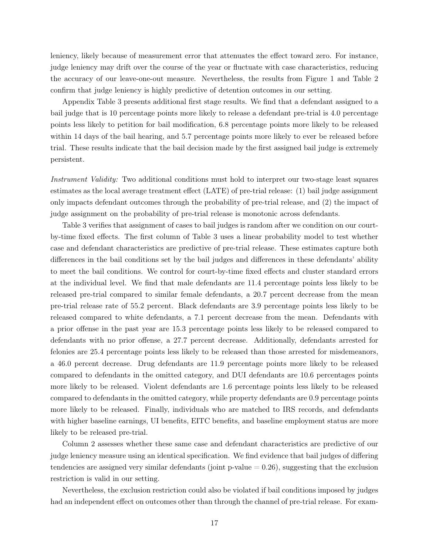leniency, likely because of measurement error that attenuates the effect toward zero. For instance, judge leniency may drift over the course of the year or fluctuate with case characteristics, reducing the accuracy of our leave-one-out measure. Nevertheless, the results from Figure 1 and Table 2 confirm that judge leniency is highly predictive of detention outcomes in our setting.

Appendix Table 3 presents additional first stage results. We find that a defendant assigned to a bail judge that is 10 percentage points more likely to release a defendant pre-trial is 4.0 percentage points less likely to petition for bail modification, 6.8 percentage points more likely to be released within 14 days of the bail hearing, and 5.7 percentage points more likely to ever be released before trial. These results indicate that the bail decision made by the first assigned bail judge is extremely persistent.

Instrument Validity: Two additional conditions must hold to interpret our two-stage least squares estimates as the local average treatment effect (LATE) of pre-trial release: (1) bail judge assignment only impacts defendant outcomes through the probability of pre-trial release, and (2) the impact of judge assignment on the probability of pre-trial release is monotonic across defendants.

Table 3 verifies that assignment of cases to bail judges is random after we condition on our courtby-time fixed effects. The first column of Table 3 uses a linear probability model to test whether case and defendant characteristics are predictive of pre-trial release. These estimates capture both differences in the bail conditions set by the bail judges and differences in these defendants' ability to meet the bail conditions. We control for court-by-time fixed effects and cluster standard errors at the individual level. We find that male defendants are 11.4 percentage points less likely to be released pre-trial compared to similar female defendants, a 20.7 percent decrease from the mean pre-trial release rate of 55.2 percent. Black defendants are 3.9 percentage points less likely to be released compared to white defendants, a 7.1 percent decrease from the mean. Defendants with a prior offense in the past year are 15.3 percentage points less likely to be released compared to defendants with no prior offense, a 27.7 percent decrease. Additionally, defendants arrested for felonies are 25.4 percentage points less likely to be released than those arrested for misdemeanors, a 46.0 percent decrease. Drug defendants are 11.9 percentage points more likely to be released compared to defendants in the omitted category, and DUI defendants are 10.6 percentages points more likely to be released. Violent defendants are 1.6 percentage points less likely to be released compared to defendants in the omitted category, while property defendants are 0.9 percentage points more likely to be released. Finally, individuals who are matched to IRS records, and defendants with higher baseline earnings, UI benefits, EITC benefits, and baseline employment status are more likely to be released pre-trial.

Column 2 assesses whether these same case and defendant characteristics are predictive of our judge leniency measure using an identical specification. We find evidence that bail judges of differing tendencies are assigned very similar defendants (joint  $p$ -value  $= 0.26$ ), suggesting that the exclusion restriction is valid in our setting.

Nevertheless, the exclusion restriction could also be violated if bail conditions imposed by judges had an independent effect on outcomes other than through the channel of pre-trial release. For exam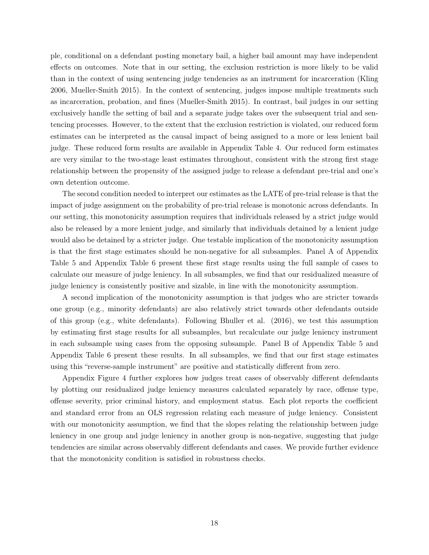ple, conditional on a defendant posting monetary bail, a higher bail amount may have independent effects on outcomes. Note that in our setting, the exclusion restriction is more likely to be valid than in the context of using sentencing judge tendencies as an instrument for incarceration (Kling 2006, Mueller-Smith 2015). In the context of sentencing, judges impose multiple treatments such as incarceration, probation, and fines (Mueller-Smith 2015). In contrast, bail judges in our setting exclusively handle the setting of bail and a separate judge takes over the subsequent trial and sentencing processes. However, to the extent that the exclusion restriction is violated, our reduced form estimates can be interpreted as the causal impact of being assigned to a more or less lenient bail judge. These reduced form results are available in Appendix Table 4. Our reduced form estimates are very similar to the two-stage least estimates throughout, consistent with the strong first stage relationship between the propensity of the assigned judge to release a defendant pre-trial and one's own detention outcome.

The second condition needed to interpret our estimates as the LATE of pre-trial release is that the impact of judge assignment on the probability of pre-trial release is monotonic across defendants. In our setting, this monotonicity assumption requires that individuals released by a strict judge would also be released by a more lenient judge, and similarly that individuals detained by a lenient judge would also be detained by a stricter judge. One testable implication of the monotonicity assumption is that the first stage estimates should be non-negative for all subsamples. Panel A of Appendix Table 5 and Appendix Table 6 present these first stage results using the full sample of cases to calculate our measure of judge leniency. In all subsamples, we find that our residualized measure of judge leniency is consistently positive and sizable, in line with the monotonicity assumption.

A second implication of the monotonicity assumption is that judges who are stricter towards one group (e.g., minority defendants) are also relatively strict towards other defendants outside of this group (e.g., white defendants). Following Bhuller et al. (2016), we test this assumption by estimating first stage results for all subsamples, but recalculate our judge leniency instrument in each subsample using cases from the opposing subsample. Panel B of Appendix Table 5 and Appendix Table 6 present these results. In all subsamples, we find that our first stage estimates using this "reverse-sample instrument" are positive and statistically different from zero.

<span id="page-18-0"></span>Appendix Figure 4 further explores how judges treat cases of observably different defendants by plotting our residualized judge leniency measures calculated separately by race, offense type, offense severity, prior criminal history, and employment status. Each plot reports the coefficient and standard error from an OLS regression relating each measure of judge leniency. Consistent with our monotonicity assumption, we find that the slopes relating the relationship between judge leniency in one group and judge leniency in another group is non-negative, suggesting that judge tendencies are similar across observably different defendants and cases. We provide further evidence that the monotonicity condition is satisfied in robustness checks.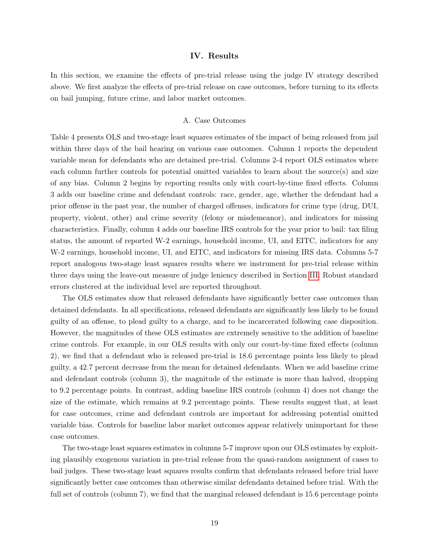#### IV. Results

In this section, we examine the effects of pre-trial release using the judge IV strategy described above. We first analyze the effects of pre-trial release on case outcomes, before turning to its effects on bail jumping, future crime, and labor market outcomes.

# A. Case Outcomes

Table 4 presents OLS and two-stage least squares estimates of the impact of being released from jail within three days of the bail hearing on various case outcomes. Column 1 reports the dependent variable mean for defendants who are detained pre-trial. Columns 2-4 report OLS estimates where each column further controls for potential omitted variables to learn about the source(s) and size of any bias. Column 2 begins by reporting results only with court-by-time fixed effects. Column 3 adds our baseline crime and defendant controls: race, gender, age, whether the defendant had a prior offense in the past year, the number of charged offenses, indicators for crime type (drug, DUI, property, violent, other) and crime severity (felony or misdemeanor), and indicators for missing characteristics. Finally, column 4 adds our baseline IRS controls for the year prior to bail: tax filing status, the amount of reported W-2 earnings, household income, UI, and EITC, indicators for any W-2 earnings, household income, UI, and EITC, and indicators for missing IRS data. Columns 5-7 report analogous two-stage least squares results where we instrument for pre-trial release within three days using the leave-out measure of judge leniency described in Section [III.](#page-13-0) Robust standard errors clustered at the individual level are reported throughout.

The OLS estimates show that released defendants have significantly better case outcomes than detained defendants. In all specifications, released defendants are significantly less likely to be found guilty of an offense, to plead guilty to a charge, and to be incarcerated following case disposition. However, the magnitudes of these OLS estimates are extremely sensitive to the addition of baseline crime controls. For example, in our OLS results with only our court-by-time fixed effects (column 2), we find that a defendant who is released pre-trial is 18.6 percentage points less likely to plead guilty, a 42.7 percent decrease from the mean for detained defendants. When we add baseline crime and defendant controls (column 3), the magnitude of the estimate is more than halved, dropping to 9.2 percentage points. In contrast, adding baseline IRS controls (column 4) does not change the size of the estimate, which remains at 9.2 percentage points. These results suggest that, at least for case outcomes, crime and defendant controls are important for addressing potential omitted variable bias. Controls for baseline labor market outcomes appear relatively unimportant for these case outcomes.

The two-stage least squares estimates in columns 5-7 improve upon our OLS estimates by exploiting plausibly exogenous variation in pre-trial release from the quasi-random assignment of cases to bail judges. These two-stage least squares results confirm that defendants released before trial have significantly better case outcomes than otherwise similar defendants detained before trial. With the full set of controls (column 7), we find that the marginal released defendant is 15.6 percentage points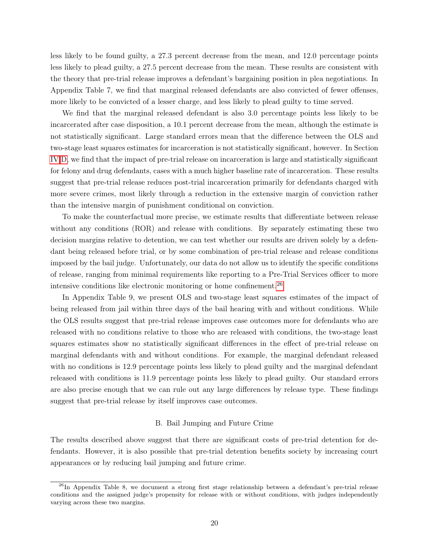less likely to be found guilty, a 27.3 percent decrease from the mean, and 12.0 percentage points less likely to plead guilty, a 27.5 percent decrease from the mean. These results are consistent with the theory that pre-trial release improves a defendant's bargaining position in plea negotiations. In Appendix Table 7, we find that marginal released defendants are also convicted of fewer offenses, more likely to be convicted of a lesser charge, and less likely to plead guilty to time served.

We find that the marginal released defendant is also 3.0 percentage points less likely to be incarcerated after case disposition, a 10.1 percent decrease from the mean, although the estimate is not statistically significant. Large standard errors mean that the difference between the OLS and two-stage least squares estimates for incarceration is not statistically significant, however. In Section [IV](#page-18-0)[.D,](#page-23-0) we find that the impact of pre-trial release on incarceration is large and statistically significant for felony and drug defendants, cases with a much higher baseline rate of incarceration. These results suggest that pre-trial release reduces post-trial incarceration primarily for defendants charged with more severe crimes, most likely through a reduction in the extensive margin of conviction rather than the intensive margin of punishment conditional on conviction.

To make the counterfactual more precise, we estimate results that differentiate between release without any conditions (ROR) and release with conditions. By separately estimating these two decision margins relative to detention, we can test whether our results are driven solely by a defendant being released before trial, or by some combination of pre-trial release and release conditions imposed by the bail judge. Unfortunately, our data do not allow us to identify the specific conditions of release, ranging from minimal requirements like reporting to a Pre-Trial Services officer to more intensive conditions like electronic monitoring or home confinement.[26](#page-20-0)

In Appendix Table 9, we present OLS and two-stage least squares estimates of the impact of being released from jail within three days of the bail hearing with and without conditions. While the OLS results suggest that pre-trial release improves case outcomes more for defendants who are released with no conditions relative to those who are released with conditions, the two-stage least squares estimates show no statistically significant differences in the effect of pre-trial release on marginal defendants with and without conditions. For example, the marginal defendant released with no conditions is 12.9 percentage points less likely to plead guilty and the marginal defendant released with conditions is 11.9 percentage points less likely to plead guilty. Our standard errors are also precise enough that we can rule out any large differences by release type. These findings suggest that pre-trial release by itself improves case outcomes.

#### B. Bail Jumping and Future Crime

The results described above suggest that there are significant costs of pre-trial detention for defendants. However, it is also possible that pre-trial detention benefits society by increasing court appearances or by reducing bail jumping and future crime.

<span id="page-20-0"></span><sup>&</sup>lt;sup>26</sup>In Appendix Table 8, we document a strong first stage relationship between a defendant's pre-trial release conditions and the assigned judge's propensity for release with or without conditions, with judges independently varying across these two margins.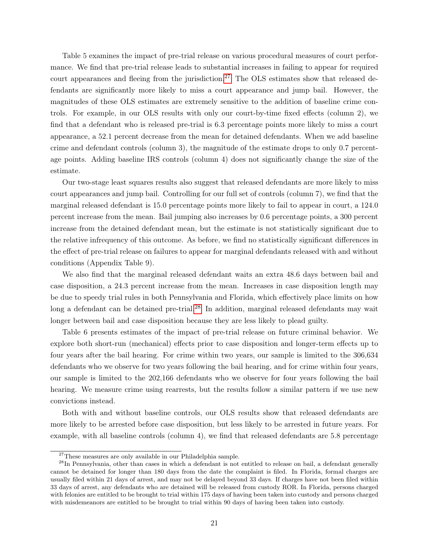Table 5 examines the impact of pre-trial release on various procedural measures of court performance. We find that pre-trial release leads to substantial increases in failing to appear for required court appearances and fleeing from the jurisdiction.<sup>[27](#page-21-0)</sup> The OLS estimates show that released defendants are significantly more likely to miss a court appearance and jump bail. However, the magnitudes of these OLS estimates are extremely sensitive to the addition of baseline crime controls. For example, in our OLS results with only our court-by-time fixed effects (column 2), we find that a defendant who is released pre-trial is 6.3 percentage points more likely to miss a court appearance, a 52.1 percent decrease from the mean for detained defendants. When we add baseline crime and defendant controls (column 3), the magnitude of the estimate drops to only 0.7 percentage points. Adding baseline IRS controls (column 4) does not significantly change the size of the estimate.

Our two-stage least squares results also suggest that released defendants are more likely to miss court appearances and jump bail. Controlling for our full set of controls (column 7), we find that the marginal released defendant is 15.0 percentage points more likely to fail to appear in court, a 124.0 percent increase from the mean. Bail jumping also increases by 0.6 percentage points, a 300 percent increase from the detained defendant mean, but the estimate is not statistically significant due to the relative infrequency of this outcome. As before, we find no statistically significant differences in the effect of pre-trial release on failures to appear for marginal defendants released with and without conditions (Appendix Table 9).

We also find that the marginal released defendant waits an extra 48.6 days between bail and case disposition, a 24.3 percent increase from the mean. Increases in case disposition length may be due to speedy trial rules in both Pennsylvania and Florida, which effectively place limits on how long a defendant can be detained pre-trial.<sup>[28](#page-21-1)</sup> In addition, marginal released defendants may wait longer between bail and case disposition because they are less likely to plead guilty.

Table 6 presents estimates of the impact of pre-trial release on future criminal behavior. We explore both short-run (mechanical) effects prior to case disposition and longer-term effects up to four years after the bail hearing. For crime within two years, our sample is limited to the 306,634 defendants who we observe for two years following the bail hearing, and for crime within four years, our sample is limited to the 202,166 defendants who we observe for four years following the bail hearing. We measure crime using rearrests, but the results follow a similar pattern if we use new convictions instead.

Both with and without baseline controls, our OLS results show that released defendants are more likely to be arrested before case disposition, but less likely to be arrested in future years. For example, with all baseline controls (column 4), we find that released defendants are 5.8 percentage

<span id="page-21-1"></span><span id="page-21-0"></span><sup>&</sup>lt;sup>27</sup>These measures are only available in our Philadelphia sample.

 $^{28}$ In Pennsylvania, other than cases in which a defendant is not entitled to release on bail, a defendant generally cannot be detained for longer than 180 days from the date the complaint is filed. In Florida, formal charges are usually filed within 21 days of arrest, and may not be delayed beyond 33 days. If charges have not been filed within 33 days of arrest, any defendants who are detained will be released from custody ROR. In Florida, persons charged with felonies are entitled to be brought to trial within 175 days of having been taken into custody and persons charged with misdemeanors are entitled to be brought to trial within 90 days of having been taken into custody.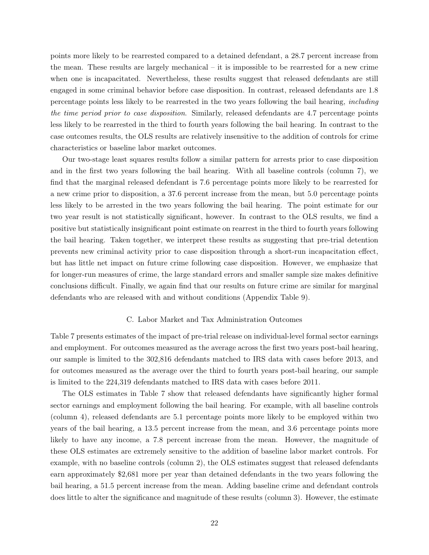points more likely to be rearrested compared to a detained defendant, a 28.7 percent increase from the mean. These results are largely mechanical – it is impossible to be rearrested for a new crime when one is incapacitated. Nevertheless, these results suggest that released defendants are still engaged in some criminal behavior before case disposition. In contrast, released defendants are 1.8 percentage points less likely to be rearrested in the two years following the bail hearing, including the time period prior to case disposition. Similarly, released defendants are 4.7 percentage points less likely to be rearrested in the third to fourth years following the bail hearing. In contrast to the case outcomes results, the OLS results are relatively insensitive to the addition of controls for crime characteristics or baseline labor market outcomes.

Our two-stage least squares results follow a similar pattern for arrests prior to case disposition and in the first two years following the bail hearing. With all baseline controls (column 7), we find that the marginal released defendant is 7.6 percentage points more likely to be rearrested for a new crime prior to disposition, a 37.6 percent increase from the mean, but 5.0 percentage points less likely to be arrested in the two years following the bail hearing. The point estimate for our two year result is not statistically significant, however. In contrast to the OLS results, we find a positive but statistically insignificant point estimate on rearrest in the third to fourth years following the bail hearing. Taken together, we interpret these results as suggesting that pre-trial detention prevents new criminal activity prior to case disposition through a short-run incapacitation effect, but has little net impact on future crime following case disposition. However, we emphasize that for longer-run measures of crime, the large standard errors and smaller sample size makes definitive conclusions difficult. Finally, we again find that our results on future crime are similar for marginal defendants who are released with and without conditions (Appendix Table 9).

# C. Labor Market and Tax Administration Outcomes

Table 7 presents estimates of the impact of pre-trial release on individual-level formal sector earnings and employment. For outcomes measured as the average across the first two years post-bail hearing, our sample is limited to the 302,816 defendants matched to IRS data with cases before 2013, and for outcomes measured as the average over the third to fourth years post-bail hearing, our sample is limited to the 224,319 defendants matched to IRS data with cases before 2011.

The OLS estimates in Table 7 show that released defendants have significantly higher formal sector earnings and employment following the bail hearing. For example, with all baseline controls (column 4), released defendants are 5.1 percentage points more likely to be employed within two years of the bail hearing, a 13.5 percent increase from the mean, and 3.6 percentage points more likely to have any income, a 7.8 percent increase from the mean. However, the magnitude of these OLS estimates are extremely sensitive to the addition of baseline labor market controls. For example, with no baseline controls (column 2), the OLS estimates suggest that released defendants earn approximately \$2,681 more per year than detained defendants in the two years following the bail hearing, a 51.5 percent increase from the mean. Adding baseline crime and defendant controls does little to alter the significance and magnitude of these results (column 3). However, the estimate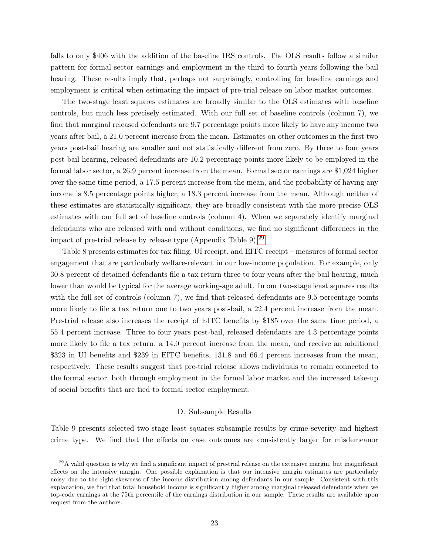falls to only \$406 with the addition of the baseline IRS controls. The OLS results follow a similar pattern for formal sector earnings and employment in the third to fourth years following the bail hearing. These results imply that, perhaps not surprisingly, controlling for baseline earnings and employment is critical when estimating the impact of pre-trial release on labor market outcomes.

The two-stage least squares estimates are broadly similar to the OLS estimates with baseline controls, but much less precisely estimated. With our full set of baseline controls (column 7), we find that marginal released defendants are 9.7 percentage points more likely to have any income two years after bail, a 21.0 percent increase from the mean. Estimates on other outcomes in the first two years post-bail hearing are smaller and not statistically different from zero. By three to four years post-bail hearing, released defendants are 10.2 percentage points more likely to be employed in the formal labor sector, a 26.9 percent increase from the mean. Formal sector earnings are \$1,024 higher over the same time period, a 17.5 percent increase from the mean, and the probability of having any income is 8.5 percentage points higher, a 18.3 percent increase from the mean. Although neither of these estimates are statistically significant, they are broadly consistent with the more precise OLS estimates with our full set of baseline controls (column 4). When we separately identify marginal defendants who are released with and without conditions, we find no significant differences in the impact of pre-trial release by release type (Appendix Table 9).<sup>[29](#page-23-1)</sup>

Table 8 presents estimates for tax filing, UI receipt, and EITC receipt – measures of formal sector engagement that are particularly welfare-relevant in our low-income population. For example, only 30.8 percent of detained defendants file a tax return three to four years after the bail hearing, much lower than would be typical for the average working-age adult. In our two-stage least squares results with the full set of controls (column 7), we find that released defendants are 9.5 percentage points more likely to file a tax return one to two years post-bail, a 22.4 percent increase from the mean. Pre-trial release also increases the receipt of EITC benefits by \$185 over the same time period, a 55.4 percent increase. Three to four years post-bail, released defendants are 4.3 percentage points more likely to file a tax return, a 14.0 percent increase from the mean, and receive an additional \$323 in UI benefits and \$239 in EITC benefits, 131.8 and 66.4 percent increases from the mean, respectively. These results suggest that pre-trial release allows individuals to remain connected to the formal sector, both through employment in the formal labor market and the increased take-up of social benefits that are tied to formal sector employment.

# D. Subsample Results

<span id="page-23-0"></span>Table 9 presents selected two-stage least squares subsample results by crime severity and highest crime type. We find that the effects on case outcomes are consistently larger for misdemeanor

<span id="page-23-1"></span> $29A$  valid question is why we find a significant impact of pre-trial release on the extensive margin, but insignificant effects on the intensive margin. One possible explanation is that our intensive margin estimates are particularly noisy due to the right-skewness of the income distribution among defendants in our sample. Consistent with this explanation, we find that total household income is significantly higher among marginal released defendants when we top-code earnings at the 75th percentile of the earnings distribution in our sample. These results are available upon request from the authors.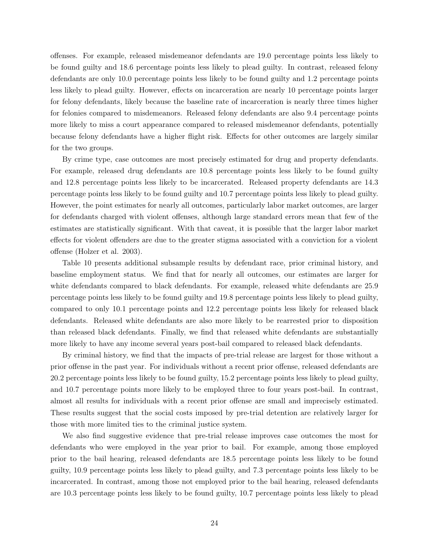offenses. For example, released misdemeanor defendants are 19.0 percentage points less likely to be found guilty and 18.6 percentage points less likely to plead guilty. In contrast, released felony defendants are only 10.0 percentage points less likely to be found guilty and 1.2 percentage points less likely to plead guilty. However, effects on incarceration are nearly 10 percentage points larger for felony defendants, likely because the baseline rate of incarceration is nearly three times higher for felonies compared to misdemeanors. Released felony defendants are also 9.4 percentage points more likely to miss a court appearance compared to released misdemeanor defendants, potentially because felony defendants have a higher flight risk. Effects for other outcomes are largely similar for the two groups.

By crime type, case outcomes are most precisely estimated for drug and property defendants. For example, released drug defendants are 10.8 percentage points less likely to be found guilty and 12.8 percentage points less likely to be incarcerated. Released property defendants are 14.3 percentage points less likely to be found guilty and 10.7 percentage points less likely to plead guilty. However, the point estimates for nearly all outcomes, particularly labor market outcomes, are larger for defendants charged with violent offenses, although large standard errors mean that few of the estimates are statistically significant. With that caveat, it is possible that the larger labor market effects for violent offenders are due to the greater stigma associated with a conviction for a violent offense (Holzer et al. 2003).

Table 10 presents additional subsample results by defendant race, prior criminal history, and baseline employment status. We find that for nearly all outcomes, our estimates are larger for white defendants compared to black defendants. For example, released white defendants are 25.9 percentage points less likely to be found guilty and 19.8 percentage points less likely to plead guilty, compared to only 10.1 percentage points and 12.2 percentage points less likely for released black defendants. Released white defendants are also more likely to be rearrested prior to disposition than released black defendants. Finally, we find that released white defendants are substantially more likely to have any income several years post-bail compared to released black defendants.

By criminal history, we find that the impacts of pre-trial release are largest for those without a prior offense in the past year. For individuals without a recent prior offense, released defendants are 20.2 percentage points less likely to be found guilty, 15.2 percentage points less likely to plead guilty, and 10.7 percentage points more likely to be employed three to four years post-bail. In contrast, almost all results for individuals with a recent prior offense are small and imprecisely estimated. These results suggest that the social costs imposed by pre-trial detention are relatively larger for those with more limited ties to the criminal justice system.

We also find suggestive evidence that pre-trial release improves case outcomes the most for defendants who were employed in the year prior to bail. For example, among those employed prior to the bail hearing, released defendants are 18.5 percentage points less likely to be found guilty, 10.9 percentage points less likely to plead guilty, and 7.3 percentage points less likely to be incarcerated. In contrast, among those not employed prior to the bail hearing, released defendants are 10.3 percentage points less likely to be found guilty, 10.7 percentage points less likely to plead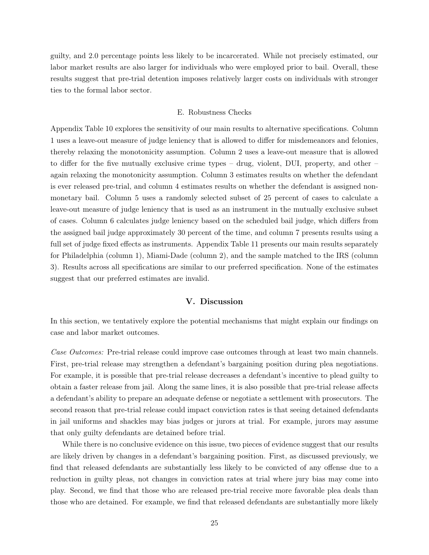guilty, and 2.0 percentage points less likely to be incarcerated. While not precisely estimated, our labor market results are also larger for individuals who were employed prior to bail. Overall, these results suggest that pre-trial detention imposes relatively larger costs on individuals with stronger ties to the formal labor sector.

#### E. Robustness Checks

<span id="page-25-1"></span>Appendix Table 10 explores the sensitivity of our main results to alternative specifications. Column 1 uses a leave-out measure of judge leniency that is allowed to differ for misdemeanors and felonies, thereby relaxing the monotonicity assumption. Column 2 uses a leave-out measure that is allowed to differ for the five mutually exclusive crime types – drug, violent, DUI, property, and other – again relaxing the monotonicity assumption. Column 3 estimates results on whether the defendant is ever released pre-trial, and column 4 estimates results on whether the defendant is assigned nonmonetary bail. Column 5 uses a randomly selected subset of 25 percent of cases to calculate a leave-out measure of judge leniency that is used as an instrument in the mutually exclusive subset of cases. Column 6 calculates judge leniency based on the scheduled bail judge, which differs from the assigned bail judge approximately 30 percent of the time, and column 7 presents results using a full set of judge fixed effects as instruments. Appendix Table 11 presents our main results separately for Philadelphia (column 1), Miami-Dade (column 2), and the sample matched to the IRS (column 3). Results across all specifications are similar to our preferred specification. None of the estimates suggest that our preferred estimates are invalid.

# V. Discussion

<span id="page-25-0"></span>In this section, we tentatively explore the potential mechanisms that might explain our findings on case and labor market outcomes.

Case Outcomes: Pre-trial release could improve case outcomes through at least two main channels. First, pre-trial release may strengthen a defendant's bargaining position during plea negotiations. For example, it is possible that pre-trial release decreases a defendant's incentive to plead guilty to obtain a faster release from jail. Along the same lines, it is also possible that pre-trial release affects a defendant's ability to prepare an adequate defense or negotiate a settlement with prosecutors. The second reason that pre-trial release could impact conviction rates is that seeing detained defendants in jail uniforms and shackles may bias judges or jurors at trial. For example, jurors may assume that only guilty defendants are detained before trial.

While there is no conclusive evidence on this issue, two pieces of evidence suggest that our results are likely driven by changes in a defendant's bargaining position. First, as discussed previously, we find that released defendants are substantially less likely to be convicted of any offense due to a reduction in guilty pleas, not changes in conviction rates at trial where jury bias may come into play. Second, we find that those who are released pre-trial receive more favorable plea deals than those who are detained. For example, we find that released defendants are substantially more likely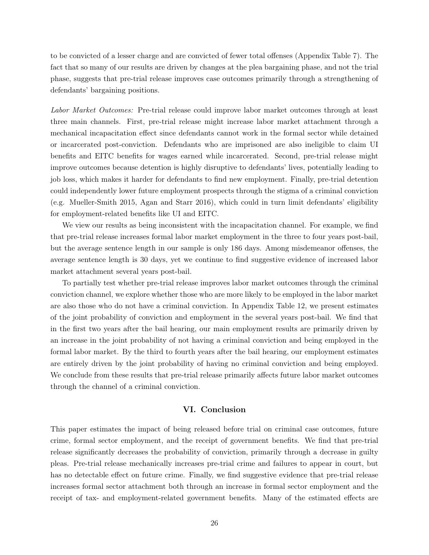to be convicted of a lesser charge and are convicted of fewer total offenses (Appendix Table 7). The fact that so many of our results are driven by changes at the plea bargaining phase, and not the trial phase, suggests that pre-trial release improves case outcomes primarily through a strengthening of defendants' bargaining positions.

Labor Market Outcomes: Pre-trial release could improve labor market outcomes through at least three main channels. First, pre-trial release might increase labor market attachment through a mechanical incapacitation effect since defendants cannot work in the formal sector while detained or incarcerated post-conviction. Defendants who are imprisoned are also ineligible to claim UI benefits and EITC benefits for wages earned while incarcerated. Second, pre-trial release might improve outcomes because detention is highly disruptive to defendants' lives, potentially leading to job loss, which makes it harder for defendants to find new employment. Finally, pre-trial detention could independently lower future employment prospects through the stigma of a criminal conviction (e.g. Mueller-Smith 2015, Agan and Starr 2016), which could in turn limit defendants' eligibility for employment-related benefits like UI and EITC.

We view our results as being inconsistent with the incapacitation channel. For example, we find that pre-trial release increases formal labor market employment in the three to four years post-bail, but the average sentence length in our sample is only 186 days. Among misdemeanor offenses, the average sentence length is 30 days, yet we continue to find suggestive evidence of increased labor market attachment several years post-bail.

To partially test whether pre-trial release improves labor market outcomes through the criminal conviction channel, we explore whether those who are more likely to be employed in the labor market are also those who do not have a criminal conviction. In Appendix Table 12, we present estimates of the joint probability of conviction and employment in the several years post-bail. We find that in the first two years after the bail hearing, our main employment results are primarily driven by an increase in the joint probability of not having a criminal conviction and being employed in the formal labor market. By the third to fourth years after the bail hearing, our employment estimates are entirely driven by the joint probability of having no criminal conviction and being employed. We conclude from these results that pre-trial release primarily affects future labor market outcomes through the channel of a criminal conviction.

# VI. Conclusion

<span id="page-26-0"></span>This paper estimates the impact of being released before trial on criminal case outcomes, future crime, formal sector employment, and the receipt of government benefits. We find that pre-trial release significantly decreases the probability of conviction, primarily through a decrease in guilty pleas. Pre-trial release mechanically increases pre-trial crime and failures to appear in court, but has no detectable effect on future crime. Finally, we find suggestive evidence that pre-trial release increases formal sector attachment both through an increase in formal sector employment and the receipt of tax- and employment-related government benefits. Many of the estimated effects are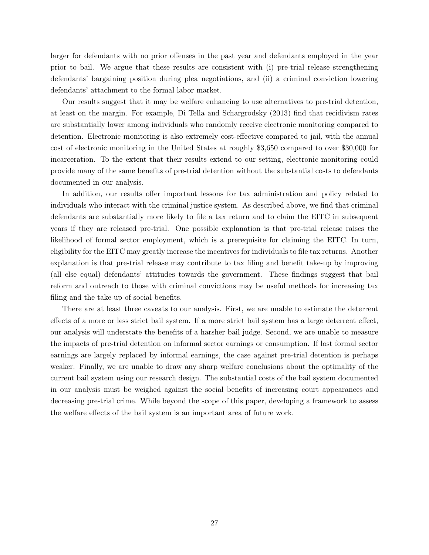larger for defendants with no prior offenses in the past year and defendants employed in the year prior to bail. We argue that these results are consistent with (i) pre-trial release strengthening defendants' bargaining position during plea negotiations, and (ii) a criminal conviction lowering defendants' attachment to the formal labor market.

Our results suggest that it may be welfare enhancing to use alternatives to pre-trial detention, at least on the margin. For example, Di Tella and Schargrodsky (2013) find that recidivism rates are substantially lower among individuals who randomly receive electronic monitoring compared to detention. Electronic monitoring is also extremely cost-effective compared to jail, with the annual cost of electronic monitoring in the United States at roughly \$3,650 compared to over \$30,000 for incarceration. To the extent that their results extend to our setting, electronic monitoring could provide many of the same benefits of pre-trial detention without the substantial costs to defendants documented in our analysis.

In addition, our results offer important lessons for tax administration and policy related to individuals who interact with the criminal justice system. As described above, we find that criminal defendants are substantially more likely to file a tax return and to claim the EITC in subsequent years if they are released pre-trial. One possible explanation is that pre-trial release raises the likelihood of formal sector employment, which is a prerequisite for claiming the EITC. In turn, eligibility for the EITC may greatly increase the incentives for individuals to file tax returns. Another explanation is that pre-trial release may contribute to tax filing and benefit take-up by improving (all else equal) defendants' attitudes towards the government. These findings suggest that bail reform and outreach to those with criminal convictions may be useful methods for increasing tax filing and the take-up of social benefits.

There are at least three caveats to our analysis. First, we are unable to estimate the deterrent effects of a more or less strict bail system. If a more strict bail system has a large deterrent effect, our analysis will understate the benefits of a harsher bail judge. Second, we are unable to measure the impacts of pre-trial detention on informal sector earnings or consumption. If lost formal sector earnings are largely replaced by informal earnings, the case against pre-trial detention is perhaps weaker. Finally, we are unable to draw any sharp welfare conclusions about the optimality of the current bail system using our research design. The substantial costs of the bail system documented in our analysis must be weighed against the social benefits of increasing court appearances and decreasing pre-trial crime. While beyond the scope of this paper, developing a framework to assess the welfare effects of the bail system is an important area of future work.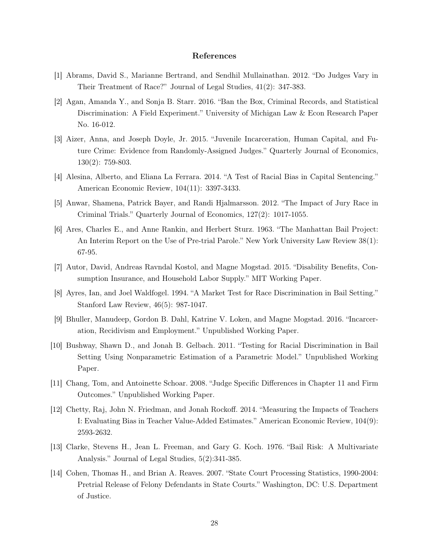# References

- [1] Abrams, David S., Marianne Bertrand, and Sendhil Mullainathan. 2012. "Do Judges Vary in Their Treatment of Race?" Journal of Legal Studies, 41(2): 347-383.
- [2] Agan, Amanda Y., and Sonja B. Starr. 2016. "Ban the Box, Criminal Records, and Statistical Discrimination: A Field Experiment." University of Michigan Law & Econ Research Paper No. 16-012.
- [3] Aizer, Anna, and Joseph Doyle, Jr. 2015. "Juvenile Incarceration, Human Capital, and Future Crime: Evidence from Randomly-Assigned Judges." Quarterly Journal of Economics, 130(2): 759-803.
- [4] Alesina, Alberto, and Eliana La Ferrara. 2014. "A Test of Racial Bias in Capital Sentencing." American Economic Review, 104(11): 3397-3433.
- [5] Anwar, Shamena, Patrick Bayer, and Randi Hjalmarsson. 2012. "The Impact of Jury Race in Criminal Trials." Quarterly Journal of Economics, 127(2): 1017-1055.
- [6] Ares, Charles E., and Anne Rankin, and Herbert Sturz. 1963. "The Manhattan Bail Project: An Interim Report on the Use of Pre-trial Parole." New York University Law Review 38(1): 67-95.
- [7] Autor, David, Andreas Ravndal Kostol, and Magne Mogstad. 2015. "Disability Benefits, Consumption Insurance, and Household Labor Supply." MIT Working Paper.
- [8] Ayres, Ian, and Joel Waldfogel. 1994. "A Market Test for Race Discrimination in Bail Setting." Stanford Law Review, 46(5): 987-1047.
- [9] Bhuller, Manudeep, Gordon B. Dahl, Katrine V. Loken, and Magne Mogstad. 2016. "Incarceration, Recidivism and Employment." Unpublished Working Paper.
- [10] Bushway, Shawn D., and Jonah B. Gelbach. 2011. "Testing for Racial Discrimination in Bail Setting Using Nonparametric Estimation of a Parametric Model." Unpublished Working Paper.
- [11] Chang, Tom, and Antoinette Schoar. 2008. "Judge Specific Differences in Chapter 11 and Firm Outcomes." Unpublished Working Paper.
- [12] Chetty, Raj, John N. Friedman, and Jonah Rockoff. 2014. "Measuring the Impacts of Teachers I: Evaluating Bias in Teacher Value-Added Estimates." American Economic Review, 104(9): 2593-2632.
- [13] Clarke, Stevens H., Jean L. Freeman, and Gary G. Koch. 1976. "Bail Risk: A Multivariate Analysis." Journal of Legal Studies, 5(2):341-385.
- [14] Cohen, Thomas H., and Brian A. Reaves. 2007. "State Court Processing Statistics, 1990-2004: Pretrial Release of Felony Defendants in State Courts." Washington, DC: U.S. Department of Justice.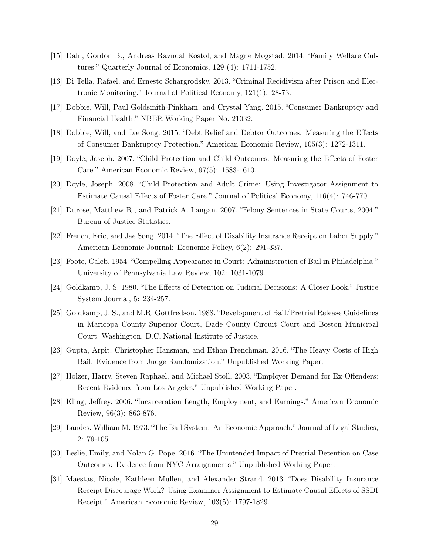- [15] Dahl, Gordon B., Andreas Ravndal Kostol, and Magne Mogstad. 2014. "Family Welfare Cultures." Quarterly Journal of Economics, 129 (4): 1711-1752.
- [16] Di Tella, Rafael, and Ernesto Schargrodsky. 2013. "Criminal Recidivism after Prison and Electronic Monitoring." Journal of Political Economy, 121(1): 28-73.
- [17] Dobbie, Will, Paul Goldsmith-Pinkham, and Crystal Yang. 2015. "Consumer Bankruptcy and Financial Health." NBER Working Paper No. 21032.
- [18] Dobbie, Will, and Jae Song. 2015. "Debt Relief and Debtor Outcomes: Measuring the Effects of Consumer Bankruptcy Protection." American Economic Review, 105(3): 1272-1311.
- [19] Doyle, Joseph. 2007. "Child Protection and Child Outcomes: Measuring the Effects of Foster Care." American Economic Review, 97(5): 1583-1610.
- [20] Doyle, Joseph. 2008. "Child Protection and Adult Crime: Using Investigator Assignment to Estimate Causal Effects of Foster Care." Journal of Political Economy, 116(4): 746-770.
- [21] Durose, Matthew R., and Patrick A. Langan. 2007. "Felony Sentences in State Courts, 2004." Bureau of Justice Statistics.
- [22] French, Eric, and Jae Song. 2014. "The Effect of Disability Insurance Receipt on Labor Supply." American Economic Journal: Economic Policy, 6(2): 291-337.
- [23] Foote, Caleb. 1954. "Compelling Appearance in Court: Administration of Bail in Philadelphia." University of Pennsylvania Law Review, 102: 1031-1079.
- [24] Goldkamp, J. S. 1980. "The Effects of Detention on Judicial Decisions: A Closer Look." Justice System Journal, 5: 234-257.
- [25] Goldkamp, J. S., and M.R. Gottfredson. 1988. "Development of Bail/Pretrial Release Guidelines in Maricopa County Superior Court, Dade County Circuit Court and Boston Municipal Court. Washington, D.C.:National Institute of Justice.
- [26] Gupta, Arpit, Christopher Hansman, and Ethan Frenchman. 2016. "The Heavy Costs of High Bail: Evidence from Judge Randomization." Unpublished Working Paper.
- [27] Holzer, Harry, Steven Raphael, and Michael Stoll. 2003. "Employer Demand for Ex-Offenders: Recent Evidence from Los Angeles." Unpublished Working Paper.
- [28] Kling, Jeffrey. 2006. "Incarceration Length, Employment, and Earnings." American Economic Review, 96(3): 863-876.
- [29] Landes, William M. 1973. "The Bail System: An Economic Approach." Journal of Legal Studies, 2: 79-105.
- [30] Leslie, Emily, and Nolan G. Pope. 2016. "The Unintended Impact of Pretrial Detention on Case Outcomes: Evidence from NYC Arraignments." Unpublished Working Paper.
- [31] Maestas, Nicole, Kathleen Mullen, and Alexander Strand. 2013. "Does Disability Insurance Receipt Discourage Work? Using Examiner Assignment to Estimate Causal Effects of SSDI Receipt." American Economic Review, 103(5): 1797-1829.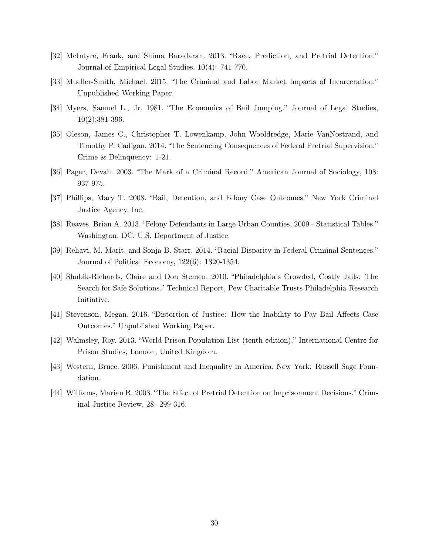- [32] McIntyre, Frank, and Shima Baradaran. 2013. "Race, Prediction, and Pretrial Detention." Journal of Empirical Legal Studies, 10(4): 741-770.
- [33] Mueller-Smith, Michael. 2015. "The Criminal and Labor Market Impacts of Incarceration." Unpublished Working Paper.
- [34] Myers, Samuel L., Jr. 1981. "The Economics of Bail Jumping." Journal of Legal Studies, 10(2):381-396.
- [35] Oleson, James C., Christopher T. Lowenkamp, John Wooldredge, Marie VanNostrand, and Timothy P. Cadigan. 2014. "The Sentencing Consequences of Federal Pretrial Supervision." Crime & Delinquency: 1-21.
- [36] Pager, Devah. 2003. "The Mark of a Criminal Record." American Journal of Sociology, 108: 937-975.
- [37] Phillips, Mary T. 2008. "Bail, Detention, and Felony Case Outcomes." New York Criminal Justice Agency, Inc.
- [38] Reaves, Brian A. 2013. "Felony Defendants in Large Urban Counties, 2009 Statistical Tables." Washington, DC: U.S. Department of Justice.
- [39] Rehavi, M. Marit, and Sonja B. Starr. 2014. "Racial Disparity in Federal Criminal Sentences." Journal of Political Economy, 122(6): 1320-1354.
- [40] Shubik-Richards, Claire and Don Stemen. 2010. "Philadelphia's Crowded, Costly Jails: The Search for Safe Solutions." Technical Report, Pew Charitable Trusts Philadelphia Research Initiative.
- [41] Stevenson, Megan. 2016. "Distortion of Justice: How the Inability to Pay Bail Affects Case Outcomes." Unpublished Working Paper.
- [42] Walmsley, Roy. 2013. "World Prison Population List (tenth edition)," International Centre for Prison Studies, London, United Kingdom.
- [43] Western, Bruce. 2006. Punishment and Inequality in America. New York: Russell Sage Foundation.
- [44] Williams, Marian R. 2003. "The Effect of Pretrial Detention on Imprisonment Decisions." Criminal Justice Review, 28: 299-316.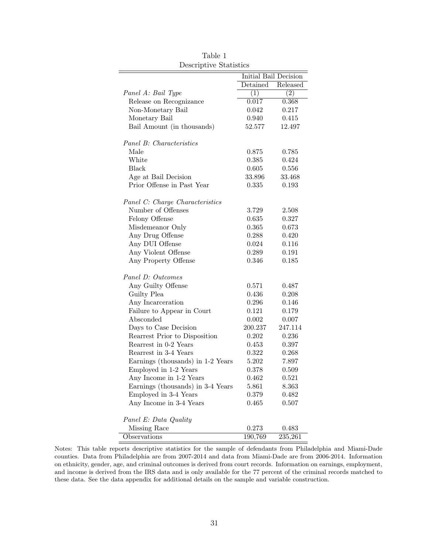| Depertpure Degenered              |          |                       |
|-----------------------------------|----------|-----------------------|
|                                   |          | Initial Bail Decision |
|                                   | Detained | Released              |
| Panel A: Bail Type                | (1)      | (2)                   |
| Release on Recognizance           | 0.017    | 0.368                 |
| Non-Monetary Bail                 | 0.042    | 0.217                 |
| Monetary Bail                     | 0.940    | 0.415                 |
| Bail Amount (in thousands)        | 52.577   | 12.497                |
|                                   |          |                       |
| Panel B: Characteristics          |          |                       |
| Male                              | 0.875    | 0.785                 |
| White                             | 0.385    | 0.424                 |
| Black                             | 0.605    | 0.556                 |
| Age at Bail Decision              | 33.896   | 33.468                |
| Prior Offense in Past Year        | 0.335    | 0.193                 |
|                                   |          |                       |
| Panel C: Charge Characteristics   |          |                       |
| Number of Offenses                | 3.729    | 2.508                 |
| Felony Offense                    | 0.635    | 0.327                 |
| Misdemeanor Only                  | 0.365    | 0.673                 |
| Any Drug Offense                  | 0.288    | 0.420                 |
| Any DUI Offense                   | 0.024    | 0.116                 |
| Any Violent Offense               | 0.289    | 0.191                 |
| Any Property Offense              | 0.346    | 0.185                 |
| Panel D: Outcomes                 |          |                       |
| Any Guilty Offense                | 0.571    | 0.487                 |
| Guilty Plea                       | 0.436    | 0.208                 |
| Any Incarceration                 | 0.296    | 0.146                 |
| Failure to Appear in Court        | 0.121    | 0.179                 |
| Absconded                         | 0.002    | 0.007                 |
| Days to Case Decision             | 200.237  | 247.114               |
| Rearrest Prior to Disposition     | 0.202    | 0.236                 |
| Rearrest in 0-2 Years             | 0.453    | 0.397                 |
| Rearrest in 3-4 Years             | 0.322    | 0.268                 |
| Earnings (thousands) in 1-2 Years | 5.202    | 7.897                 |
| Employed in 1-2 Years             | 0.378    | 0.509                 |
| Any Income in 1-2 Years           | 0.462    | 0.521                 |
| Earnings (thousands) in 3-4 Years | 5.861    | 8.363                 |
| Employed in 3-4 Years             | 0.379    | 0.482                 |
| Any Income in 3-4 Years           | 0.465    | 0.507                 |
|                                   |          |                       |
| Panel E: Data Quality             |          |                       |
| Missing Race                      | 0.273    | 0.483                 |
| Observations                      | 190,769  | 235,261               |

Table 1 Descriptive Statistics

Notes: This table reports descriptive statistics for the sample of defendants from Philadelphia and Miami-Dade counties. Data from Philadelphia are from 2007-2014 and data from Miami-Dade are from 2006-2014. Information on ethnicity, gender, age, and criminal outcomes is derived from court records. Information on earnings, employment, and income is derived from the IRS data and is only available for the 77 percent of the criminal records matched to these data. See the data appendix for additional details on the sample and variable construction.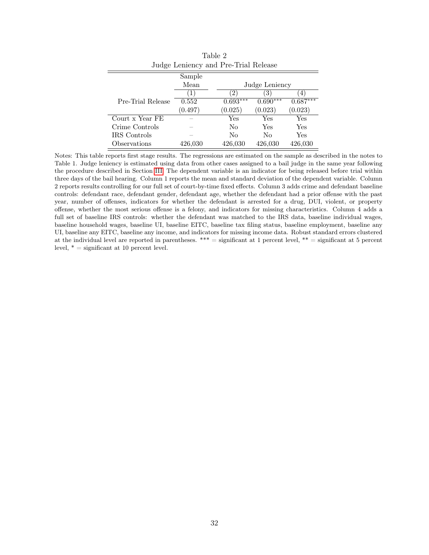|                   | Judge Lemency and Fre-Trial Release |            |                        |            |
|-------------------|-------------------------------------|------------|------------------------|------------|
|                   | Sample                              |            |                        |            |
|                   | Mean                                |            | Judge Leniency         |            |
|                   | $\mathbf{I}$                        | 2          | $\left 3\right\rangle$ | (4)        |
| Pre-Trial Release | 0.552                               | $0.693***$ | $0.690***$             | $0.687***$ |
|                   | (0.497)                             | (0.025)    | (0.023)                | (0.023)    |
| Court x Year FE   |                                     | Yes        | Yes                    | Yes        |
| Crime Controls    |                                     | No         | Yes                    | Yes        |
| IRS Controls      |                                     | No         | No                     | Yes        |
| Observations      | 426,030                             | 426,030    | 426,030                | 426,030    |

Table 2 Judge Leniency and Pre-Trial Release

Notes: This table reports first stage results. The regressions are estimated on the sample as described in the notes to Table 1. Judge leniency is estimated using data from other cases assigned to a bail judge in the same year following the procedure described in Section [III.](#page-13-0) The dependent variable is an indicator for being released before trial within three days of the bail hearing. Column 1 reports the mean and standard deviation of the dependent variable. Column 2 reports results controlling for our full set of court-by-time fixed effects. Column 3 adds crime and defendant baseline controls: defendant race, defendant gender, defendant age, whether the defendant had a prior offense with the past year, number of offenses, indicators for whether the defendant is arrested for a drug, DUI, violent, or property offense, whether the most serious offense is a felony, and indicators for missing characteristics. Column 4 adds a full set of baseline IRS controls: whether the defendant was matched to the IRS data, baseline individual wages, baseline household wages, baseline UI, baseline EITC, baseline tax filing status, baseline employment, baseline any UI, baseline any EITC, baseline any income, and indicators for missing income data. Robust standard errors clustered at the individual level are reported in parentheses. \*\*\* = significant at 1 percent level, \*\* = significant at 5 percent level,  $* =$  significant at 10 percent level.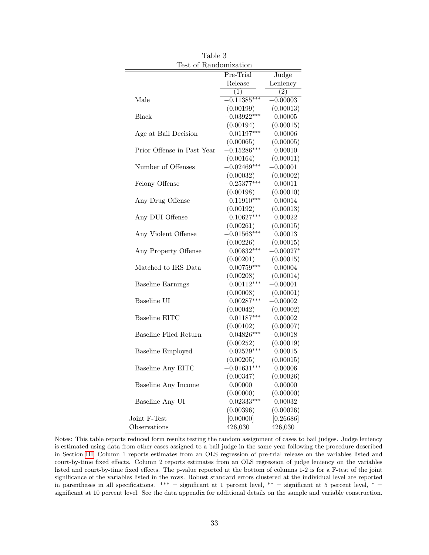| Test of Randomization      |               |             |
|----------------------------|---------------|-------------|
|                            | Pre-Trial     | Judge       |
|                            | Release       | Leniency    |
|                            | $\perp$       | (2)         |
| Male                       | $-0.11385***$ | $-0.00003$  |
|                            | (0.00199)     | (0.00013)   |
| Black                      | $-0.03922***$ | 0.00005     |
|                            | (0.00194)     | (0.00015)   |
| Age at Bail Decision       | $-0.01197***$ | $-0.00006$  |
|                            | (0.00065)     | (0.00005)   |
| Prior Offense in Past Year | $-0.15286***$ | 0.00010     |
|                            | (0.00164)     | (0.00011)   |
| Number of Offenses         | $-0.02469***$ | $-0.00001$  |
|                            | (0.00032)     | (0.00002)   |
| Felony Offense             | $-0.25377***$ | 0.00011     |
|                            | (0.00198)     | (0.00010)   |
| Any Drug Offense           | $0.11910***$  | 0.00014     |
|                            | (0.00192)     | (0.00013)   |
| Any DUI Offense            | $0.10627***$  | 0.00022     |
|                            | (0.00261)     | (0.00015)   |
| Any Violent Offense        | $-0.01563***$ | 0.00013     |
|                            | (0.00226)     | (0.00015)   |
| Any Property Offense       | $0.00832***$  | $-0.00027*$ |
|                            | (0.00201)     | (0.00015)   |
| Matched to IRS Data        | $0.00759***$  | $-0.00004$  |
|                            | (0.00208)     | (0.00014)   |
| <b>Baseline Earnings</b>   | $0.00112***$  | $-0.00001$  |
|                            | (0.00008)     | (0.00001)   |
| Baseline UI                | $0.00287***$  | $-0.00002$  |
|                            | (0.00042)     | (0.00002)   |
| Baseline EITC              | $0.01187***$  | 0.00002     |
|                            | (0.00102)     | (0.00007)   |
| Baseline Filed Return      | $0.04826***$  | $-0.00018$  |
|                            | (0.00252)     | (0.00019)   |
| <b>Baseline Employed</b>   | $0.02529***$  | 0.00015     |
|                            | (0.00205)     | (0.00015)   |
| Baseline Any EITC          | $-0.01631***$ | 0.00006     |
|                            | (0.00347)     | (0.00026)   |
| Baseline Any Income        | 0.00000       | 0.00000     |
|                            | (0.00000)     | (0.00000)   |
| Baseline Any UI            | $0.02333***$  | 0.00032     |
|                            | (0.00396)     | (0.00026)   |
| Joint F-Test               | [0.00000]     | [0.26686]   |
| Observations               | 426,030       | 426,030     |

Table 3

Notes: This table reports reduced form results testing the random assignment of cases to bail judges. Judge leniency is estimated using data from other cases assigned to a bail judge in the same year following the procedure described in Section [III.](#page-13-0) Column 1 reports estimates from an OLS regression of pre-trial release on the variables listed and court-by-time fixed effects. Column 2 reports estimates from an OLS regression of judge leniency on the variables listed and court-by-time fixed effects. The p-value reported at the bottom of columns 1-2 is for a F-test of the joint significance of the variables listed in the rows. Robust standard errors clustered at the individual level are reported in parentheses in all specifications.  $*** =$  significant at 1 percent level,  $** =$  significant at 5 percent level,  $* =$ significant at 10 percent level. See the data appendix for additional details on the sample and variable construction.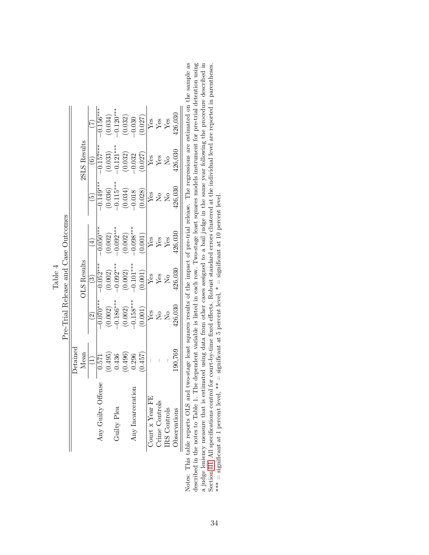|                                     |                 |                    |                          | $-0.156***$ |             |                                                                                  |                | $\begin{array}{c} (0.034)\\ -0.120^{***}\\ (0.032)\\ -0.030\\ \hline Y_{CS}\\ Y_{CS}\\ Y_{CS}\\ Y_{CS}\\ Y_{CS}\\ Y_{CS}\\ \end{array}$ |                   |                                           |                                | $+26,030$           |     |
|-------------------------------------|-----------------|--------------------|--------------------------|-------------|-------------|----------------------------------------------------------------------------------|----------------|-----------------------------------------------------------------------------------------------------------------------------------------|-------------------|-------------------------------------------|--------------------------------|---------------------|-----|
|                                     |                 | 2SLS Results       | $\widehat{6}$            | $-0.157***$ |             |                                                                                  |                | $\begin{array}{c} (0.033)\\ -0.121^{***}\\ (0.032)\\ -0.032\\ \hline Y_{CS}\\ Y_{CS}\\ Y_{CS}\\ Y_{CS}\\ N_O \end{array}$               |                   |                                           |                                | 126,030             |     |
|                                     |                 |                    | $\widetilde{5}$          | $-0.149***$ |             |                                                                                  |                | $\begin{array}{c} (0.036) \\ -0.115^{***} \\ (0.034) \\ -0.018 \\ (0.028) \end{array}$                                                  |                   | $\frac{1}{2}$ $\frac{1}{2}$ $\frac{1}{2}$ |                                | 426,030             |     |
| Pre-Trial Release and Case Outcomes |                 |                    | $(\pm)$                  | $0.050***$  |             |                                                                                  |                | $\begin{array}{c} (0.002) \\ -0.092^{***} \\ (0.002) \\ -0.08^{***} \\ (0.001) \\ (0.001) \end{array}$                                  |                   | Es<br>Yes<br>Yes                          |                                | $+26,030$           |     |
|                                     |                 | <b>OLS</b> Results | $\widehat{S}$            | $0.052***$  |             |                                                                                  |                | $\begin{array}{c} (0.002) \\ -0.092^{***} \\ (0.002) \\ -0.101^{***} \\ (0.001) \\ (0.001) \end{array}$                                 |                   | $\sqrt{\frac{268}{2}}$ Xes                |                                | 426,030             |     |
|                                     |                 |                    | $\widehat{\mathfrak{O}}$ |             |             |                                                                                  |                | $\begin{array}{l} -0.070^{***} \ (0.002) \ (-0.186^{***} \ (0.002) \ (-0.186^{***} \ (0.002) \ (-0.158^{***} \end{array}$               |                   | $\overline{\mathbf{y}}$ is $\mathbf{z}$   |                                | 126,030             |     |
|                                     | <b>Detained</b> | Mean               |                          |             |             | $\begin{array}{c} 967.0 \\ (967.0) \\ (967.0) \\ (125.0) \\ (267.0) \end{array}$ |                | (0.457)                                                                                                                                 |                   |                                           |                                | 190,769             |     |
|                                     |                 |                    |                          | Any Guilty  | Guilty Plea |                                                                                  | $Any$ Incarcer |                                                                                                                                         | 몬<br>Court x Year |                                           | Crime Controls<br>IRS Controls | <b>Observations</b> | くりく |

Table 4

Notes: This table reports OLS and two-stage least squares results of the impact of pre-trial release. The regressions are estimated on the sample as described in the notes to Table 1. The dependent variable is listed in ea Section III. All specifications control for court-by-time fixed effects. Robust standard errors clustered at the individual level are reported in parentheses.<br>\*\*\* = significant at 1 percent level, \*\* = significant at 5 pe Notes: This table reports OLS and two-stage least squares results of the impact of pre-trial release. The regressions are estimated on the sample as described in the notes to Table 1. The dependent variable is listed in each row. Two-stage least squares models instrument for pre-trial detention using a judge leniency measure that is estimated using data from other cases assigned to a bail judge in the same year following the procedure described in Section [III.](#page-13-0) All specifications control for court-by-time fixed effects. Robust standard errors clustered at the individual level are reported in parentheses. \*\*\* = significant at 1 percent level, \*\* = significant at 5 percent level,  $*$  = significant at 10 percent level.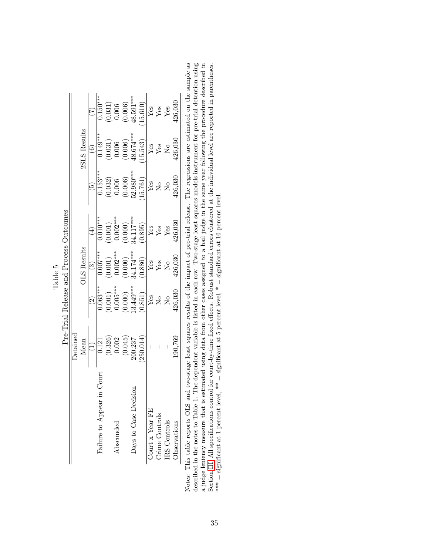|                                                                                                                                         |                                                            | Pre-Trial Release and Process Outcomes | $\sim$ $\sim$ $\sim$    |                         |                                                 |                        |                                                 |
|-----------------------------------------------------------------------------------------------------------------------------------------|------------------------------------------------------------|----------------------------------------|-------------------------|-------------------------|-------------------------------------------------|------------------------|-------------------------------------------------|
|                                                                                                                                         | $\rm{Detained}$                                            |                                        |                         |                         |                                                 |                        |                                                 |
|                                                                                                                                         | Mean                                                       |                                        | <b>OLS</b> Results      |                         |                                                 | 2SLS Results           |                                                 |
|                                                                                                                                         |                                                            |                                        | $\widehat{3}$           | $\overline{4}$          |                                                 | $\widehat{\mathbf{e}}$ |                                                 |
| Failure to Appear in Court                                                                                                              | 0.121                                                      | $0.063***$                             | $0.007***$              | $0.010^{***}$           | $0.153***$                                      | $0.149***$             | $0.150***$                                      |
|                                                                                                                                         | $\begin{array}{c} (0.326) \\ 0.002 \\ (0.045) \end{array}$ | (0.001)                                | $(0.001)$<br>0.002***   |                         |                                                 | (0.031)                |                                                 |
| bsconded                                                                                                                                |                                                            | $0.005***$                             |                         | $(0.001)$<br>$0.002***$ | $\begin{array}{c} (0.032) \\ 0.006 \end{array}$ | 0.006                  | $\begin{array}{c} (0.031) \\ 0.006 \end{array}$ |
|                                                                                                                                         |                                                            | (0.000)                                | $(0.000)$<br>34.174***  | $(0.000)$<br>34.117***  | (0.006)                                         | (0.006)                | (0.006)                                         |
| Days to Case Decision                                                                                                                   | 200.237                                                    | 13.449***                              |                         |                         | 52.980***                                       | $48.674***$            | $18.591***$                                     |
|                                                                                                                                         | 250.014                                                    | (0.851)                                | (0.886)                 | (0.895)                 | 15.761)                                         | (15.543)               | 15.610)                                         |
| Court x Year FE                                                                                                                         | $\begin{array}{c} \hline \end{array}$                      | Yes                                    | ${\rm Yes}$             | ${\rm Yes}$             | Yes                                             | $Y$ es                 | Yes                                             |
| Crime Controls                                                                                                                          |                                                            | $\tilde{\Sigma}^{\circ}$               | $Y$ es                  | $Y$ es                  | $\tilde{\Sigma}^{\circ}$                        | ${\rm Yes}$            | ${\rm Yes}$                                     |
| IRS Controls                                                                                                                            |                                                            | $\overline{M}^{\circ}$                 | $\overline{\mathsf{z}}$ | Yes                     | $\overline{M}^{\circ}$                          | $\overline{N}$         | $Y$ es                                          |
| Observations                                                                                                                            | 190,769                                                    | 426,030                                | 126,030                 | 126,030                 | 126,030                                         | 126,030                | $-26,030$                                       |
| This table reports OLS and two-stage least squares results of the impact of pre-trial release. The regressions are estimated on the san |                                                            |                                        |                         |                         |                                                 |                        |                                                 |

Table 5

Notes: This table reports OLS and two-stage least squares results of the impact of pre-trial release. The regressions are estimated on the sample as described in the notes to Table 1. The dependent variable is listed in e Notes: This table reports OLS and two-stage least squares results of the impact of pre-trial release. The regressions are estimated on the sample as described in the notes to Table 1. The dependent variable is listed in each row. Two-stage least squares models instrument for pre-trial detention using a judge leniency measure that is estimated using data from other cases assigned to a bail judge in the same year following the procedure described in Section [III.](#page-13-0) All specifications control for court-by-time fixed effects. Robust standard errors clustered at the individual level are reported in parentheses. \*\*\* = significant at 1 percent level, \*\* = significant at 5 percent level,  $*$  = significant at 10 percent level.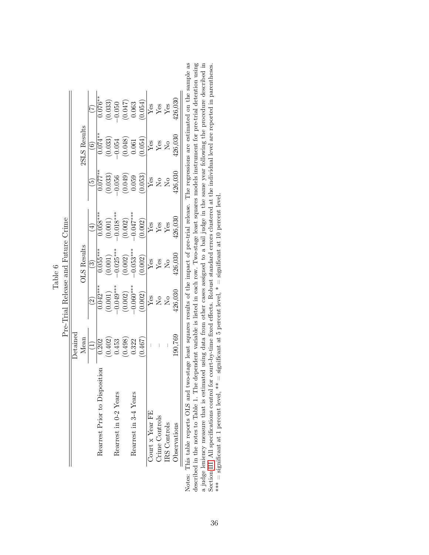|                            |                                                                     |                                      | Table 6                   |                                                                                   |                                           |                                                                      |                                                                      |
|----------------------------|---------------------------------------------------------------------|--------------------------------------|---------------------------|-----------------------------------------------------------------------------------|-------------------------------------------|----------------------------------------------------------------------|----------------------------------------------------------------------|
|                            |                                                                     | Pre-Trial Release and Future Crime   |                           |                                                                                   |                                           |                                                                      |                                                                      |
|                            | Detainec                                                            |                                      |                           |                                                                                   |                                           |                                                                      |                                                                      |
|                            | Mean                                                                |                                      | <b>DLS</b> Results        |                                                                                   |                                           | 2SLS Results                                                         |                                                                      |
|                            |                                                                     |                                      | తె                        | $\tilde{A}$                                                                       |                                           | $\widehat{\circ}$                                                    |                                                                      |
| Rearrest Prior to Dis      | 0.202                                                               | $0.042***$                           | $0.055***$                | $0.058***$                                                                        | $0.077**$                                 | $0.074***$                                                           | $0.076**$                                                            |
|                            | (0.402)                                                             | $(0.001)$<br>$-0.049***$             |                           |                                                                                   | (0.033)                                   |                                                                      |                                                                      |
| Rearrest in 0-2 Years      | 0.453                                                               |                                      | $(0.001)$<br>$-0.025***$  |                                                                                   | 0.056                                     |                                                                      |                                                                      |
|                            | (0.498)                                                             | (0.002)                              | (0.002)                   | $\begin{array}{c} (0.001) \\ -0.018^{***} \\ (0.002) \\ -0.047^{***} \end{array}$ | (0.049)                                   | $\begin{array}{c} (0.033) \\ -0.054 \\ (0.048) \\ 0.061 \end{array}$ | $\begin{array}{c} (0.033) \\ -0.050 \\ (0.047) \\ 0.063 \end{array}$ |
| Rearrest in 3-4 Years      | 0.322                                                               | $-0.060***$                          | $-0.053***$               |                                                                                   | 0.059                                     |                                                                      |                                                                      |
|                            | (0.467)                                                             | (0.002)                              | (0.002)                   | (0.002)                                                                           | 0.053)                                    | (0.054)                                                              | 0.054)                                                               |
| Court x Year FE            |                                                                     | Yes                                  | $Y$ es                    | Yes                                                                               | $Y$ es                                    | $Y$ es                                                               | Yes                                                                  |
| Crime Controls             |                                                                     | $\overline{\mathsf{X}}^{\mathsf{o}}$ | ${\rm Yes}$               | Yes                                                                               | $\tilde{\Sigma}^{\circ}$                  | ${\rm Yes}$                                                          | Yes                                                                  |
| IRS Controls               |                                                                     | $\overline{N}$                       | $\mathsf{S}^{\mathsf{O}}$ | Yes                                                                               | $\overline{\mathsf{N}}$                   | $\rm N_{O}$                                                          | Yes                                                                  |
| Observations               | .90.769                                                             | 126,030                              | 126,030                   | 126.030                                                                           | 26,030                                    | 26,030                                                               | 26,030                                                               |
| This table reports OLS and | two-stage least squares results of the impact of pre-trial release. |                                      |                           |                                                                                   | The regressions are estimated on the samp |                                                                      |                                                                      |

Notes: This table reports OLS and two-stage least squares results of the impact of pre-trial release. The regressions are estimated on the sample as described in the notes to Table 1. The dependent variable is listed in e Notes: This table reports OLS and two-stage least squares results of the impact of pre-trial release. The regressions are estimated on the sample as described in the notes to Table 1. The dependent variable is listed in each row. Two-stage least squares models instrument for pre-trial detention using a judge leniency measure that is estimated using data from other cases assigned to a bail judge in the same year following the procedure described in Section [III.](#page-13-0) All specifications control for court-by-time fixed effects. Robust standard errors clustered at the individual level are reported in parentheses. \*\*\* = significant at 1 percent level, \*\* = significant at 5 percent level,  $*$  = significant at 10 percent level.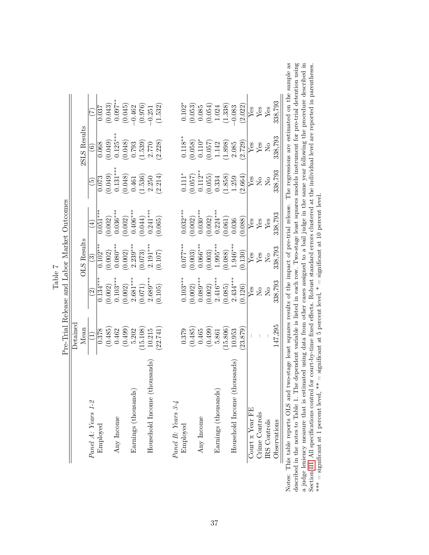|                              | Detained |                                      |                          |                     |                               |                    |                      |
|------------------------------|----------|--------------------------------------|--------------------------|---------------------|-------------------------------|--------------------|----------------------|
|                              | Mean     |                                      | <b>OLS</b> Results       |                     |                               | 2SLS Results       |                      |
| Panel A: Years 1-2           |          | $\widetilde{\Omega}$                 | ಲ                        | $\widehat{\exists}$ | ق                             | $\widehat{\circ}$  | Ĥ                    |
| Employed                     | 0.378    | $0.134***$                           | $0.\overline{102}^{***}$ | $0.051***$          | 0.073                         | 0.068              | 0.037                |
|                              | (0.485)  | (0.002)                              | (0.002)                  | (0.002)             | (0.049)                       | (0.049)            |                      |
| Any Income                   | 0.462    | $0.103***$                           | $0.080***$               | $0.036***$          | $0.131***$                    | $0.125***$         | $(0.043)$<br>0.097** |
|                              | (0.499)  | (0.002)                              | (0.002)                  | (0.002)             | (0.048)                       | (0.048)            | (0.045)              |
| Earnings (thousands)         | 5.202    | $2.681***$                           | $2.239***$               | $0.406***$          | 0.461                         | 0.793              | $-0.462$             |
|                              | 15.108)  | (0.071)                              | (0.073)                  | (0.044)             | (1.536)                       | (1.539)            | (0.976)              |
| Household Income (thousands) | 10.215   | $2.689***$                           | $2.191***$               | $0.241***$          | 2.250                         | 2.770              | $-0.251$             |
|                              | (22.741) | (0.105)                              | (0.107)                  | (0.065)             | (2.214)                       | (2.228)            | (1.532)              |
| Panel B: Years 3-4           |          |                                      |                          |                     |                               |                    |                      |
| Employed                     | 0.379    | $0.103***$                           | $0.077***$               | $0.032***$          | $0.111*$                      | $0.118^{\ast\ast}$ | $0.102*$             |
|                              | (0.485)  | (0.002)                              | (0.003)                  | (0.002)             | (0.057)                       | (0.058)            | (0.053)              |
| Any Income                   | 0.465    | $0.089***$                           | $0.066***$               | $0.030***$          | $0.112***$                    | $0.110*$           | 0.085                |
|                              | (0.499)  | (0.002)                              | (0.003)                  | (0.002)             | (0.055)                       | (0.057)            | (0.054)              |
| Earnings (thousands)         | 5.861    | $2.416***$                           | $1.995***$               | $0.224***$          | 0.334                         | 1.142              | 1.024                |
|                              | 15.806   | (0.085)                              | (0.088)                  | (0.061)             | (1.858)                       | (1.898)            | (1.338)              |
| Household Income (thousands) | 10.953   | $2.434***$                           | $1.946***$               | 0.036               | 1.259                         | 2.085              | $-0.083$             |
|                              | 23.879)  | (0.126)                              | (0.130)                  | (0.088)             | (2.664)                       | (2.729)            | (2.022)              |
| Court $x$ Year FE            |          | Yes                                  | Yes                      | Yes                 | Yes                           | ${\rm Yes}$        | Yes                  |
| Crime Controls               |          | $\overline{\mathsf{X}}^{\mathsf{o}}$ | ${\rm Yes}$              | ${\rm Yes}$         | $\overline{N}_{\overline{O}}$ | Yes                | ${\rm Yes}$          |
| IRS Controls                 |          | $\overline{N}$                       | $\overline{N}$           | ${\rm Yes}$         | $_{\rm N_o}$                  | $\overline{N}$     | ${\rm Yes}$          |
| Observations                 | 147,295  | 338,793                              | 338,793                  | 338,793             | 338,793                       | 338,793            | 338,793              |

Notes: This table reports OLS and two-stage least squares results of the impact of pre-trial release. The regressions are estimated on the sample as described in the notes to Table 1. The dependent variable is listed in e described in the notes to Table 1. The dependent variable is listed in each row. Two-stage least squares models instrument for pre-trial detention using a judge leniency measure that is estimated using data from other cases assigned to a bail judge in the same year following the procedure described in Section [III.](#page-13-0) All specifications control for court-by-time fixed effects. Robust standard errors clustered at the individual level are reported in parentheses.

\*\* = significant at 1 percent level, \*\* = significant at 5 percent level, \* = significant at 10 percent level.

37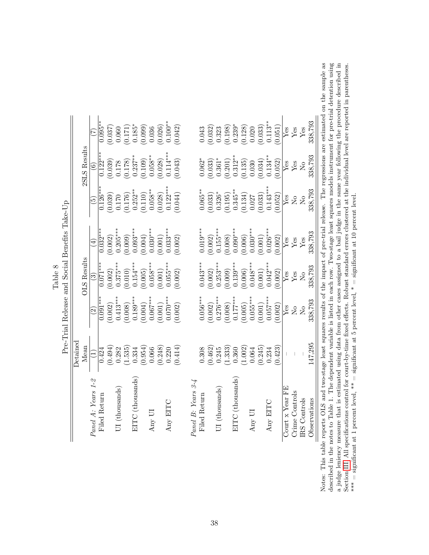|                                               |          |                    | E                       | $0.095**$    | (0.037) | 0.060                                           |                      |                    |         |            | $\begin{array}{c} (0.171) \\ 0.185^* \\ (0.099) \\ (0.036) \\ 0.036 \\ (0.026) \\ 0.100^{**} \end{array}$ |            | 0.042)  |                    | 0.043        | (0.032) |                | $\begin{array}{c} 0.323 \\ 0.198 \\ 0.239^* \\ 0.128 \\ 0.0120 \\ 0.033 \end{array}$ |                  |                                   |            |         | $0.113**$  | (0.051) | Yes          | ${\rm Yes}$    | Yes                           | 338,793      |                                                                                                                        |
|-----------------------------------------------|----------|--------------------|-------------------------|--------------|---------|-------------------------------------------------|----------------------|--------------------|---------|------------|-----------------------------------------------------------------------------------------------------------|------------|---------|--------------------|--------------|---------|----------------|--------------------------------------------------------------------------------------|------------------|-----------------------------------|------------|---------|------------|---------|--------------|----------------|-------------------------------|--------------|------------------------------------------------------------------------------------------------------------------------|
|                                               |          | 2SLS Results       | $\odot$                 | $0.122***$   |         | $\begin{array}{c} (0.039) \\ 0.178 \end{array}$ | $(0.178)$<br>0.237** |                    | (0.109) | $0.058***$ | (0.028)                                                                                                   | $0.114***$ | (0.043) |                    | $0.062*$     | (0.033) |                | $\begin{array}{c} 0.361^{*} \\ (0.201) \\ 0.312^{**} \end{array}$                    |                  | $(0.135)$<br>$0.030$<br>$(0.034)$ |            |         | $0.134***$ | 0.052)  | Yes          | $\rm Yes$      | $_{\rm N_o}$                  | 338,793      |                                                                                                                        |
|                                               |          |                    | ق                       | $0.126***$   | (0.039) | 0.170                                           | (0.176)              | $0.252***$         | (0.110) | $0.058***$ | (0.028)                                                                                                   | $0.122***$ | (0.044) |                    | $0.065***$   | (0.033) | $0.326*$       | (0.195)                                                                              | $0.345***$       | (0.134)                           | 0.027      | (0.033) | $0.143***$ | (0.052) | Yes          | $\rm _{No}$    | $\overline{S}$                | 338,793      |                                                                                                                        |
| Pre-Trial Release and Social Benefits Take-Up |          |                    | ٣                       | $0.032***$   | (0.002) | $0.205***$                                      | (0.009)              | $0.093***$         | (0.004) | $0.030***$ | (0.001)                                                                                                   | $0.033***$ | (0.002) |                    | $0.019***$   | (0.002) | $0.155***$     | (0.008)                                                                              | $0.090**$        | (0.006)                           | $0.030***$ | (0.001) | $0.026***$ | (0.002) | $Y$ es       | ${\rm Yes}$    | $\rm Yes$                     | 338,793      |                                                                                                                        |
|                                               |          | <b>DLS</b> Results | $\odot$                 | $0.071**$    | (0.002) | $0.375***$                                      | (0.010)              | $0.154***$         | (0.005) | $0.058***$ | (0.001)                                                                                                   | $0.055***$ | (0.002) |                    | $0.043***$   | (0.002) | $0.253***$     | (0.009)                                                                              | $0.139***$       | (0.006)                           | $0.048***$ | (0.001) | $0.042***$ | (0.002) | Yes          | ${\rm Yes}$    | $\overline{N}_{\overline{O}}$ | 338,793      |                                                                                                                        |
|                                               |          |                    | $\widetilde{\omega}$    | $*$<br>0.091 | (0.002) | $0.413***$                                      | (0.008)              | $0.189***$         | (0.004) | $0.067***$ | (0.001)                                                                                                   | $0.070***$ | (0.002) |                    | $0.056***$   | (0.002) | $0.276***$     | (0.008)                                                                              | $0.177***$       | (0.005)                           | $0.055***$ | (0.001) | $0.057***$ | (0.002) | Yes          | $_{\rm N_o}$   | $\overline{\mathsf{N}}$ o     | 338,793      |                                                                                                                        |
|                                               | Detained | Mean               |                         | 0.424        | (0.494) | 0.282                                           | (1.535)              | 0.334              | (0.954) | 0.066      | (0.248)                                                                                                   | 0.220      | (0.414) |                    | 0.308        | (0.462) | 0.245          | (1.333)                                                                              | 0.360            | (1.002)                           | 0.064      | (0.245) | 0.234      | (0.423) |              |                |                               | 147,295      |                                                                                                                        |
|                                               |          |                    | $1-2$<br>Panel A: Years | Filed Return |         | $UI$ (thousands)                                |                      | $ETTC$ (thousands) |         | Any UI     |                                                                                                           | Any EITC   |         | Panel B: Years 3-4 | Filed Return |         | UI (thousands) |                                                                                      | EITC (thousands) |                                   | Any UI     |         | Any EITC   |         | Yourx YearFB | Crime Controls | IRS Controls                  | Observations | e reports OLS and two-stage least squares results of the impact of pre-trial release. The regressions are estimated on |

|   | Ť<br>F |
|---|--------|
| ž | ိ      |
| Ē | ЭЩ     |
|   |        |

described in the notes to Table 1. The dependent variable is listed in each row. Two-stage least squares models instrument for pre-trial detention using<br>a judge leniency measure that is estimated using data from other cas the sample as Notes: This table reports OLS and two-stage least squares results of the impact of pre-trial release. The regressions are estimated on the sample as described in the notes to Table 1. The dependent variable is listed in each row. Two-stage least squares models instrument for pre-trial detention using a judge leniency measure that is estimated using data from other cases assigned to a bail judge in the same year following the procedure described in Section [III.](#page-13-0) All specifications control for court-by-time fixed effects. Robust standard errors clustered at the individual level are reported in parentheses. \*\*\* = significant at 1 percent level, \*\* = significant at 5 percent level, \* = significant at 10 percent level. Notes: This table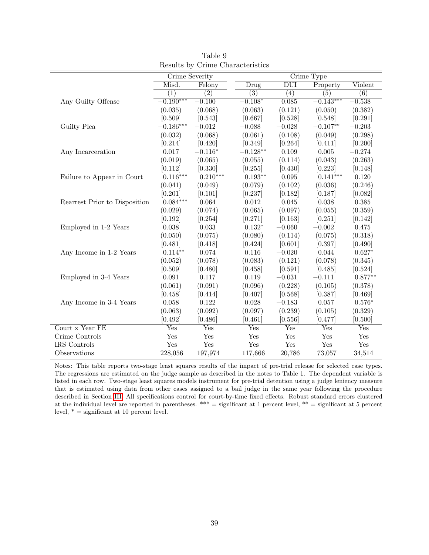|                               |                  |                  | $C1$ and $C1$ and $C2$ and $C3$ and $C4$ |                  |                  |                  |
|-------------------------------|------------------|------------------|------------------------------------------|------------------|------------------|------------------|
|                               | Crime Severity   |                  |                                          |                  | Crime Type       |                  |
|                               | Misd.            | Felony           | Drug                                     | <b>DUI</b>       | Property         | Violent          |
|                               | $\overline{(1)}$ | $\overline{(2)}$ | $\overline{(3)}$                         | $\overline{(4)}$ | $\overline{(5)}$ | $\overline{(6)}$ |
| Any Guilty Offense            | $-0.190***$      | $-0.100$         | $-0.108*$                                | 0.085            | $-0.143***$      | $-0.538$         |
|                               | (0.035)          | (0.068)          | (0.063)                                  | (0.121)          | (0.050)          | (0.382)          |
|                               | [0.509]          | [0.543]          | [0.667]                                  | [0.528]          | [0.548]          | [0.291]          |
| Guilty Plea                   | $-0.186***$      | $-0.012$         | $-0.088$                                 | $-0.028$         | $-0.107**$       | $-0.203$         |
|                               | (0.032)          | (0.068)          | (0.061)                                  | (0.108)          | (0.049)          | (0.298)          |
|                               | [0.214]          | [0.420]          | [0.349]                                  | [0.264]          | [0.411]          | [0.200]          |
| Any Incarceration             | 0.017            | $-0.116*$        | $-0.128**$                               | $0.109\,$        | $0.005\,$        | $-0.274$         |
|                               | (0.019)          | (0.065)          | (0.055)                                  | (0.114)          | (0.043)          | (0.263)          |
|                               | [0.112]          | [0.330]          | [0.255]                                  | [0.430]          | [0.223]          | [0.148]          |
| Failure to Appear in Court    | $0.116***$       | $0.210***$       | $0.193**$                                | 0.095            | $0.141***$       | 0.120            |
|                               | (0.041)          | (0.049)          | (0.079)                                  | (0.102)          | (0.036)          | (0.246)          |
|                               | [0.201]          | [0.101]          | [0.237]                                  | [0.182]          | [0.187]          | [0.082]          |
| Rearrest Prior to Disposition | $0.084***$       | 0.064            | 0.012                                    | 0.045            | 0.038            | 0.385            |
|                               | (0.029)          | (0.074)          | (0.065)                                  | (0.097)          | (0.055)          | (0.359)          |
|                               | [0.192]          | [0.254]          | [0.271]                                  | [0.163]          | [0.251]          | [0.142]          |
| Employed in 1-2 Years         | 0.038            | 0.033            | $0.132*$                                 | $-0.060$         | $-0.002$         | 0.475            |
|                               | (0.050)          | (0.075)          | (0.080)                                  | (0.114)          | (0.075)          | (0.318)          |
|                               | [0.481]          | [0.418]          | [0.424]                                  | [0.601]          | [0.397]          | [0.490]          |
| Any Income in 1-2 Years       | $0.114**$        | $0.074\,$        | $0.116\,$                                | $-0.020$         | 0.044            | $0.627*$         |
|                               | (0.052)          | (0.078)          | (0.083)                                  | (0.121)          | (0.078)          | (0.345)          |
|                               | [0.509]          | [0.480]          | [0.458]                                  | [0.591]          | [0.485]          | [0.524]          |
| Employed in 3-4 Years         | $\,0.091\,$      | 0.117            | 0.119                                    | $-0.031$         | $-0.111$         | $0.877**$        |
|                               | (0.061)          | (0.091)          | (0.096)                                  | (0.228)          | (0.105)          | (0.378)          |
|                               | [0.458]          | [0.414]          | [0.407]                                  | [0.568]          | [0.387]          | [0.469]          |
| Any Income in 3-4 Years       | 0.058            | 0.122            | 0.028                                    | $-0.183$         | 0.057            | $0.576*$         |
|                               | (0.063)          | (0.092)          | (0.097)                                  | (0.239)          | (0.105)          | (0.329)          |
|                               | [0.492]          | [0.486]          | [0.461]                                  | [0.556]          | [0.477]          | [0.500]          |
| Court x Year FE               | Yes              | Yes              | Yes                                      | Yes              | Yes              | Yes              |
| Crime Controls                | Yes              | Yes              | Yes                                      | Yes              | Yes              | Yes              |
| IRS Controls                  | Yes              | Yes              | Yes                                      | Yes              | Yes              | Yes              |
| Observations                  | 228,056          | 197,974          | 117,666                                  | 20,786           | 73,057           | 34,514           |

Table 9 Results by Crime Characteristics

Notes: This table reports two-stage least squares results of the impact of pre-trial release for selected case types. The regressions are estimated on the judge sample as described in the notes to Table 1. The dependent variable is listed in each row. Two-stage least squares models instrument for pre-trial detention using a judge leniency measure that is estimated using data from other cases assigned to a bail judge in the same year following the procedure described in Section [III.](#page-13-0) All specifications control for court-by-time fixed effects. Robust standard errors clustered at the individual level are reported in parentheses. \*\*\* = significant at 1 percent level, \*\* = significant at 5 percent level,  $* =$  significant at 10 percent level.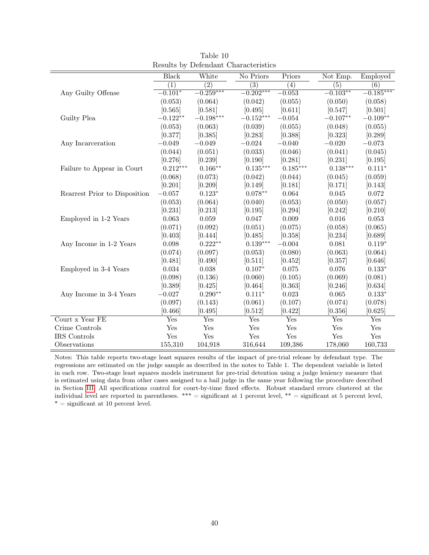|                               |                  |                    | resume by Defendant Characteristics |                  |                  |                  |
|-------------------------------|------------------|--------------------|-------------------------------------|------------------|------------------|------------------|
|                               | <b>Black</b>     | White              | No Priors                           | Priors           | Not Emp.         | Employed         |
|                               | $\overline{(1)}$ | $\overline{(2)}$   | $\overline{(3)}$                    | $\overline{(4)}$ | $\overline{(5)}$ | $\overline{(6)}$ |
| Any Guilty Offense            | $-0.101*$        | $-0.259***$        | $-0.202***$                         | $-0.053$         | $-0.103**$       | $-0.185***$      |
|                               | (0.053)          | (0.064)            | (0.042)                             | (0.055)          | (0.050)          | (0.058)          |
|                               | [0.565]          | [0.581]            | [0.495]                             | [0.611]          | [0.547]          | [0.501]          |
| Guilty Plea                   | $-0.122**$       | $-0.198***$        | $-0.152***$                         | $-0.054$         | $-0.107**$       | $-0.109**$       |
|                               | (0.053)          | (0.063)            | (0.039)                             | (0.055)          | (0.048)          | (0.055)          |
|                               | [0.377]          | [0.385]            | [0.283]                             | [0.388]          | [0.323]          | [0.289]          |
| Any Incarceration             | $-0.049$         | $-0.049$           | $-0.024$                            | $-0.040$         | $-0.020$         | $-0.073$         |
|                               | (0.044)          | (0.051)            | (0.033)                             | (0.046)          | (0.041)          | (0.045)          |
|                               | [0.276]          | [0.239]            | [0.190]                             | [0.281]          | [0.231]          | [0.195]          |
| Failure to Appear in Court    | $0.212***$       | $0.166^{\ast\ast}$ | $0.135***$                          | $0.185***$       | $0.138***$       | $0.111*$         |
|                               | (0.068)          | (0.073)            | (0.042)                             | (0.044)          | (0.045)          | (0.059)          |
|                               | [0.201]          | [0.209]            | [0.149]                             | [0.181]          | [0.171]          | [0.143]          |
| Rearrest Prior to Disposition | $-0.057$         | $0.123*$           | $0.078**$                           | 0.064            | 0.045            | 0.072            |
|                               | (0.053)          | (0.064)            | (0.040)                             | (0.053)          | (0.050)          | (0.057)          |
|                               | [0.231]          | [0.213]            | [0.195]                             | [0.294]          | [0.242]          | [0.210]          |
| Employed in 1-2 Years         | 0.063            | 0.059              | 0.047                               | 0.009            | 0.016            | 0.053            |
|                               | (0.071)          | (0.092)            | (0.051)                             | (0.075)          | (0.058)          | (0.065)          |
|                               | [0.403]          | [0.444]            | [0.485]                             | [0.358]          | [0.234]          | [0.689]          |
| Any Income in 1-2 Years       | 0.098            | $0.222**$          | $0.139***$                          | $-0.004$         | $\,0.081\,$      | $0.119*$         |
|                               | (0.074)          | (0.097)            | (0.053)                             | (0.080)          | (0.063)          | (0.064)          |
|                               | [0.481]          | [0.490]            | [0.511]                             | [0.452]          | [0.357]          | [0.646]          |
| Employed in 3-4 Years         | 0.034            | 0.038              | $0.107*$                            | 0.075            | 0.076            | $0.133*$         |
|                               | (0.098)          | (0.136)            | (0.060)                             | (0.105)          | (0.069)          | (0.081)          |
|                               | [0.389]          | [0.425]            | [0.464]                             | [0.363]          | [0.246]          | [0.634]          |
| Any Income in 3-4 Years       | $-0.027$         | $0.290**$          | $0.111*$                            | 0.023            | 0.065            | $0.133*$         |
|                               | (0.097)          | (0.143)            | (0.061)                             | (0.107)          | (0.074)          | (0.078)          |
|                               | [0.466]          | [0.495]            | [0.512]                             | [0.422]          | [0.356]          | [0.625]          |
| Court x Year FE               | Yes              | Yes                | Yes                                 | Yes              | Yes              | Yes              |
| Crime Controls                | Yes              | Yes                | $\operatorname{Yes}$                | Yes              | Yes              | Yes              |
| IRS Controls                  | Yes              | Yes                | Yes                                 | Yes              | Yes              | Yes              |
| Observations                  | 155,310          | 104,918            | 316,644                             | 109,386          | 178,060          | 160,733          |

Table 10 Results by Defendant Characteristics

Notes: This table reports two-stage least squares results of the impact of pre-trial release by defendant type. The regressions are estimated on the judge sample as described in the notes to Table 1. The dependent variable is listed in each row. Two-stage least squares models instrument for pre-trial detention using a judge leniency measure that is estimated using data from other cases assigned to a bail judge in the same year following the procedure described in Section [III.](#page-13-0) All specifications control for court-by-time fixed effects. Robust standard errors clustered at the individual level are reported in parentheses.  $*** =$  significant at 1 percent level,  $** =$  significant at 5 percent level,  $* =$  significant at 10 percent level.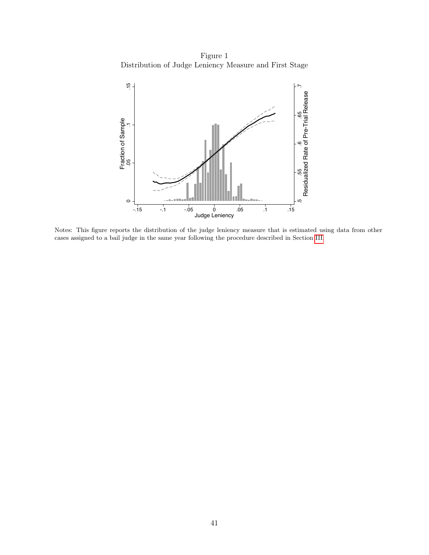Figure 1 Distribution of Judge Leniency Measure and First Stage



Notes: This figure reports the distribution of the judge leniency measure that is estimated using data from other cases assigned to a bail judge in the same year following the procedure described in Section [III.](#page-13-0)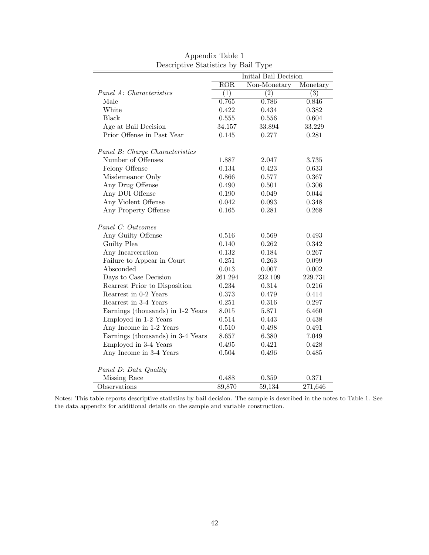|                                   |                  | Initial Bail Decision |                  |
|-----------------------------------|------------------|-----------------------|------------------|
|                                   | ROR              | Non-Monetary          | Monetary         |
| Panel A: Characteristics          | $\overline{(1)}$ | $\overline{(2)}$      | $\overline{(3)}$ |
| Male                              | 0.765            | 0.786                 | 0.846            |
| White                             | 0.422            | 0.434                 | 0.382            |
| Black                             | 0.555            | 0.556                 | 0.604            |
| Age at Bail Decision              | 34.157           | 33.894                | 33.229           |
| Prior Offense in Past Year        | 0.145            | 0.277                 | 0.281            |
|                                   |                  |                       |                  |
| Panel B: Charge Characteristics   |                  |                       |                  |
| Number of Offenses                | 1.887            | 2.047                 | 3.735            |
| Felony Offense                    | 0.134            | 0.423                 | 0.633            |
| Misdemeanor Only                  | 0.866            | 0.577                 | 0.367            |
| Any Drug Offense                  | 0.490            | 0.501                 | 0.306            |
| Any DUI Offense                   | 0.190            | 0.049                 | 0.044            |
| Any Violent Offense               | 0.042            | 0.093                 | 0.348            |
| Any Property Offense              | 0.165            | 0.281                 | 0.268            |
| Panel C: Outcomes                 |                  |                       |                  |
| Any Guilty Offense                | 0.516            | 0.569                 | 0.493            |
| Guilty Plea                       | 0.140            | 0.262                 | 0.342            |
| Any Incarceration                 | 0.132            | 0.184                 | 0.267            |
| Failure to Appear in Court        | 0.251            | 0.263                 | 0.099            |
| Absconded                         | 0.013            | 0.007                 | 0.002            |
| Days to Case Decision             | 261.294          | 232.109               | 229.731          |
| Rearrest Prior to Disposition     | 0.234            | 0.314                 | 0.216            |
| Rearrest in 0-2 Years             | 0.373            | 0.479                 | 0.414            |
| Rearrest in 3-4 Years             | 0.251            | 0.316                 | 0.297            |
| Earnings (thousands) in 1-2 Years | 8.015            | 5.871                 | 6.460            |
| Employed in 1-2 Years             | 0.514            | 0.443                 | 0.438            |
| Any Income in 1-2 Years           | 0.510            | 0.498                 | 0.491            |
| Earnings (thousands) in 3-4 Years | 8.657            | 6.380                 | 7.049            |
| Employed in 3-4 Years             | 0.495            | 0.421                 | 0.428            |
| Any Income in 3-4 Years           | 0.504            | 0.496                 | 0.485            |
| Panel D: Data Quality             |                  |                       |                  |
| Missing Race                      | 0.488            | 0.359                 | 0.371            |
| Observations                      | 89,870           | 59,134                | 271,646          |

Appendix Table 1 Descriptive Statistics by Bail Type

Notes: This table reports descriptive statistics by bail decision. The sample is described in the notes to Table 1. See the data appendix for additional details on the sample and variable construction.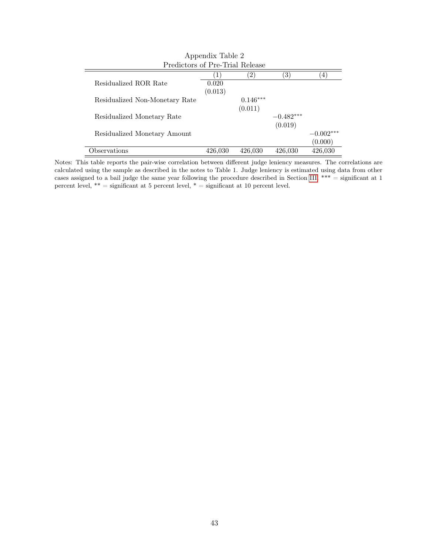|                                 | Appendix Table 2 |               |             |             |
|---------------------------------|------------------|---------------|-------------|-------------|
| Predictors of Pre-Trial Release |                  |               |             |             |
|                                 |                  | $^{\prime}2)$ | 3)          | 4           |
| Residualized ROR Rate           | 0.020            |               |             |             |
|                                 | (0.013)          |               |             |             |
| Residualized Non-Monetary Rate  |                  | $0.146***$    |             |             |
|                                 |                  | (0.011)       |             |             |
| Residualized Monetary Rate      |                  |               | $-0.482***$ |             |
|                                 |                  |               | (0.019)     |             |
| Residualized Monetary Amount    |                  |               |             | $-0.002***$ |
|                                 |                  |               |             | (0.000)     |
| Observations                    | 426,030          | 426,030       | 426,030     | 426.030     |

Notes: This table reports the pair-wise correlation between different judge leniency measures. The correlations are calculated using the sample as described in the notes to Table 1. Judge leniency is estimated using data from other cases assigned to a bail judge the same year following the procedure described in Section [III.](#page-13-0) \*\*\* = significant at 1 percent level, \*\* = significant at 5 percent level, \* = significant at 10 percent level.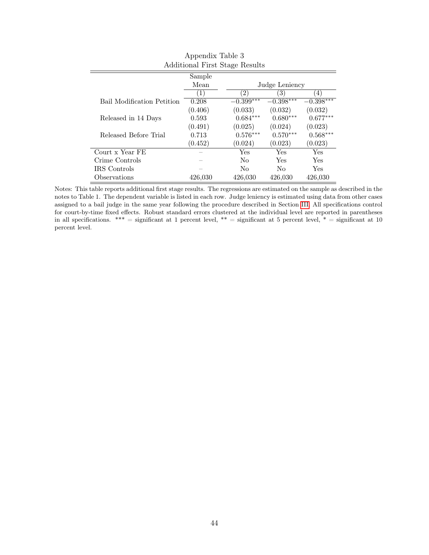| Additional First Diage Results |         |                   |                |             |  |  |
|--------------------------------|---------|-------------------|----------------|-------------|--|--|
|                                | Sample  |                   |                |             |  |  |
|                                | Mean    |                   | Judge Leniency |             |  |  |
|                                | 1)      | $\left( 2\right)$ | 3)             | 4)          |  |  |
| Bail Modification Petition     | 0.208   | $-0.399***$       | $-0.398***$    | $-0.398***$ |  |  |
|                                | (0.406) | (0.033)           | (0.032)        | (0.032)     |  |  |
| Released in 14 Days            | 0.593   | $0.684***$        | $0.680***$     | $0.677***$  |  |  |
|                                | (0.491) | (0.025)           | (0.024)        | (0.023)     |  |  |
| Released Before Trial          | 0.713   | $0.576***$        | $0.570***$     | $0.568***$  |  |  |
|                                | (0.452) | (0.024)           | (0.023)        | (0.023)     |  |  |
| Court x Year FE                |         | Yes               | Yes            | Yes         |  |  |
| Crime Controls                 |         | No                | Yes            | Yes         |  |  |
| IRS Controls                   |         | No                | No             | <b>Yes</b>  |  |  |
| Observations                   | 426,030 | 426,030           | 426,030        | 426,030     |  |  |

Appendix Table 3 Additional First Stage Results

Notes: This table reports additional first stage results. The regressions are estimated on the sample as described in the notes to Table 1. The dependent variable is listed in each row. Judge leniency is estimated using data from other cases assigned to a bail judge in the same year following the procedure described in Section [III.](#page-13-0) All specifications control for court-by-time fixed effects. Robust standard errors clustered at the individual level are reported in parentheses in all specifications. \*\*\* = significant at 1 percent level, \*\* = significant at 5 percent level, \* = significant at 10 percent level.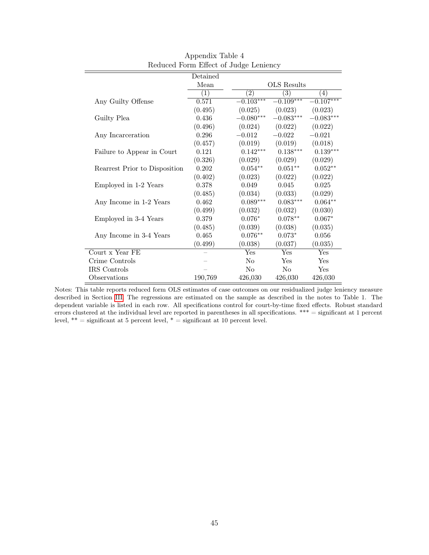|                               | Detained |                  |                 |                  |
|-------------------------------|----------|------------------|-----------------|------------------|
|                               | Mean     |                  | OLS Results     |                  |
|                               | (1)      | $\overline{(2)}$ | $\overline{3)}$ | $\left(4\right)$ |
| Any Guilty Offense            | 0.571    | $-0.103***$      | $-0.109***$     | $0.107***$       |
|                               | (0.495)  | (0.025)          | (0.023)         | (0.023)          |
| Guilty Plea                   | 0.436    | $-0.080***$      | $-0.083***$     | $-0.083***$      |
|                               | (0.496)  | (0.024)          | (0.022)         | (0.022)          |
| Any Incarceration             | 0.296    | $-0.012$         | $-0.022$        | $-0.021$         |
|                               | (0.457)  | (0.019)          | (0.019)         | (0.018)          |
| Failure to Appear in Court    | 0.121    | $0.142***$       | $0.138***$      | $0.139***$       |
|                               | (0.326)  | (0.029)          | (0.029)         | (0.029)          |
| Rearrest Prior to Disposition | 0.202    | $0.054**$        | $0.051**$       | $0.052**$        |
|                               | (0.402)  | (0.023)          | (0.022)         | (0.022)          |
| Employed in 1-2 Years         | 0.378    | 0.049            | 0.045           | 0.025            |
|                               | (0.485)  | (0.034)          | (0.033)         | (0.029)          |
| Any Income in 1-2 Years       | 0.462    | $0.089***$       | $0.083***$      | $0.064**$        |
|                               | (0.499)  | (0.032)          | (0.032)         | (0.030)          |
| Employed in 3-4 Years         | 0.379    | $0.076*$         | $0.078**$       | $0.067*$         |
|                               | (0.485)  | (0.039)          | (0.038)         | (0.035)          |
| Any Income in 3-4 Years       | 0.465    | $0.076**$        | $0.073*$        | 0.056            |
|                               | (0.499)  | (0.038)          | (0.037)         | (0.035)          |
| Court x Year FE               |          | Yes              | Yes             | Yes              |
| Crime Controls                |          | No               | Yes             | Yes              |
| IRS Controls                  |          | No               | $\rm No$        | Yes              |
| Observations                  | 190,769  | 426,030          | 426,030         | 426,030          |

Appendix Table 4 Reduced Form Effect of Judge Leniency

Notes: This table reports reduced form OLS estimates of case outcomes on our residualized judge leniency measure described in Section [III.](#page-13-0) The regressions are estimated on the sample as described in the notes to Table 1. The dependent variable is listed in each row. All specifications control for court-by-time fixed effects. Robust standard errors clustered at the individual level are reported in parentheses in all specifications. \*\*\* = significant at 1 percent level,  $**$  = significant at 5 percent level,  $*$  = significant at 10 percent level.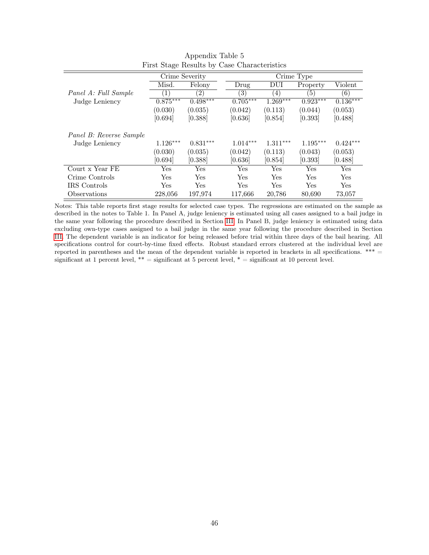|                         | Crime Severity |                   |                   |            | Crime Type |            |
|-------------------------|----------------|-------------------|-------------------|------------|------------|------------|
|                         | Misd.          | Felony            | Drug              | DUI        | Property   | Violent    |
| Panel A: Full Sample    | $\perp$        | $\left( 2\right)$ | $\left( 3\right)$ | (4)        | (5)        | (6)        |
| Judge Leniency          | $0.875***$     | $0.498***$        | $0.705***$        | $1.269***$ | $0.923***$ | $0.136***$ |
|                         | (0.030)        | (0.035)           | (0.042)           | (0.113)    | (0.044)    | (0.053)    |
|                         | [0.694]        | [0.388]           | [0.636]           | [0.854]    | [0.393]    | [0.488]    |
|                         |                |                   |                   |            |            |            |
| Panel B: Reverse Sample |                |                   |                   |            |            |            |
| Judge Leniency          | $1.126***$     | $0.831***$        | $1.014***$        | $1.311***$ | $1.195***$ | $0.424***$ |
|                         | (0.030)        | (0.035)           | (0.042)           | (0.113)    | (0.043)    | (0.053)    |
|                         | [0.694]        | [0.388]           | [0.636]           | [0.854]    | [0.393]    | [0.488]    |
| Court x Year FE         | Yes            | Yes               | Yes               | Yes        | Yes        | Yes        |
| Crime Controls          | Yes            | Yes               | Yes               | Yes        | Yes        | <b>Yes</b> |
| IRS Controls            | Yes            | Yes               | Yes               | Yes        | Yes        | Yes        |
| Observations            | 228,056        | 197,974           | 117,666           | 20,786     | 80,690     | 73,057     |

Appendix Table 5 First Stage Results by Case Characteristics

Notes: This table reports first stage results for selected case types. The regressions are estimated on the sample as described in the notes to Table 1. In Panel A, judge leniency is estimated using all cases assigned to a bail judge in the same year following the procedure described in Section [III.](#page-13-0) In Panel B, judge leniency is estimated using data excluding own-type cases assigned to a bail judge in the same year following the procedure described in Section [III.](#page-13-0) The dependent variable is an indicator for being released before trial within three days of the bail hearing. All specifications control for court-by-time fixed effects. Robust standard errors clustered at the individual level are reported in parentheses and the mean of the dependent variable is reported in brackets in all specifications.  $*** =$ significant at 1 percent level,  $** =$  significant at 5 percent level,  $* =$  significant at 10 percent level.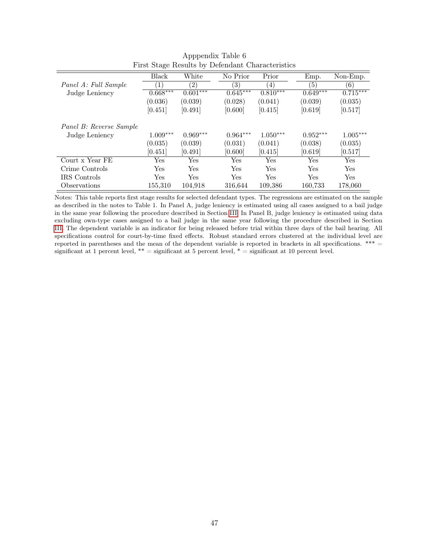|                         | <b>Black</b> | White             | No Prior          | Prior      | Emp.       | Non-Emp.   |
|-------------------------|--------------|-------------------|-------------------|------------|------------|------------|
| Panel A: Full Sample    | $\perp$      | $\left( 2\right)$ | $\left( 3\right)$ | (4)        | 5)         | (6)        |
| Judge Leniency          | $0.668***$   | $0.601***$        | $0.645***$        | $0.810***$ | $0.649***$ | $0.715***$ |
|                         | (0.036)      | (0.039)           | (0.028)           | (0.041)    | (0.039)    | (0.035)    |
|                         | [0.451]      | [0.491]           | [0.600]           | [0.415]    | [0.619]    | [0.517]    |
| Panel B: Reverse Sample |              |                   |                   |            |            |            |
| Judge Leniency          | $1.009***$   | $0.969***$        | $0.964***$        | $1.050***$ | $0.952***$ | $1.005***$ |
|                         | (0.035)      | (0.039)           | (0.031)           | (0.041)    | (0.038)    | (0.035)    |
|                         | [0.451]      | [0.491]           | [0.600]           | [0.415]    | [0.619]    | [0.517]    |
| Court x Year FE         | Yes          | Yes               | Yes               | Yes        | Yes        | Yes        |
| Crime Controls          | Yes          | Yes               | Yes               | Yes        | Yes        | Yes        |
| <b>IRS</b> Controls     | Yes          | Yes               | Yes               | Yes        | Yes        | Yes        |
| Observations            | 155,310      | 104,918           | 316,644           | 109,386    | 160,733    | 178,060    |

Apppendix Table 6 First Stage Results by Defendant Characteristics

Notes: This table reports first stage results for selected defendant types. The regressions are estimated on the sample as described in the notes to Table 1. In Panel A, judge leniency is estimated using all cases assigned to a bail judge in the same year following the procedure described in Section [III.](#page-13-0) In Panel B, judge leniency is estimated using data excluding own-type cases assigned to a bail judge in the same year following the procedure described in Section [III.](#page-13-0) The dependent variable is an indicator for being released before trial within three days of the bail hearing. All specifications control for court-by-time fixed effects. Robust standard errors clustered at the individual level are reported in parentheses and the mean of the dependent variable is reported in brackets in all specifications.  $*** =$ significant at 1 percent level, \*\* = significant at 5 percent level, \* = significant at 10 percent level.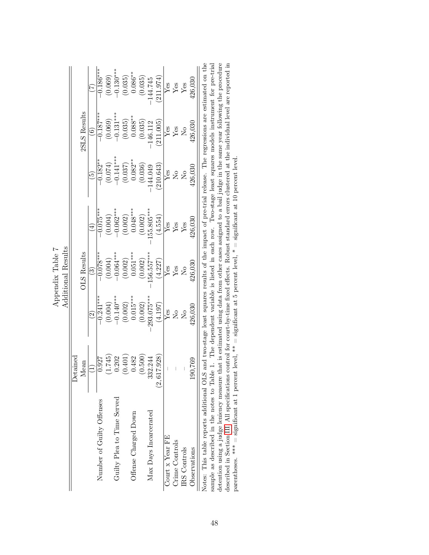|                                                                                                                                                                                                                                                                                                            |                                |                           | Additional Results<br>Appendix Table 7 |                              |                |                                                                        |                         |
|------------------------------------------------------------------------------------------------------------------------------------------------------------------------------------------------------------------------------------------------------------------------------------------------------------|--------------------------------|---------------------------|----------------------------------------|------------------------------|----------------|------------------------------------------------------------------------|-------------------------|
|                                                                                                                                                                                                                                                                                                            | Detained                       |                           |                                        |                              |                |                                                                        |                         |
|                                                                                                                                                                                                                                                                                                            | Mean                           |                           | <b>OLS</b> Results                     |                              |                | 2SLS Results                                                           |                         |
|                                                                                                                                                                                                                                                                                                            |                                |                           | වි                                     | $\left( \frac{1}{2} \right)$ |                | $\widehat{\mathbf{e}}$                                                 |                         |
| Number of Guilty Offenses                                                                                                                                                                                                                                                                                  | 0.927                          | $-0.241***$               | $-0.078$ **                            | $-0.075***$                  | $-0.182**$     | $-0.187***$                                                            | $-0.186***$             |
|                                                                                                                                                                                                                                                                                                            | (1.745)                        | (0.004)                   | (0.004)                                | (0.004)                      | (0.074)        | (0.069)                                                                | (0.069)                 |
| Guilty Plea to Time Served                                                                                                                                                                                                                                                                                 | 0.202                          | $-0.140***$               | $-0.064***$                            | $-0.062$ ***                 | $-0.141***$    | $-0.131***$                                                            | $-0.130***$             |
|                                                                                                                                                                                                                                                                                                            | (0.401)                        | (0.002)                   | (0.002)                                | (0.002)                      | (0.037)        | (0.035)                                                                | (0.035)                 |
| Offense Charged Down                                                                                                                                                                                                                                                                                       | 0.482                          | $0.015***$                | $0.051***$                             | $0.048***$                   | $0.082**$      | $0.088**$                                                              | $0.086**$               |
|                                                                                                                                                                                                                                                                                                            | (0.500)                        | (0.002)                   | (0.002)                                | (0.002)                      | (0.036)        | (0.035)                                                                | (0.035)                 |
| Max Days Incarcerated                                                                                                                                                                                                                                                                                      | 332.244                        | 293.075***                | 156.557***                             | 155.805***                   | $-144.049$     | $-146.112$                                                             | $-144.745$              |
|                                                                                                                                                                                                                                                                                                            | 617.928<br>$\dot{\mathcal{O}}$ | (4.197)                   | (4.227)                                | (4.554)                      | 210.643        | 211.005                                                                | (211.974)               |
| Court $x$ Year FE                                                                                                                                                                                                                                                                                          |                                | Yes                       | Yes                                    | Yes                          | Yes            | $Y_{\text{es}}$                                                        | ${\rm Yes}$             |
| Crime Controls                                                                                                                                                                                                                                                                                             |                                | $\overline{N}$            | ${\rm Yes}$                            | Yes                          | $\overline{R}$ |                                                                        | $\mathbf{Y}\mathbf{es}$ |
| IRS Controls                                                                                                                                                                                                                                                                                               |                                | $\rm \stackrel{\circ}{X}$ | $\overline{\mathsf{X}}$                | $Y$ es                       | $\overline{N}$ | $\rm \stackrel{\circ}{\rm \stackrel{\circ}{\rm \scriptscriptstyle M}}$ | Yes                     |
| Observations                                                                                                                                                                                                                                                                                               | 190,769                        | 426,030                   | 126,030                                | 426,030                      | 426,030        | 426,030                                                                | 426,030                 |
| Notes: This table reports additional OLS and two-stage least squares results of the impact of pre-trial release. The regressions are estimated on the<br>sample as described in the notes to Table 1. The dependent variable is listed in each row. Two-stage least squares models instrument for pre-tria |                                |                           |                                        |                              |                |                                                                        |                         |

| Notes: This table reports additional OLS and two-stage least squares results of the impact of pre-trial release. The regressions are estimated on the          |
|----------------------------------------------------------------------------------------------------------------------------------------------------------------|
| sample as described in the notes to Table 1. The dependent variable is listed in each row. Two-stage least squares models instrument for pre-trial             |
| etention using a judge leniency measure that is estimated using data from other cases assigned to a bail judge in the same year following the procedure        |
| described in Section III. All specifications control for court-by-time fixed effects. Robust standard errors clustered at the individual level are reported in |
| parentheses. *** = significant at 1 percent level, ** = significant at 5 percent level, * = significant at 10 percent level.                                   |
|                                                                                                                                                                |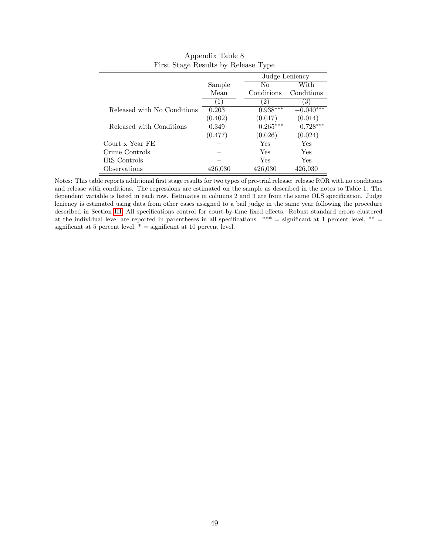|                             |         | Judge Leniency         |             |
|-----------------------------|---------|------------------------|-------------|
|                             | Sample  | No                     | With        |
|                             | Mean    | Conditions             | Conditions  |
|                             |         | $\left 2\right\rangle$ | 3)          |
| Released with No Conditions | 0.203   | $0.938***$             | $-0.040***$ |
|                             | (0.402) | (0.017)                | (0.014)     |
| Released with Conditions    | 0.349   | $-0.265***$            | $0.728***$  |
|                             | (0.477) | (0.026)                | (0.024)     |
| Court x Year FE             |         | Yes                    | Yes         |
| Crime Controls              |         | Yes                    | Yes         |
| IRS Controls                |         | Yes                    | Yes         |
| Observations                | 426.030 | 426,030                | 426,030     |

| Appendix Table 8                    |  |
|-------------------------------------|--|
| First Stage Results by Release Type |  |

Notes: This table reports additional first stage results for two types of pre-trial release: release ROR with no conditions and release with conditions. The regressions are estimated on the sample as described in the notes to Table 1. The dependent variable is listed in each row. Estimates in columns 2 and 3 are from the same OLS specification. Judge leniency is estimated using data from other cases assigned to a bail judge in the same year following the procedure described in Section [III.](#page-13-0) All specifications control for court-by-time fixed effects. Robust standard errors clustered at the individual level are reported in parentheses in all specifications.  $***$  = significant at 1 percent level,  $**$  = significant at 5 percent level,  $* =$  significant at 10 percent level.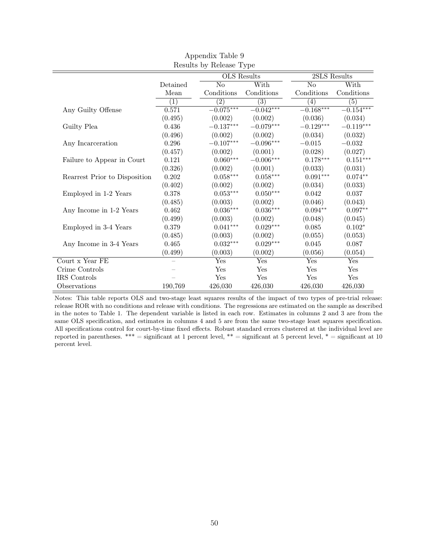|                               |                  | TRESULTS DY TRETEGSE I A DE |                  |                        |                  |
|-------------------------------|------------------|-----------------------------|------------------|------------------------|------------------|
|                               |                  | OLS Results                 |                  | 2SLS Results           |                  |
|                               | Detained         | No                          | With             | $\overline{\text{No}}$ | With             |
|                               | Mean             | Conditions                  | Conditions       | Conditions             | Conditions       |
|                               | $\overline{(1)}$ | $\overline{(2)}$            | $\overline{(3)}$ | $\overline{(4)}$       | $\overline{(5)}$ |
| Any Guilty Offense            | 0.571            | $-0.075***$                 | $-0.042***$      | $-\overline{0.168***}$ | $-0.154***$      |
|                               | (0.495)          | (0.002)                     | (0.002)          | (0.036)                | (0.034)          |
| Guilty Plea                   | 0.436            | $-0.137***$                 | $-0.079***$      | $-0.129***$            | $-0.119***$      |
|                               | (0.496)          | (0.002)                     | (0.002)          | (0.034)                | (0.032)          |
| Any Incarceration             | 0.296            | $-0.107***$                 | $-0.096***$      | $-0.015$               | $-0.032$         |
|                               | (0.457)          | (0.002)                     | (0.001)          | (0.028)                | (0.027)          |
| Failure to Appear in Court    | 0.121            | $0.060***$                  | $-0.006***$      | $0.178***$             | $0.151***$       |
|                               | (0.326)          | (0.002)                     | (0.001)          | (0.033)                | (0.031)          |
| Rearrest Prior to Disposition | 0.202            | $0.058***$                  | $0.058***$       | $0.091***$             | $0.074**$        |
|                               | (0.402)          | (0.002)                     | (0.002)          | (0.034)                | (0.033)          |
| Employed in 1-2 Years         | 0.378            | $0.053^{***}\,$             | $0.050***$       | 0.042                  | 0.037            |
|                               | (0.485)          | (0.003)                     | (0.002)          | (0.046)                | (0.043)          |
| Any Income in 1-2 Years       | 0.462            | $0.036***$                  | $0.036***$       | $0.094**$              | $0.097**$        |
|                               | (0.499)          | (0.003)                     | (0.002)          | (0.048)                | (0.045)          |
| Employed in 3-4 Years         | 0.379            | $0.041***$                  | $0.029***$       | 0.085                  | $0.102*$         |
|                               | (0.485)          | (0.003)                     | (0.002)          | (0.055)                | (0.053)          |
| Any Income in 3-4 Years       | 0.465            | $0.032***$                  | $0.029***$       | 0.045                  | 0.087            |
|                               | (0.499)          | (0.003)                     | (0.002)          | (0.056)                | (0.054)          |
| Court x Year FE               |                  | Yes                         | Yes              | Yes                    | Yes              |
| Crime Controls                |                  | Yes                         | Yes              | Yes                    | Yes              |
| IRS Controls                  |                  | Yes                         | Yes              | Yes                    | Yes              |
| Observations                  | 190,769          | 426,030                     | 426,030          | 426,030                | 426,030          |

Appendix Table 9 Results by Release Type

Notes: This table reports OLS and two-stage least squares results of the impact of two types of pre-trial release: release ROR with no conditions and release with conditions. The regressions are estimated on the sample as described in the notes to Table 1. The dependent variable is listed in each row. Estimates in columns 2 and 3 are from the same OLS specification, and estimates in columns 4 and 5 are from the same two-stage least squares specification. All specifications control for court-by-time fixed effects. Robust standard errors clustered at the individual level are reported in parentheses. \*\*\* = significant at 1 percent level, \*\* = significant at 5 percent level, \* = significant at 10 percent level.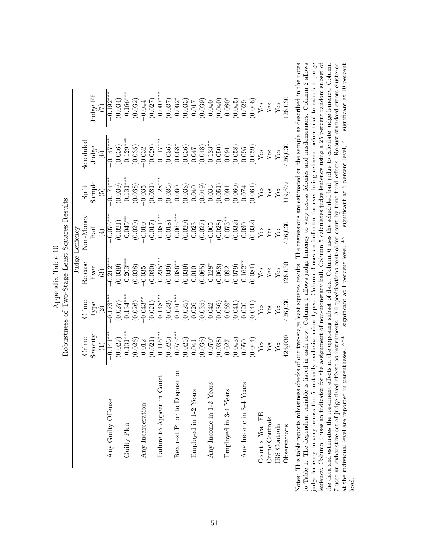|                                                |                                                                                                                                                                                                                                                                                                                           | Robustness of Two-Stage Least Squares Results                                                                                                                                                                                                                                                   |                                                                                                                                                                                                                                                                                             | Judge Leniency                                                                                                                                                                                                                                                                                                             |                                                                                                                                                                                                                                                                                                |                                                                                                                                                  |                                                                                                                                                                                                                                                                                              |
|------------------------------------------------|---------------------------------------------------------------------------------------------------------------------------------------------------------------------------------------------------------------------------------------------------------------------------------------------------------------------------|-------------------------------------------------------------------------------------------------------------------------------------------------------------------------------------------------------------------------------------------------------------------------------------------------|---------------------------------------------------------------------------------------------------------------------------------------------------------------------------------------------------------------------------------------------------------------------------------------------|----------------------------------------------------------------------------------------------------------------------------------------------------------------------------------------------------------------------------------------------------------------------------------------------------------------------------|------------------------------------------------------------------------------------------------------------------------------------------------------------------------------------------------------------------------------------------------------------------------------------------------|--------------------------------------------------------------------------------------------------------------------------------------------------|----------------------------------------------------------------------------------------------------------------------------------------------------------------------------------------------------------------------------------------------------------------------------------------------|
|                                                | $\mathbb{C}$ rime                                                                                                                                                                                                                                                                                                         | $C$ rime                                                                                                                                                                                                                                                                                        | Release                                                                                                                                                                                                                                                                                     | $\text{Non-Money}$                                                                                                                                                                                                                                                                                                         | Spi                                                                                                                                                                                                                                                                                            | $\rm Scheduled$                                                                                                                                  |                                                                                                                                                                                                                                                                                              |
|                                                | Severity                                                                                                                                                                                                                                                                                                                  | Type                                                                                                                                                                                                                                                                                            | Ever                                                                                                                                                                                                                                                                                        | Bail                                                                                                                                                                                                                                                                                                                       | Sample                                                                                                                                                                                                                                                                                         | Judge                                                                                                                                            | Judge FE                                                                                                                                                                                                                                                                                     |
|                                                |                                                                                                                                                                                                                                                                                                                           | $\widehat{\mathfrak{S}}$                                                                                                                                                                                                                                                                        | $\widehat{\mathbb{G}}$                                                                                                                                                                                                                                                                      | $\widehat{\mathcal{A}}$                                                                                                                                                                                                                                                                                                    | $\widetilde{\Xi}$                                                                                                                                                                                                                                                                              |                                                                                                                                                  |                                                                                                                                                                                                                                                                                              |
| Any Guilty Offense                             | $-0.141**$                                                                                                                                                                                                                                                                                                                | $\overline{0.173}^{*}$                                                                                                                                                                                                                                                                          | $-0.212***$                                                                                                                                                                                                                                                                                 | $-0.076***$                                                                                                                                                                                                                                                                                                                | $\frac{1}{2}$ $\frac{1}{4}$                                                                                                                                                                                                                                                                    | $0.147***$                                                                                                                                       | $-0.192**$                                                                                                                                                                                                                                                                                   |
|                                                |                                                                                                                                                                                                                                                                                                                           | $(0.027)$<br>-0.134***                                                                                                                                                                                                                                                                          | $(0.039)$<br>$-0.203***$                                                                                                                                                                                                                                                                    |                                                                                                                                                                                                                                                                                                                            | $(0.039)$<br>-0.131**                                                                                                                                                                                                                                                                          |                                                                                                                                                  |                                                                                                                                                                                                                                                                                              |
| Guilty Plea                                    |                                                                                                                                                                                                                                                                                                                           |                                                                                                                                                                                                                                                                                                 |                                                                                                                                                                                                                                                                                             |                                                                                                                                                                                                                                                                                                                            |                                                                                                                                                                                                                                                                                                |                                                                                                                                                  | $(0.034)$<br>-0.166***                                                                                                                                                                                                                                                                       |
|                                                | $\begin{array}{l} (0.027) \\ -0.131^{***} \\ (0.026) \\ (0.021) \\ (0.012) \\ (0.026) \\ (0.027) \\ (0.028) \\ (0.029) \\ (0.025) \\ (0.036) \\ (0.036) \\ (0.037) \\ (0.030) \\ (0.004) \\ (0.004) \\ (0.004) \\ (0.004) \\ (0.004) \\ (0.004) \\ (0.004) \\ (0.004) \\ (0.004) \\ (0.004) \\ (0.004) \\ (0.004) \\ (0.$ | $(0.026)$<br>-0.043**                                                                                                                                                                                                                                                                           | $(0.038)$<br>-0.035                                                                                                                                                                                                                                                                         | $\begin{array}{l} (0.021) \\ -0.045^{**} \\ (0.020) \\ (0.011) \\ (0.017) \\ (0.018) \\ (0.018) \\ (0.005^{***} \\ (0.0020) \\ (0.020) \\ (0.027) \\ (0.028) \\ (0.028) \\ (0.032) \\ (0.030) \\ (0.030) \\ (0.030) \\ (0.030) \\ (0.030) \\ (0.030) \\ (0.030) \\ (0.030) \\ (0.030) \\ (0.030) \\ (0.030) \\ (0.030) \\$ | $\begin{array}{l} (0.038)\\ (-0.035)\\ (-0.031)\\ (0.031)\\ (0.036)\\ (0.036)\\ (0.038)\\ (0.038)\\ (0.038)\\ (0.038)\\ (0.039)\\ (0.030)\\ (0.030)\\ (0.000)\\ (0.001)\\ (0.000)\\ (0.001)\\ (0.001)\\ (0.001)\\ (0.001)\\ (0.001)\\ (0.001)\\ (0.001)\\ (0.001)\\ (0.001)\\ (0.001)\\ (0.00$ | $(0.036)\n(0.035)\n(0.032)\n(0.039)\n(0.030)\n(0.030)\n(0.036)\n(0.036)\n(0.036)\n(0.036)\n(0.037)\n(0.030)\n(0.030)\n(0.030)\n(0.030)\n(0.030)$ | $\left(0.032\right)$ $-0.044$                                                                                                                                                                                                                                                                |
| Any Incarceration                              |                                                                                                                                                                                                                                                                                                                           |                                                                                                                                                                                                                                                                                                 |                                                                                                                                                                                                                                                                                             |                                                                                                                                                                                                                                                                                                                            |                                                                                                                                                                                                                                                                                                |                                                                                                                                                  |                                                                                                                                                                                                                                                                                              |
|                                                |                                                                                                                                                                                                                                                                                                                           |                                                                                                                                                                                                                                                                                                 | (0.030)                                                                                                                                                                                                                                                                                     |                                                                                                                                                                                                                                                                                                                            |                                                                                                                                                                                                                                                                                                |                                                                                                                                                  |                                                                                                                                                                                                                                                                                              |
| $\operatorname{Count}$<br>Failure to Appear in |                                                                                                                                                                                                                                                                                                                           |                                                                                                                                                                                                                                                                                                 |                                                                                                                                                                                                                                                                                             |                                                                                                                                                                                                                                                                                                                            |                                                                                                                                                                                                                                                                                                |                                                                                                                                                  |                                                                                                                                                                                                                                                                                              |
|                                                |                                                                                                                                                                                                                                                                                                                           |                                                                                                                                                                                                                                                                                                 |                                                                                                                                                                                                                                                                                             |                                                                                                                                                                                                                                                                                                                            |                                                                                                                                                                                                                                                                                                |                                                                                                                                                  |                                                                                                                                                                                                                                                                                              |
| Rearrest Prior to Disposition                  |                                                                                                                                                                                                                                                                                                                           |                                                                                                                                                                                                                                                                                                 |                                                                                                                                                                                                                                                                                             |                                                                                                                                                                                                                                                                                                                            |                                                                                                                                                                                                                                                                                                |                                                                                                                                                  |                                                                                                                                                                                                                                                                                              |
|                                                |                                                                                                                                                                                                                                                                                                                           |                                                                                                                                                                                                                                                                                                 |                                                                                                                                                                                                                                                                                             |                                                                                                                                                                                                                                                                                                                            |                                                                                                                                                                                                                                                                                                |                                                                                                                                                  |                                                                                                                                                                                                                                                                                              |
| Ω<br>Employed in 1-2 Year                      |                                                                                                                                                                                                                                                                                                                           |                                                                                                                                                                                                                                                                                                 |                                                                                                                                                                                                                                                                                             |                                                                                                                                                                                                                                                                                                                            |                                                                                                                                                                                                                                                                                                |                                                                                                                                                  |                                                                                                                                                                                                                                                                                              |
|                                                |                                                                                                                                                                                                                                                                                                                           |                                                                                                                                                                                                                                                                                                 |                                                                                                                                                                                                                                                                                             |                                                                                                                                                                                                                                                                                                                            |                                                                                                                                                                                                                                                                                                |                                                                                                                                                  |                                                                                                                                                                                                                                                                                              |
| Any Income in 1-2 Years                        |                                                                                                                                                                                                                                                                                                                           |                                                                                                                                                                                                                                                                                                 |                                                                                                                                                                                                                                                                                             |                                                                                                                                                                                                                                                                                                                            |                                                                                                                                                                                                                                                                                                |                                                                                                                                                  |                                                                                                                                                                                                                                                                                              |
|                                                |                                                                                                                                                                                                                                                                                                                           |                                                                                                                                                                                                                                                                                                 |                                                                                                                                                                                                                                                                                             |                                                                                                                                                                                                                                                                                                                            |                                                                                                                                                                                                                                                                                                |                                                                                                                                                  |                                                                                                                                                                                                                                                                                              |
| w<br>Employed in 3-4 Year                      |                                                                                                                                                                                                                                                                                                                           |                                                                                                                                                                                                                                                                                                 |                                                                                                                                                                                                                                                                                             |                                                                                                                                                                                                                                                                                                                            |                                                                                                                                                                                                                                                                                                |                                                                                                                                                  |                                                                                                                                                                                                                                                                                              |
|                                                |                                                                                                                                                                                                                                                                                                                           | $\begin{array}{c} (0.021)\\ 0.148^{***} \\ (0.023)\\ (0.025)\\ (0.025)\\ (0.036)\\ (0.036)\\ (0.036)\\ (0.036)\\ (0.037)\\ (0.036)\\ (0.037)\\ (0.030)\\ (0.030)\\ (0.030)\\ (0.030)\\ (0.030)\\ (0.030)\\ (0.030)\\ (0.030)\\ (0.030)\\ (0.030)\\ (0.030)\\ (0.030)\\ (0.030)\\ (0.030)\\ (0.$ | $\begin{array}{c} (0.235^{**})\\ (0.049)\\ (0.065)\\ (0.039)\\ (0.010)\\ (0.010)\\ (0.065)\\ (0.065)\\ (0.006)\\ (0.008)\\ (0.0079)\\ (0.0079)\\ (0.0079)\\ (0.0079)\\ (0.0079)\\ (0.0079)\\ (0.0079)\\ (0.0079)\\ (0.0079)\\ (0.0079)\\ (0.0079)\\ (0.0079)\\ (0.0079)\\ (0.0079)\\ (0.00$ |                                                                                                                                                                                                                                                                                                                            |                                                                                                                                                                                                                                                                                                |                                                                                                                                                  | $\begin{array}{l} (0.027)\\ (0.037)\\ (0.037)\\ (0.033)\\ (0.033)\\ (0.030)\\ (0.030)\\ (0.030)\\ (0.030)\\ (0.030)\\ (0.045)\\ (0.045)\\ (0.029)\\ (0.029)\\ (0.029)\\ (0.020)\\ (0.020)\\ (0.020)\\ (0.020)\\ (0.020)\\ (0.020)\\ (0.020)\\ (0.020)\\ (0.020)\\ (0.020)\\ (0.020)\\ (0.02$ |
| Any Income in 3-4 Years                        |                                                                                                                                                                                                                                                                                                                           |                                                                                                                                                                                                                                                                                                 |                                                                                                                                                                                                                                                                                             |                                                                                                                                                                                                                                                                                                                            |                                                                                                                                                                                                                                                                                                |                                                                                                                                                  |                                                                                                                                                                                                                                                                                              |
|                                                |                                                                                                                                                                                                                                                                                                                           | (0.041)                                                                                                                                                                                                                                                                                         | (0.081)                                                                                                                                                                                                                                                                                     | (0.032)                                                                                                                                                                                                                                                                                                                    | (0.061)                                                                                                                                                                                                                                                                                        | (0.059)                                                                                                                                          | (0.046)                                                                                                                                                                                                                                                                                      |
| Court x Year FE                                | $_{\rm Yes}^{\rm Yes}$                                                                                                                                                                                                                                                                                                    | $_{\rm Yes}^{\rm Yes}$                                                                                                                                                                                                                                                                          | $Y$ es                                                                                                                                                                                                                                                                                      | Yes                                                                                                                                                                                                                                                                                                                        | $_{\rm Yes}^{\rm Yes}$                                                                                                                                                                                                                                                                         | Yes                                                                                                                                              | $_{\rm Yes}^{\rm Yes}$                                                                                                                                                                                                                                                                       |
| Crime Controls                                 |                                                                                                                                                                                                                                                                                                                           |                                                                                                                                                                                                                                                                                                 | ${\rm Yes}$                                                                                                                                                                                                                                                                                 | $\mathbf{Yes}$                                                                                                                                                                                                                                                                                                             |                                                                                                                                                                                                                                                                                                | ${\rm Yes}$                                                                                                                                      |                                                                                                                                                                                                                                                                                              |
| IRS Controls                                   | ${\rm Yes}$                                                                                                                                                                                                                                                                                                               | ${\rm Yes}$                                                                                                                                                                                                                                                                                     | ${\rm Yes}$                                                                                                                                                                                                                                                                                 | $\mathbf{Yes}$                                                                                                                                                                                                                                                                                                             | Yes                                                                                                                                                                                                                                                                                            | ${\rm Yes}$                                                                                                                                      | ${\rm Yes}$                                                                                                                                                                                                                                                                                  |
| Observations                                   | 126,030                                                                                                                                                                                                                                                                                                                   | 126,030                                                                                                                                                                                                                                                                                         | 126,030                                                                                                                                                                                                                                                                                     | 126,030                                                                                                                                                                                                                                                                                                                    | 319,67                                                                                                                                                                                                                                                                                         | 126,030                                                                                                                                          | 126,030                                                                                                                                                                                                                                                                                      |

Appendix Table 10 Appendix Table 10

notes judge leniency to vary across the 5 mutually exclusive crime types. Column 3 uses an indicator for ever being released before trial to calculate judge leniency. Column 4 uses an indicator for the assignment of non-monetary bail. Column 5 calculates judge leniency using a 25 percent random subset of 7 uses an exhaustive set of judge fixed effects as instruments. All specifications control for court-by-time fixed effects. Robust standard errors clustered at the individual level are reported in parentheses. \*\*\* = signi to Table 1. The dependent variable is listed in each row. Column 1 allows judge leniency to vary across felonies and misdemeanors. Column 2 allows the data and estimates the treatment effects in the opposing subset of data. Column 6 uses the scheduled bail judge to calculate judge leniency. Column leniency. Column 4 uses an indicator for the assignment of non-monetary bail. Column 5 calculates judge leniency using a 25 percent random subset of Notes: This table reports robustness checks of our two-stage least squares results. The regressions are estimated on the sample as described in the notes to Table 1. The dependent variable is listed in each row. Column 1 allows judge leniency to vary across felonies and misdemeanors. Column 2 allows judge leniency to vary across the 5 mutually exclusive crime types. Column 3 uses an indicator for ever being released before trial to calculate judge the data and estimates the treatment effects in the opposing subset of data. Column 6 uses the scheduled bail judge to calculate judge leniency. Column 7 uses an exhaustive set of judge fixed effects as instruments. All specifications control for court-by-time fixed effects. Robust standard errors clustered at the individual level are reported in parentheses. \*\*\* = significant at 1 percent level, \*\* = significant at 5 percent level, \* = significant at 10 percent Notes: level.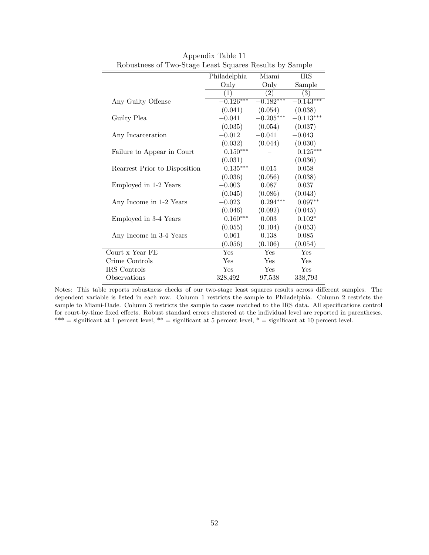| ٮ                             |              |             | Α.                     |
|-------------------------------|--------------|-------------|------------------------|
|                               | Philadelphia | Miami       | <b>IRS</b>             |
|                               | Only         | Only        | Sample                 |
|                               | (1)          | (2)         | $\overline{(3)}$       |
| Any Guilty Offense            | $-0.126***$  | $-0.182***$ | $-\overline{0.143***}$ |
|                               | (0.041)      | (0.054)     | (0.038)                |
| Guilty Plea                   | $-0.041$     | $-0.205***$ | $-0.113***$            |
|                               | (0.035)      | (0.054)     | (0.037)                |
| Any Incarceration             | $-0.012$     | $-0.041$    | $-0.043$               |
|                               | (0.032)      | (0.044)     | (0.030)                |
| Failure to Appear in Court    | $0.150***$   |             | $0.125***$             |
|                               | (0.031)      |             | (0.036)                |
| Rearrest Prior to Disposition | $0.135***$   | 0.015       | 0.058                  |
|                               | (0.036)      | (0.056)     | (0.038)                |
| Employed in 1-2 Years         | $-0.003$     | 0.087       | 0.037                  |
|                               | (0.045)      | (0.086)     | (0.043)                |
| Any Income in 1-2 Years       | $-0.023$     | $0.294***$  | $0.097**$              |
|                               | (0.046)      | (0.092)     | (0.045)                |
| Employed in 3-4 Years         | $0.160***$   | 0.003       | $0.102*$               |
|                               | (0.055)      | (0.104)     | (0.053)                |
| Any Income in 3-4 Years       | 0.061        | 0.138       | 0.085                  |
|                               | (0.056)      | (0.106)     | (0.054)                |
| Court x Year FE               | Yes          | Yes         | Yes                    |
| Crime Controls                | <b>Yes</b>   | Yes         | Yes                    |
| IRS Controls                  | Yes          | Yes         | Yes                    |
| Observations                  | 328,492      | 97,538      | 338,793                |
|                               |              |             |                        |

Appendix Table 11 Robustness of Two-Stage Least Squares Results by Sample

Notes: This table reports robustness checks of our two-stage least squares results across different samples. The dependent variable is listed in each row. Column 1 restricts the sample to Philadelphia. Column 2 restricts the sample to Miami-Dade. Column 3 restricts the sample to cases matched to the IRS data. All specifications control for court-by-time fixed effects. Robust standard errors clustered at the individual level are reported in parentheses. \*\*\* = significant at 1 percent level, \*\* = significant at 5 percent level, \* = significant at 10 percent level.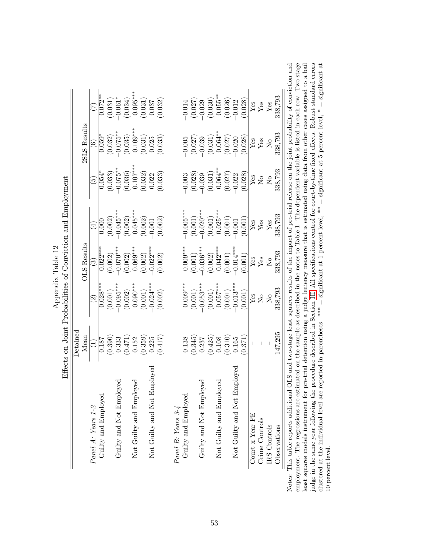|                                   | Detained |                                                                        |                               |                        |                      |                       |                         |
|-----------------------------------|----------|------------------------------------------------------------------------|-------------------------------|------------------------|----------------------|-----------------------|-------------------------|
|                                   | Mean     |                                                                        | <b>OLS</b> Results            |                        |                      | 2SLS Results          |                         |
| Panel A: Years 1-2                |          | $\odot$                                                                | $\widetilde{\mathbb{C}}$      | $\bigoplus$            | وغ                   | $\widehat{\circ}$     |                         |
| Guilty and Employed               | 0.187    | $0.028***$                                                             | $0.022***$                    | 0.000                  | $-0.054^{\circ}$     | $-0.059*$             | $-0.072**$              |
|                                   | (0.390)  | (0.001)                                                                |                               | $(0.002)$<br>-0.045*** | (0.033)              |                       | $(0.031)$<br>-0.061*    |
| Guilty and Not Employed           | 0.333    | $-0.095***$                                                            | $(0.002)$<br>-0.070***        |                        | $-0.075**$           | $(0.032)$<br>-0.075** |                         |
|                                   | (0.471)  | (0.002)                                                                | (0.002)                       | (0.002)                | (0.036)              | (0.035)               | (0.034)                 |
| oyed<br>Not Guilty and Emplo      | 0.152    | $0.090***$                                                             | $0.069***$                    | $0.045***$             | $0.107***$           | $0.109***$            | $0.095***$              |
|                                   | (0.359)  | (0.001)                                                                | (0.002)                       | (0.002)                | (0.032)              | (0.031)               | (0.031)                 |
| mployed<br>Not Guilty and Not $E$ | 0.225    | $-0.024***$                                                            | $-0.022**$                    | 0.001                  | 0.022                | 0.025                 | 0.037                   |
|                                   | (0.417)  | (0.002)                                                                | (0.002)                       | (0.002)                | (0.033)              | (0.033)               | (0.032)                 |
| Panel B: Years 3-4                |          |                                                                        |                               |                        |                      |                       |                         |
| Guilty and Employed               | 0.138    | $0.009***$                                                             | $0.009***$                    | $-0.005***$            | $-0.003$             | $-0.005$              | $-0.014$                |
|                                   | (0.345)  | (0.001)                                                                | (0.001)                       | (0.001)                | (0.028)              | (0.027)               | (0.027)                 |
| Guilty and Not Employed           | 0.237    | $-0.053***$                                                            | $0.036***$                    | $0.020***$             | $-0.039$             |                       | $-0.029$                |
|                                   | (0.425)  | (0.001)                                                                | (0.002)                       | $(0.001)$              | $(0.031)$<br>0.064** | $-0.039$<br>(0.031)   | $(0.030)$<br>0.055**    |
| Not Guilty and Employed           | 0.108    | $0.057***$                                                             | $0.042***$                    | $0.025***$             |                      | $0.064**$             |                         |
|                                   | (0.310)  | (0.001)                                                                | (0.001)                       | (0.001)                | $(0.027)$<br>-0.022  | (0.027)               | (0.026)                 |
| imployed<br>Not Guilty and Not E  | 0.165    | $-0.013***$                                                            | $-0.014***$                   | $-0.001$               |                      | $-0.020$              | $-0.012$                |
|                                   | 0.371    | (0.001)                                                                | (0.001)                       | (0.001)                | (0.028)              | (0.028)               | (0.028)                 |
| Court $x$ Year FE                 |          | ${\rm Yes}$                                                            | ${\rm Yes}$                   | ${\rm Yes}$            | Yes                  | ${\rm Yes}$           | $\overline{\text{Yes}}$ |
| Crime Controls                    |          | $\rm \stackrel{\circ}{\rm \stackrel{\circ}{\rm \scriptscriptstyle M}}$ | Yes                           | ${\rm Yes}$            | $\overline{S}$       | ${\rm Yes}$           | Yes                     |
| <b>IRS</b> Controls               |          | $\overline{\mathsf{X}}$                                                | $\overline{N}_{\overline{O}}$ | $Y$ es                 | $\overline{S}$       | $\overline{N}$        | Yes                     |
| Observations                      | 147,295  | 338,793                                                                | 338,793                       | 338,793                | 338,793              | 338,793               | 338,793                 |

| onviction and<br>Table 12<br>ilities of Con<br>mendix<br>$-1 - 1 - 1$<br>りり<br>í |  |
|----------------------------------------------------------------------------------|--|
|                                                                                  |  |
|                                                                                  |  |

Notes: This table reports additional OLS and two-stage least squares results of the impact of pre-trial release on the joint probability of conviction and employment. The regressions are estimated on the sample as describ Notes: This table reports additional OLS and two-stage least squares results of the impact of pre-trial release on the joint probability of conviction and employment. The regressions are estimated on the sample as described in the notes to Table 1. The dependent variable is listed in each row. Two-stage least squares models instrument for pre-trial detention using a judge leniency measure that is estimated using data from other cases assigned to a bail judge in the same year following the procedure described in Section [III.](#page-13-0) All specifications control for court-by-time fixed effects. Robust standard errors clustered at the individual level are reported in parentheses. \*\*\* = significant at 1 percent level, \*\* = significant at 5 percent level, \* = significant at 10 percent level.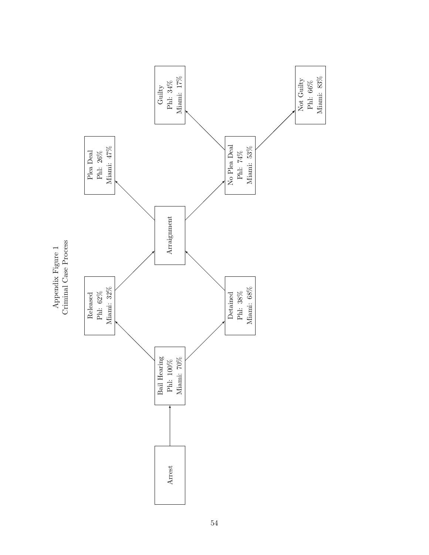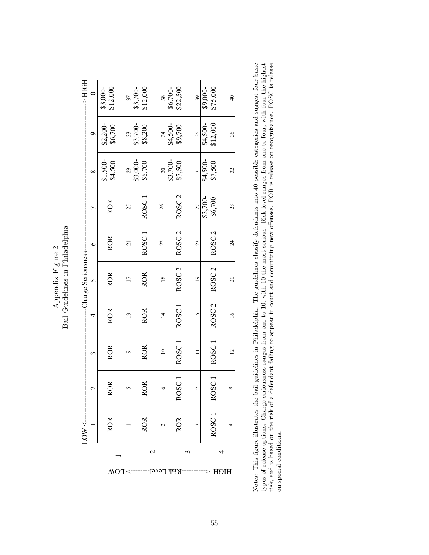**Appendix rigure 4** Bail Guidelines in Philadelphia Bail Guidelines in Philadelphia Appendix Figure 2 Appendix Figure 2

| HOH A-                   |               | $$3,000-$<br>\$12,000                  | 37              | \$12,000<br>\$3,700-  | 38             | \$6,700-<br>\$22,500 | 39              | \$9,000-<br>\$75,000 | $\overline{4}$  |
|--------------------------|---------------|----------------------------------------|-----------------|-----------------------|----------------|----------------------|-----------------|----------------------|-----------------|
|                          | σ             | $$2,200-$<br>\$6,700                   | 33              | $$3,700-$<br>\$8,200  | 34             | \$4,500-<br>\$9,700  | 35              | \$12,000<br>\$4,500- | 36              |
|                          | $\infty$      | $$1,500-$<br>\$4,500                   | 29              | $$3,000$ -<br>\$6,700 | $\approx$      | $$3,700-$<br>\$7,500 | $\overline{31}$ | \$4,500-<br>\$7,500  | 32              |
|                          | Ļ             | <b>ROR</b>                             | 25              | ROSC                  | 26             | ROSC <sub>2</sub>    | 27              | $$3,700-$<br>\$6,700 | 28              |
|                          | $\circ$       | <b>ROR</b>                             | $\overline{a}$  | ROSC <sub>1</sub>     | 22             | ROSC <sub>2</sub>    | 23              | ROSC <sub>2</sub>    | $\overline{24}$ |
| ---Charge Seriousness--- | $\sim$        | <b>ROR</b>                             | $\overline{17}$ | <b>ROR</b>            | $\frac{8}{18}$ | ROSC <sub>2</sub>    | $\overline{19}$ | ROSC <sub>2</sub>    | 20              |
|                          | 4             | <b>ROR</b>                             | $\frac{13}{2}$  | <b>ROR</b>            | $\overline{1}$ | ROSC <sub>1</sub>    | $\frac{15}{2}$  | ROSC <sub>2</sub>    | $\geq$          |
|                          | 3             | <b>ROR</b>                             | Ó               | <b>ROR</b>            | $\approx$      | ROSC <sub>1</sub>    |                 | ROSC <sub>1</sub>    | $\overline{c}$  |
|                          | $\mathcal{L}$ | <b>ROR</b>                             | 5               | <b>ROR</b>            | $\circ$        | <b>ROSC</b>          | r               | ROSC                 | ∞               |
|                          |               | ROR                                    |                 | <b>ROR</b>            | $\mathbf 2$    | <b>ROR</b>           | 3               | ROSC <sub>1</sub>    |                 |
|                          |               |                                        |                 |                       | $\mathcal{L}$  |                      | 3               |                      | 4               |
|                          |               | $-5$ TOM<br>-Risk Level<br><b>HICH</b> |                 |                       |                |                      |                 |                      |                 |

Notes: This figure illustrates the bail guidelines in Philadelphia. The guidelines classify defendants into 40 possible categories and suggest four basic<br>types of release options. Charge seriousness ranges from one to 10, Notes: This figure illustrates the bail guidelines in Philadelphia. The guidelines classify defendants into 40 possible categories and suggest four basic types of release options. Charge seriousness ranges from one to 10, with 10 the most serious. Risk level ranges from one to four, with four the highest risk, and is based on the risk of a defendant failing to appear in court and committing new offenses. ROR is release on recognizance. ROSC is release on special conditions. on special conditions.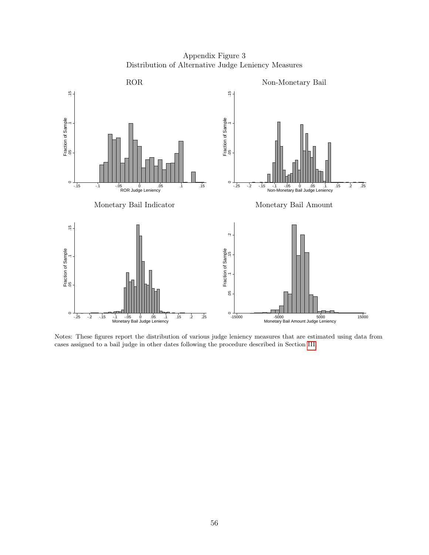Appendix Figure 3 Distribution of Alternative Judge Leniency Measures



Notes: These figures report the distribution of various judge leniency measures that are estimated using data from cases assigned to a bail judge in other dates following the procedure described in Section [III.](#page-13-0)